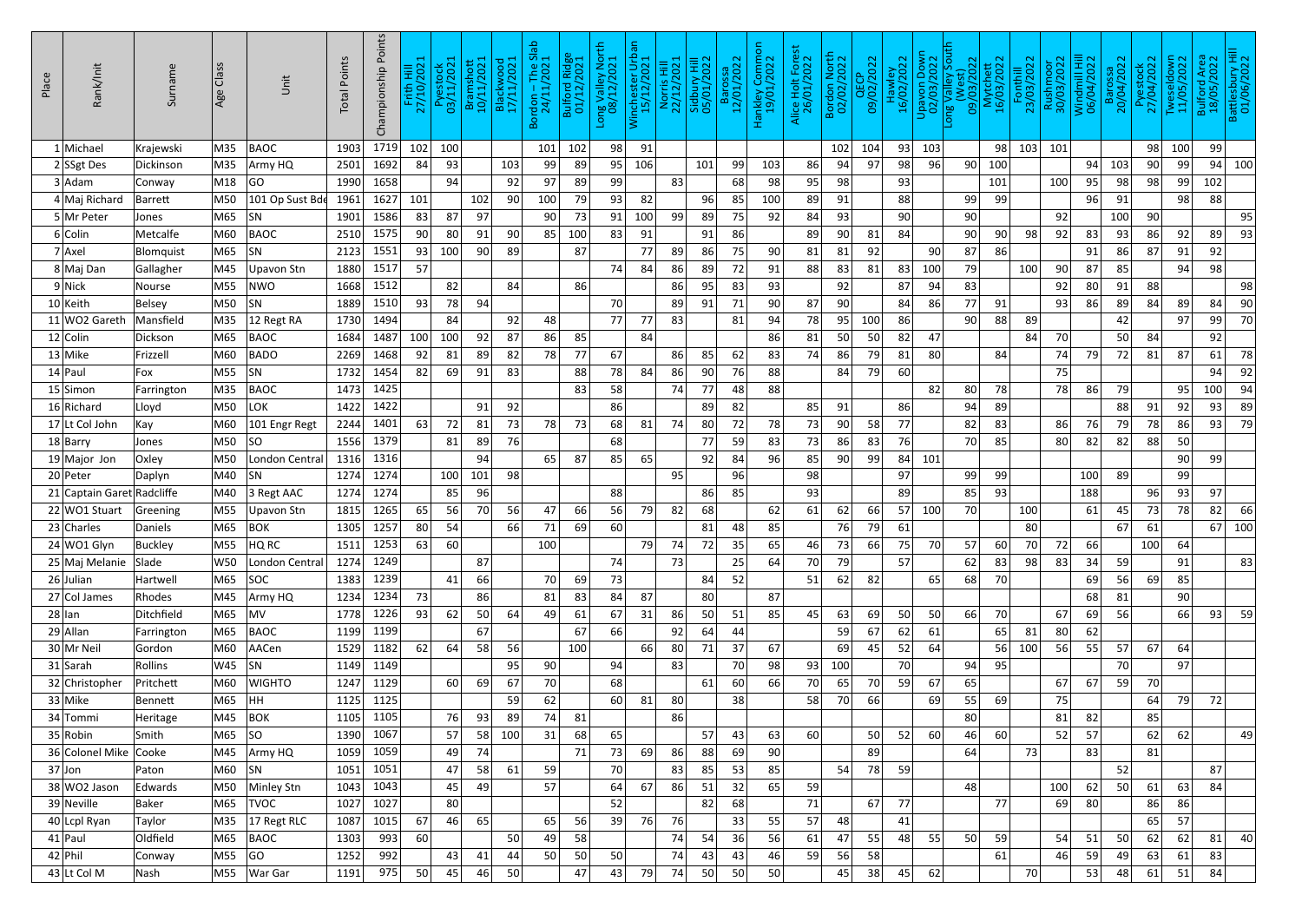| Place | Rank/Init                   | Surname             | Class<br>Age | Unit              | <b>Total Points</b> | Championship Points | $\equiv \frac{1}{2}$<br>Frith<br>27/10/ | Pyestock<br>03/11/2021 | Bramshott<br>10/11/2021 | Blackwood<br>17/11/2021 | $Slab$<br>$21$<br>Bordon - The 9<br>24/11/2021 | Bulford Ridge<br>01/12/2021 | ong Valley North<br>08/12/2021 | ΘÊ<br>Winchester Urb<br>15/12/2021 | Norris Hill<br>22/12/2021 | Sidbury Hill<br>05/01/2022 | Barossa<br>12/01/2022 | Hankley Common<br>19/01/2022 | Alice Holt Forest<br>26/01/2022 | Bordon North<br>02/02/2022 | QECP<br>09/02/2022 | Hawley<br>16/02/2022 | Upavon Dowr<br>02/03/2022 | South<br>09/03/2022<br>Long Valle <sup>,</sup> | Mytchett<br>16/03/2022 | Fonthill<br>23/03/2022 | Rushmoor<br>30/03/2022 | Windmill Hill<br>06/04/2022 | Barossa<br>20/04/2022 | Pyestock<br>27/04/2022 | Tweseldown<br>11/05/2022 | 1 Area<br>2022<br>Bulford<br>18/05/2 | Battlesbury Hill<br>01/06/2022 |
|-------|-----------------------------|---------------------|--------------|-------------------|---------------------|---------------------|-----------------------------------------|------------------------|-------------------------|-------------------------|------------------------------------------------|-----------------------------|--------------------------------|------------------------------------|---------------------------|----------------------------|-----------------------|------------------------------|---------------------------------|----------------------------|--------------------|----------------------|---------------------------|------------------------------------------------|------------------------|------------------------|------------------------|-----------------------------|-----------------------|------------------------|--------------------------|--------------------------------------|--------------------------------|
|       | 1 Michael                   | Krajewski           | M35          | BAOC              | 1903                | 1719                | 102                                     | 100                    |                         |                         | 101                                            | 102                         | 98                             | 91                                 |                           |                            |                       |                              |                                 | 102                        | 104                | 93                   | 103                       |                                                | 98                     | 103                    | 101                    |                             |                       | 98                     | 100                      | 99                                   |                                |
|       | 2 SSgt Des                  | Dickinson           | M35          | Army HQ           | 2501                | 1692                | 84                                      | 93                     |                         | 103                     | 99                                             | 89                          | 95                             | 106                                |                           | 101                        | 99                    | 103                          | 86                              | 94                         | 97                 | 98                   | 96                        | 90                                             | 100                    |                        |                        | 94                          | 103                   | 90                     | 99                       | 94                                   | 100                            |
|       | $3$ Adam                    | Conway              | M18          | GO                | 1990                | 1658                |                                         | 94                     |                         | 92                      | 97                                             | 89                          | 99                             |                                    | 83                        |                            | 68                    | 98                           | 95                              | 98                         |                    | 93                   |                           |                                                | 101                    |                        | 100                    | 95                          | 98                    | 98                     | 99                       | 102                                  |                                |
|       | 4 Maj Richard               | <b>Barrett</b>      | M50          | 101 Op Sust Bde   | 1961                | 1627                | 101                                     |                        | 102                     | 90                      | 100                                            | 79                          | 93                             | 82                                 |                           | 96                         | 85                    | 100                          | 89                              | 91                         |                    | 88                   |                           | 99                                             | 99                     |                        |                        | 96                          | 91                    |                        | 98                       | 88                                   |                                |
|       | 5 Mr Peter                  | Jones               | M65          | SN                | 1901                | 1586                | 83                                      | 87                     | 97                      |                         | 90                                             | 73                          | 91                             | 100                                | 99                        | 89                         | 75                    | 92                           | 84                              | 93                         |                    | 90                   |                           | 90                                             |                        |                        | 92                     |                             | 100                   | 90                     |                          |                                      | 95                             |
|       | 6 Colin                     | Metcalfe            | M60          | BAOC              | 2510                | 1575                | 90                                      | 80                     | 91                      | 90                      | 85                                             | 100                         | 83                             | 91                                 |                           | 91                         | 86                    |                              | 89                              | 90                         | 81                 | 84                   |                           | 90                                             | 90 <sub>l</sub>        | 98                     | 92                     | 83                          | 93                    | 86                     | 92                       | 89                                   | 93                             |
|       | $7$ Axel                    | Blomquist           | M65          | SN                | 2123                | 1551                | 93                                      | 100                    | 90                      | 89                      |                                                | 87                          |                                | 77                                 | 89                        | 86                         | 75                    | 90                           | 81                              | 81                         | 92                 |                      | 90                        | 87                                             | 86                     |                        |                        | 91                          | 86                    | 87                     | 91                       | 92                                   |                                |
|       | 8 Maj Dan                   | Gallagher           | M45          | <b>Upavon Stn</b> | 1880                | 1517                | 57                                      |                        |                         |                         |                                                |                             | 74                             | 84                                 | 86                        | 89                         | 72                    | 91                           | 88                              | 83                         | 81                 | 83                   | 100                       | 79                                             |                        | 100                    | 90                     | 87                          | 85                    |                        | 94                       | 98                                   |                                |
|       | 9 Nick                      | Nourse              | M55          | <b>NWO</b>        | 1668                | 1512                |                                         | 82                     |                         | 84                      |                                                | 86                          |                                |                                    | 86                        | 95                         | 83                    | 93                           |                                 | 92                         |                    | 87                   | 94                        | 83                                             |                        |                        | 92                     | 80                          | 91                    | 88                     |                          |                                      | 98                             |
|       | $10$ Keith                  | <b>Belsey</b>       | M50          | SN                | 1889                | 1510                | 93                                      | 78                     | 94                      |                         |                                                |                             | 70                             |                                    | 89                        | 91                         | 71                    | 90                           | 87                              | 90                         |                    | 84                   | 86                        | 77                                             | 91                     |                        | 93                     | 86                          | 89                    | 84                     | 89                       | 84                                   | 90                             |
|       | 11 WO2 Gareth               | Mansfield           | M35          | 12 Regt RA        | 1730                | 1494                |                                         | 84                     |                         | 92                      | 48                                             |                             | 77                             | 77                                 | 83                        |                            | 81                    | 94                           | 78                              | 95                         | 100                | 86                   |                           | 90                                             | 88                     | 89                     |                        |                             | 42                    |                        | 97                       | 99                                   | 70                             |
|       | $12$ Colin                  | Dickson             | M65          | <b>BAOC</b>       | 1684                | 1487                | 100                                     | 100                    | 92                      | 87                      | 86                                             | 85                          |                                | 84                                 |                           |                            |                       | 86                           | 81                              | 50                         | 50                 | 82                   | 47                        |                                                |                        | 84                     | 70                     |                             | 50                    | 84                     |                          | 92                                   |                                |
|       | $13$ Mike                   | Frizzell            | M60          | BADO              | 2269                | 1468                | 92                                      | 81                     | 89                      | 82                      | 78                                             | 77                          | 67                             |                                    | 86                        | 85                         | 62                    | 83                           | 74                              | 86                         | 79                 | 81                   | 80                        |                                                | 84                     |                        | 74                     | 79                          | 72                    | 81                     | 87                       | 61                                   | 78                             |
|       | $14$ Paul                   | Fox                 | M55          | SN                | 1732                | 1454                | 82                                      | 69                     | 91                      | 83                      |                                                | 88                          | 78                             | 84                                 | 86                        | 90                         | 76                    | 88                           |                                 | 84                         | 79                 | 60                   |                           |                                                |                        |                        | 75                     |                             |                       |                        |                          | 94                                   | 92                             |
|       | $15$ Simon                  | Farrington          | M35          | BAOC              | 1473                | 1425                |                                         |                        |                         |                         |                                                | 83                          | 58                             |                                    | 74                        | 77                         | 48                    | 88                           |                                 |                            |                    |                      | 82                        | 80                                             | 78                     |                        | 78                     | 86                          | 79                    |                        | 95                       | 100                                  | 94                             |
|       | 16 Richard                  | Lloyd               | M50          | LOK               | 1422                | 1422                |                                         |                        | 91                      | 92                      |                                                |                             | 86                             |                                    |                           | 89                         | 82                    |                              | 85                              | 91                         |                    | 86                   |                           | 94                                             | 89                     |                        |                        |                             | 88                    | 91                     | 92                       | 93                                   | 89                             |
|       | 17 Lt Col John              | Kay                 | M60          | 101 Engr Regt     | 2244                | 1401                | 63                                      | 72                     | 81                      | 73                      | 78                                             | 73                          | 68                             | 81                                 | 74                        | 80                         | 72                    | 78                           | 73                              | 90                         | 58                 | 77                   |                           | 82                                             | 83                     |                        | 86                     | 76                          | 79                    | 78                     | 86                       | 93                                   | 79                             |
|       | $18$  Barry                 | Jones               | M50          | SO                | 1556                | 1379                |                                         | 81                     | 89                      | 76                      |                                                |                             | 68                             |                                    |                           | 77                         | 59                    | 83                           | 73                              | 86                         | 83                 | 76                   |                           | 70                                             | 85                     |                        | 80                     | 82                          | 82                    | 88                     | 50                       |                                      |                                |
|       | $19$ Major Jon              | Oxley               | M50          | London Central    | 1316                | 1316                |                                         |                        | 94                      |                         | 65                                             | 87                          | 85                             | 65                                 |                           | 92                         | 84                    | 96                           | 85                              | 90                         | 99                 | 84                   | 101                       |                                                |                        |                        |                        |                             |                       |                        | 90                       | 99                                   |                                |
|       | $20$ Peter                  | Daplyn              | M40          | SN                | 1274                | 1274                |                                         | 100                    | 101                     | 98                      |                                                |                             |                                |                                    | 95                        |                            | 96                    |                              | 98                              |                            |                    | 97                   |                           | 99                                             | 99                     |                        |                        | 100                         | 89                    |                        | 99                       |                                      |                                |
|       | 21 Captain Garet Radcliffe  |                     | M40          | 3 Regt AAC        | 1274                | 1274<br>1265        |                                         | 85                     | 96                      |                         |                                                |                             | 88                             |                                    |                           | 86                         | 85                    |                              | 93                              |                            |                    | 89                   |                           | 85                                             | 93                     |                        |                        | 188                         |                       | 96                     | 93                       | 97                                   |                                |
|       | 22 WO1 Stuart<br>23 Charles | Greening<br>Daniels | M55<br>M65   | Upavon Stn<br>BOK | 1815<br>1305        | 1257                | 65<br>80                                | 56<br>54               | 70                      | 56<br>66                | 47<br>71                                       | 66<br>69                    | 56<br>60                       | 79                                 | 82                        | 68<br>81                   | 48                    | 62<br>85                     | 61                              | 62<br>76                   | 66<br>79           | 57<br>61             | 100                       | 70                                             |                        | 100<br>80              |                        | 61                          | 45<br>67              | 73<br>61               | 78                       | 82<br>67                             | 66<br>100                      |
|       | $24$ WO1 Glyn               | <b>Buckley</b>      | M55          | HQ RC             | 1511                | 1253                | 63                                      | 60                     |                         |                         | 100                                            |                             |                                | 79                                 | 74                        | 72                         | 35                    | 65                           | 46                              | 73                         | 66                 | 75                   | 70                        | 57                                             | 60                     | 70                     | 72                     | 66                          |                       | 100                    | 64                       |                                      |                                |
|       | 25 Maj Melanie              | Slade               | <b>W50</b>   | London Central    | 1274                | 1249                |                                         |                        | 87                      |                         |                                                |                             | 74                             |                                    | 73                        |                            | 25                    | 64                           | 70                              | 79                         |                    | 57                   |                           | 62                                             | 83                     | 98                     | 83                     | 34                          | 59                    |                        | 91                       |                                      | 83                             |
|       | $26$ Julian                 | Hartwell            | M65          | SOC               | 1383                | 1239                |                                         | 41                     | 66                      |                         | 70                                             | 69                          | 73                             |                                    |                           | 84                         | 52                    |                              | 51                              | 62                         | 82                 |                      | 65                        | 68                                             | 70                     |                        |                        | 69                          | 56                    | 69                     | 85                       |                                      |                                |
|       | 27 Col James                | Rhodes              | M45          | Army HQ           | 1234                | 1234                | 73                                      |                        | 86                      |                         | 81                                             | 83                          | 84                             | 87                                 |                           | 80                         |                       | 87                           |                                 |                            |                    |                      |                           |                                                |                        |                        |                        | 68                          | 81                    |                        | 90                       |                                      |                                |
|       | $28$  lan                   | Ditchfield          | M65          | MV                | 1778                | 1226                | 93                                      | 62                     | 50                      | 64                      | 49                                             | 61                          | 67                             | 31                                 | 86                        | 50                         | 51                    | 85                           | 45                              | 63                         | 69                 | 50                   | 50                        | 66                                             | 70                     |                        | 67                     | 69                          | 56                    |                        | 66                       | 93                                   | 59                             |
|       | $29$ Allan                  | Farrington          | M65          | <b>BAOC</b>       | 1199                | 1199                |                                         |                        | 67                      |                         |                                                | 67                          | 66                             |                                    | 92                        | 64                         | 44                    |                              |                                 | 59                         | 67                 | 62                   | 61                        |                                                | 65                     | 81                     | 80                     | 62                          |                       |                        |                          |                                      |                                |
|       | 30 Mr Neil                  | Gordon              | M60          | AACen             | 1529                | 1182                | 62                                      | 64                     | 58                      | 56                      |                                                | 100                         |                                | 66                                 | 80                        | 71                         | 37                    | 67                           |                                 | 69                         | 45                 | 52                   | 64                        |                                                | 56                     | 100                    | 56                     | 55                          | 57                    | 67                     | 64                       |                                      |                                |
|       | $31$ Sarah                  | Rollins             | W45          | SN                | 1149                | 1149                |                                         |                        |                         | 95                      | 90                                             |                             | 94                             |                                    | 83                        |                            | 70                    | 98                           | 93                              | 100                        |                    | 70                   |                           | 94                                             | 95                     |                        |                        |                             | 70                    |                        | 97                       |                                      |                                |
|       | 32 Christopher              | Pritchett           | M60          | <b>WIGHTO</b>     | 1247                | 1129                |                                         | 60                     | 69                      | 67                      | 70                                             |                             | 68                             |                                    |                           | 61                         | 60                    | 66                           | 70                              | 65                         | 70                 | 59                   | 67                        | 65                                             |                        |                        | 67                     | 67                          | 59                    | 70                     |                          |                                      |                                |
|       | $33$ Mike                   | Bennett             | M65          | HH                | 1125                | 1125                |                                         |                        |                         | 59                      | 62                                             |                             | 60 <sub>1</sub>                | 81                                 | 80                        |                            | 38                    |                              | 58                              | 70                         | 66                 |                      | 69                        | 55                                             | 69                     |                        | 75                     |                             |                       | 64                     | 79                       | 72                                   |                                |
|       | 34 Tommi                    | Heritage            | M45          | BOK               | 1105                | 1105                |                                         | 76                     | 93                      | 89                      | 74                                             | 81                          |                                |                                    | 86                        |                            |                       |                              |                                 |                            |                    |                      |                           | 80                                             |                        |                        | 81                     | 82                          |                       | 85                     |                          |                                      |                                |
|       | $35 R$ obin                 | Smith               | M65          | SO                | 1390                | 1067                |                                         | 57                     | 58                      | 100                     | 31                                             | 68                          | 65                             |                                    |                           | 57                         | 43                    | 63                           | 60                              |                            | 50                 | 52                   | 60                        | 46                                             | 60                     |                        | 52                     | 57                          |                       | 62                     | 62                       |                                      | 49                             |
|       | 36 Colonel Mike             | Cooke               | M45          | Army HQ           | 1059                | 1059                |                                         | 49                     | 74                      |                         |                                                | 71                          | 73                             | 69                                 | 86                        | 88                         | 69                    | 90                           |                                 |                            | 89                 |                      |                           | 64                                             |                        | 73                     |                        | 83                          |                       | 81                     |                          |                                      |                                |
|       | $37$ Jon                    | Paton               | M60          | SN                | 1051                | 1051                |                                         | 47                     | 58                      | 61                      | 59                                             |                             | 70                             |                                    | 83                        | 85                         | 53                    | 85                           |                                 | 54                         | 78                 | 59                   |                           |                                                |                        |                        |                        |                             | 52                    |                        |                          | 87                                   |                                |
|       | 38 WO2 Jason                | Edwards             | M50          | Minley Stn        | 1043                | 1043                |                                         | 45                     | 49                      |                         | 57                                             |                             | 64                             | 67                                 | 86                        | 51                         | 32                    | 65                           | 59                              |                            |                    |                      |                           | 48                                             |                        |                        | 100                    | 62                          | 50                    | 61                     | 63                       | 84                                   |                                |
|       | 39 Neville                  | Baker               | M65          | <b>TVOC</b>       | 1027                | 1027                |                                         | 80 <sub>1</sub>        |                         |                         |                                                |                             | 52                             |                                    |                           | 82                         | 68                    |                              | 71                              |                            | 67                 | 77                   |                           |                                                | 77                     |                        | 69                     | 80                          |                       | 86                     | 86                       |                                      |                                |
|       | 40 Lcpl Ryan                | Taylor              | M35          | 17 Regt RLC       | 1087                | 1015                | 67                                      | 46                     | 65                      |                         | 65                                             | 56                          | 39                             | 76                                 | 76                        |                            | 33                    | 55                           | 57                              | 48                         |                    | 41                   |                           |                                                |                        |                        |                        |                             |                       | 65                     | 57                       |                                      |                                |
|       | $41$  Paul                  | Oldfield            | M65          | <b>BAOC</b>       | 1303                | 993                 | 60                                      |                        |                         | 50                      | 49                                             | 58                          |                                |                                    | 74                        | 54                         | 36                    | 56                           | 61                              | 47                         | 55                 | 48                   | 55                        | 50                                             | 59                     |                        | 54                     | 51                          | 50                    | 62                     | 62                       | 81                                   | 40                             |
|       | $42$ Phil                   | Conway              | M55          | GO                | 1252                | 992                 |                                         | 43                     | 41                      | 44                      | 50                                             | 50                          | 50                             |                                    | 74                        | 43                         | 43                    | 46                           | 59                              | 56                         | 58                 |                      |                           |                                                | 61                     |                        | 46                     | 59                          | 49                    | 63                     | 61                       | 83                                   |                                |
|       | $43$ Lt Col M               | Nash                | M55          | <b>War Gar</b>    | 1191                | 975                 | 50 <sup>2</sup>                         | 45                     | 46                      | 50                      |                                                | 47                          | 43                             | 79                                 | 74                        | 50                         | 50                    | 50                           |                                 | 45                         | 38                 | 45                   | 62                        |                                                |                        | 70                     |                        | 53                          | 48                    | 61                     | 51                       | 84                                   |                                |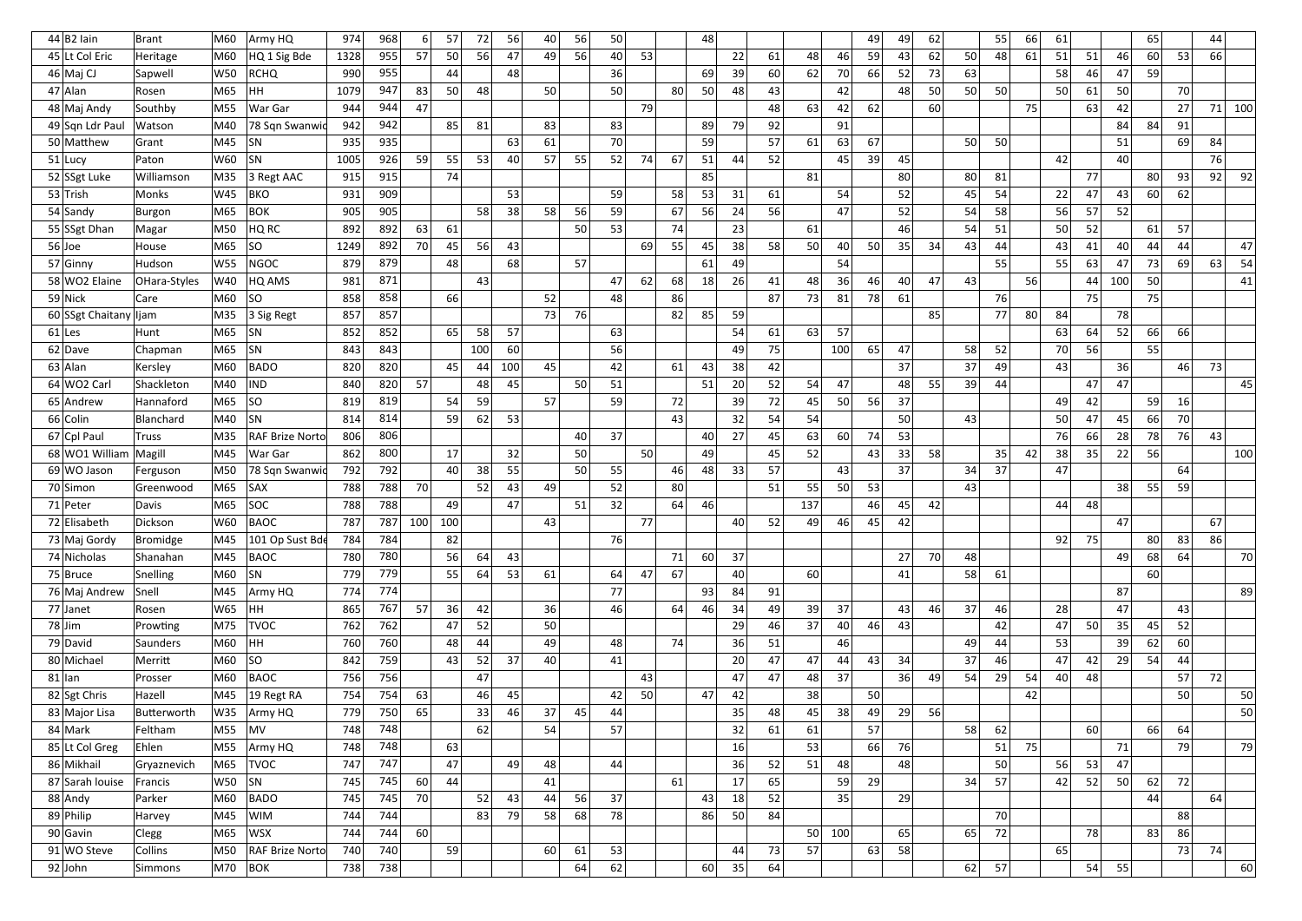| 44 B2 ain                   | <b>Brant</b>                | M60        | Army HQ                        | 974        | 968        | 6 <sup>1</sup>  | 57       | 72  | 56  | 40 | 56 | 50 |    |    | 48 |    |    |                 |     | 49 | 49 | 62 |    | 55              | 66 | 61 |    |     | 65 |          | 44       |     |
|-----------------------------|-----------------------------|------------|--------------------------------|------------|------------|-----------------|----------|-----|-----|----|----|----|----|----|----|----|----|-----------------|-----|----|----|----|----|-----------------|----|----|----|-----|----|----------|----------|-----|
| 45 Lt Col Eric              | Heritage                    | M60        | HQ 1 Sig Bde                   | 1328       | 955        | 57              | 50       | 56  | 47  | 49 | 56 | 40 | 53 |    |    | 22 | 61 | 48              | 46  | 59 | 43 | 62 | 50 | 48              | 61 | 51 | 51 | 46  | 60 | 53       | 66       |     |
| 46 Maj CJ                   | Sapwell                     | W50        | <b>RCHQ</b>                    | 990        | 955        |                 | 44       |     | 48  |    |    | 36 |    |    | 69 | 39 | 60 | 62              | 70  | 66 | 52 | 73 | 63 |                 |    | 58 | 46 | 47  | 59 |          |          |     |
| $47$ Alan                   | Rosen                       | M65        | HH.                            | 1079       | 947        | 83              | 50       | 48  |     | 50 |    | 50 |    | 80 | 50 | 48 | 43 |                 | 42  |    | 48 | 50 | 50 | 50              |    | 50 | 61 | 50  |    | 70       |          |     |
| 48 Maj Andy                 | Southby                     | M55        | War Gar                        | 944        | 944        | 47              |          |     |     |    |    |    | 79 |    |    |    | 48 | 63              | 42  | 62 |    | 60 |    |                 | 75 |    | 63 | 42  |    | 27       | 71       | 100 |
| 49 Sqn Ldr Paul             | Watson                      | M40        | 78 Sqn Swanwic                 | 942        | 942        |                 | 85       | 81  |     | 83 |    | 83 |    |    | 89 | 79 | 92 |                 | 91  |    |    |    |    |                 |    |    |    | 84  | 84 | 91       |          |     |
| 50 Matthew                  | Grant                       | M45        | <b>SN</b>                      | 935        | 935        |                 |          |     | 63  | 61 |    | 70 |    |    | 59 |    | 57 | 61              | 63  | 67 |    |    | 50 | 50              |    |    |    | 51  |    | 69       | 84       |     |
| $51$ Lucy                   | Paton                       | W60        | <b>SN</b>                      | 1005       | 926        | 59              | 55       | 53  | 40  | 57 | 55 | 52 | 74 | 67 | 51 | 44 | 52 |                 | 45  | 39 | 45 |    |    |                 |    | 42 |    | 40  |    |          | 76       |     |
| 52 SSgt Luke                | Williamson                  | M35        | 3 Regt AAC                     | 915        | 915        |                 | 74       |     |     |    |    |    |    |    | 85 |    |    | 81              |     |    | 80 |    | 80 | 81              |    |    | 77 |     | 80 | 93       | 92       | 92  |
| 53 Trish                    | <b>Monks</b>                | W45        | <b>BKO</b>                     | 931        | 909        |                 |          |     | 53  |    |    | 59 |    | 58 | 53 | 31 | 61 |                 | 54  |    | 52 |    | 45 | 54              |    | 22 | 47 | 43  | 60 | 62       |          |     |
| 54 Sandy                    | <b>Burgon</b>               | M65        | <b>BOK</b>                     | 905        | 905        |                 |          | 58  | 38  | 58 | 56 | 59 |    | 67 | 56 | 24 | 56 |                 | 47  |    | 52 |    | 54 | 58              |    | 56 | 57 | 52  |    |          |          |     |
| 55 SSgt Dhan                | Magar                       | M50        | HQ RC                          | 892        | 892        | 63              | 61       |     |     |    | 50 | 53 |    | 74 |    | 23 |    | 61              |     |    | 46 |    | 54 | 51              |    | 50 | 52 |     | 61 | 57       |          |     |
| $56$ Joe                    | House                       | M65        | SO.                            | 1249       | 892        | 70              | 45       | 56  | 43  |    |    |    | 69 | 55 | 45 | 38 | 58 | 50              | 40  | 50 | 35 | 34 | 43 | 44              |    | 43 | 41 | 40  | 44 | 44       |          | 47  |
| 57 Ginny                    | Hudson                      | W55        | NGOC                           | 879        | 879        |                 | 48       |     | 68  |    | 57 |    |    |    | 61 | 49 |    |                 | 54  |    |    |    |    | 55 <sub>1</sub> |    | 55 | 63 | 47  | 73 | 69       | 63       | 54  |
| 58 WO2 Elaine               | OHara-Styles                | W40        | HQ AMS                         | 981        | 871        |                 |          | 43  |     |    |    | 47 | 62 | 68 | 18 | 26 | 41 | 48              | 36  | 46 | 40 | 47 | 43 |                 | 56 |    | 44 | 100 | 50 |          |          | 41  |
| $59$ Nick                   | Care                        | M60        | SO.                            | 858        | 858        |                 | 66       |     |     | 52 |    | 48 |    | 86 |    |    | 87 | 73              | 81  | 78 | 61 |    |    | 76              |    |    | 75 |     | 75 |          |          |     |
| 60 SSgt Chaitany lijam      |                             | M35        | 3 Sig Regt                     | 857        | 857        |                 |          |     |     | 73 | 76 |    |    | 82 | 85 | 59 |    |                 |     |    |    | 85 |    | 77              | 80 | 84 |    | 78  |    |          |          |     |
| $61$  Les                   | Hunt                        | M65        | <b>SN</b>                      | 852        | 852        |                 | 65       | 58  | 57  |    |    | 63 |    |    |    | 54 | 61 | 63              | 57  |    |    |    |    |                 |    | 63 | 64 | 52  | 66 | 66       |          |     |
| $62$ Dave                   | Chapman                     | M65        | <b>SN</b>                      | 843        | 843        |                 |          | 100 | 60  |    |    | 56 |    |    |    | 49 | 75 |                 | 100 | 65 | 47 |    | 58 | 52              |    | 70 | 56 |     | 55 |          |          |     |
| 63 Alan                     | Kersley                     | M60        | BADO                           | 820        | 820        |                 | 45       | 44  | 100 | 45 |    | 42 |    | 61 | 43 | 38 | 42 |                 |     |    | 37 |    | 37 | 49              |    | 43 |    | 36  |    | 46       | 73       |     |
| 64 WO2 Carl                 | Shackleton                  | M40        | <b>IND</b>                     | 840        | 820        | 57              |          | 48  | 45  |    | 50 | 51 |    |    | 51 | 20 | 52 | 54              | 47  |    | 48 | 55 | 39 | 44              |    |    | 47 | 47  |    |          |          | 45  |
| 65 Andrew                   | Hannaford                   | M65        | SO                             | 819        | 819        |                 | 54       | 59  |     | 57 |    | 59 |    | 72 |    | 39 | 72 | 45              | 50  | 56 | 37 |    |    |                 |    | 49 | 42 |     | 59 | 16       |          |     |
| 66 Colin                    | Blanchard                   | M40        | <b>SN</b>                      | 814        | 814        |                 | 59       | 62  | 53  |    |    |    |    | 43 |    | 32 | 54 | 54              |     |    | 50 |    | 43 |                 |    | 50 | 47 | 45  | 66 | 70       |          |     |
| 67 Cpl Paul                 | <b>Truss</b>                | M35        | <b>RAF Brize Norto</b>         | 806        | 806        |                 |          |     |     |    | 40 | 37 |    |    | 40 | 27 | 45 | 63              | 60  | 74 | 53 |    |    |                 |    | 76 | 66 | 28  | 78 | 76       | 43       |     |
| 68 WO1 William              | Magill                      | M45        | War Gar                        | 862        | 800        |                 | 17       |     | 32  |    | 50 |    | 50 |    | 49 |    | 45 | 52              |     | 43 | 33 | 58 |    | 35              | 42 | 38 | 35 | 22  | 56 |          |          | 100 |
| 69 WO Jason                 | Ferguson                    | M50        | 78 Sqn Swanwic                 | 792        | 792        |                 | 40       | 38  | 55  |    | 50 | 55 |    | 46 | 48 | 33 | 57 |                 | 43  |    | 37 |    | 34 | 37              |    | 47 |    |     |    | 64       |          |     |
| 70 Simon                    | Greenwood                   | M65        | <b>SAX</b>                     | 788        | 788        | 70              |          | 52  | 43  | 49 |    | 52 |    | 80 |    |    | 51 | 55              | 50  | 53 |    |    | 43 |                 |    |    |    | 38  | 55 | 59       |          |     |
| 71 Peter                    | <b>Davis</b>                | M65        | SOC                            | 788        | 788        |                 | 49       |     | 47  |    | 51 | 32 |    | 64 | 46 |    |    | 137             |     | 46 | 45 | 42 |    |                 |    | 44 | 48 |     |    |          |          |     |
| 72 Elisabeth                | Dickson                     | W60<br>M45 | <b>BAOC</b>                    | 787<br>784 | 787<br>784 | 100 100         |          |     |     | 43 |    | 76 | 77 |    |    | 40 | 52 | 49              | 46  | 45 | 42 |    |    |                 |    | 92 | 75 | 47  | 80 |          | 67<br>86 |     |
| 73 Maj Gordy<br>74 Nicholas | <b>Bromidge</b><br>Shanahan | M45        | 101 Op Sust Bde<br><b>BAOC</b> | 780        | 780        |                 | 82<br>56 | 64  | 43  |    |    |    |    | 71 | 60 | 37 |    |                 |     |    | 27 | 70 | 48 |                 |    |    |    | 49  | 68 | 83<br>64 |          | 70  |
| $75$ Bruce                  | Snelling                    | M60        | <b>SN</b>                      | 779        | 779        |                 | 55       | 64  | 53  | 61 |    | 64 | 47 | 67 |    | 40 |    | 60              |     |    | 41 |    | 58 | 61              |    |    |    |     | 60 |          |          |     |
| 76 Maj Andrew               | Snell                       | M45        | Army HQ                        | 774        | 774        |                 |          |     |     |    |    | 77 |    |    | 93 | 84 | 91 |                 |     |    |    |    |    |                 |    |    |    | 87  |    |          |          | 89  |
| $77$ Janet                  | Rosen                       | W65        | HH                             | 865        | 767        | 57              | 36       | 42  |     | 36 |    | 46 |    | 64 | 46 | 34 | 49 | 39              | 37  |    | 43 | 46 | 37 | 46              |    | 28 |    | 47  |    | 43       |          |     |
| $78$ Jim                    | Prowting                    | M75        | <b>TVOC</b>                    | 762        | 762        |                 | 47       | 52  |     | 50 |    |    |    |    |    | 29 | 46 | 37              | 40  | 46 | 43 |    |    | 42              |    | 47 | 50 | 35  | 45 | 52       |          |     |
| 79 David                    | Saunders                    | M60        | HH                             | 760        | 760        |                 | 48       | 44  |     | 49 |    | 48 |    | 74 |    | 36 | 51 |                 | 46  |    |    |    | 49 | 44              |    | 53 |    | 39  | 62 | 60       |          |     |
| 80 Michael                  | Merritt                     | $M60$ SO   |                                | 842        | 759        |                 | 43       | 52  | 37  | 40 |    | 41 |    |    |    | 20 | 47 | 47              | 44  | 43 | 34 |    | 37 | 46              |    | 47 | 42 | 29  | 54 | 44       |          |     |
| $81$  lan                   | Prosser                     | M60        | <b>BAOC</b>                    | 756        | 756        |                 |          | 47  |     |    |    |    | 43 |    |    | 47 | 47 | 48              | 37  |    | 36 | 49 | 54 | 29              | 54 | 40 | 48 |     |    | 57       | 72       |     |
| 82 Sgt Chris                | Hazell                      | M45        | 19 Regt RA                     | 754        | 754        | 63              |          | 46  | 45  |    |    | 42 | 50 |    | 47 | 42 |    | 38              |     | 50 |    |    |    |                 | 42 |    |    |     |    | 50       |          | 50  |
| 83 Major Lisa               | Butterworth                 | W35        | Army HQ                        | 779        | 750        | 65              |          | 33  | 46  | 37 | 45 | 44 |    |    |    | 35 | 48 | 45              | 38  | 49 | 29 | 56 |    |                 |    |    |    |     |    |          |          | 50  |
| 84 Mark                     | Feltham                     | M55        | MV                             | 748        | 748        |                 |          | 62  |     | 54 |    | 57 |    |    |    | 32 | 61 | 61              |     | 57 |    |    | 58 | 62              |    |    | 60 |     | 66 | 64       |          |     |
| 85 Lt Col Greg              | Ehlen                       | M55        | Army HQ                        | 748        | 748        |                 | 63       |     |     |    |    |    |    |    |    | 16 |    | 53              |     | 66 | 76 |    |    | 51              | 75 |    |    | 71  |    | 79       |          | 79  |
| 86 Mikhail                  | Gryaznevich                 | M65        | <b>TVOC</b>                    | 747        | 747        |                 | 47       |     | 49  | 48 |    | 44 |    |    |    | 36 | 52 | 51              | 48  |    | 48 |    |    | 50              |    | 56 | 53 | 47  |    |          |          |     |
| 87 Sarah louise             | Francis                     | W50        | SN                             | 745        | 745        | 60              | 44       |     |     | 41 |    |    |    | 61 |    | 17 | 65 |                 | 59  | 29 |    |    | 34 | 57              |    | 42 | 52 | 50  | 62 | 72       |          |     |
| 88 Andy                     | Parker                      | M60        | BADO                           | 745        | 745        | 70              |          | 52  | 43  | 44 | 56 | 37 |    |    | 43 | 18 | 52 |                 | 35  |    | 29 |    |    |                 |    |    |    |     | 44 |          | 64       |     |
| 89 Philip                   | Harvey                      | M45        | <b>WIM</b>                     | 744        | 744        |                 |          | 83  | 79  | 58 | 68 | 78 |    |    | 86 | 50 | 84 |                 |     |    |    |    |    | 70              |    |    |    |     |    | 88       |          |     |
| 90 Gavin                    | Clegg                       | M65        | <b>WSX</b>                     | 744        | 744        | 60 <sup>1</sup> |          |     |     |    |    |    |    |    |    |    |    | 50 <sub>1</sub> | 100 |    | 65 |    | 65 | 72              |    |    | 78 |     | 83 | 86       |          |     |
| 91 WO Steve                 | Collins                     | M50        | <b>RAF Brize Norto</b>         | 740        | 740        |                 | 59       |     |     | 60 | 61 | 53 |    |    |    | 44 | 73 | 57              |     | 63 | 58 |    |    |                 |    | 65 |    |     |    | 73       | 74       |     |
| 92 John                     | Simmons                     | M70 BOK    |                                | 738        | 738        |                 |          |     |     |    | 64 | 62 |    |    | 60 | 35 | 64 |                 |     |    |    |    | 62 | 57              |    |    | 54 | 55  |    |          |          | 60  |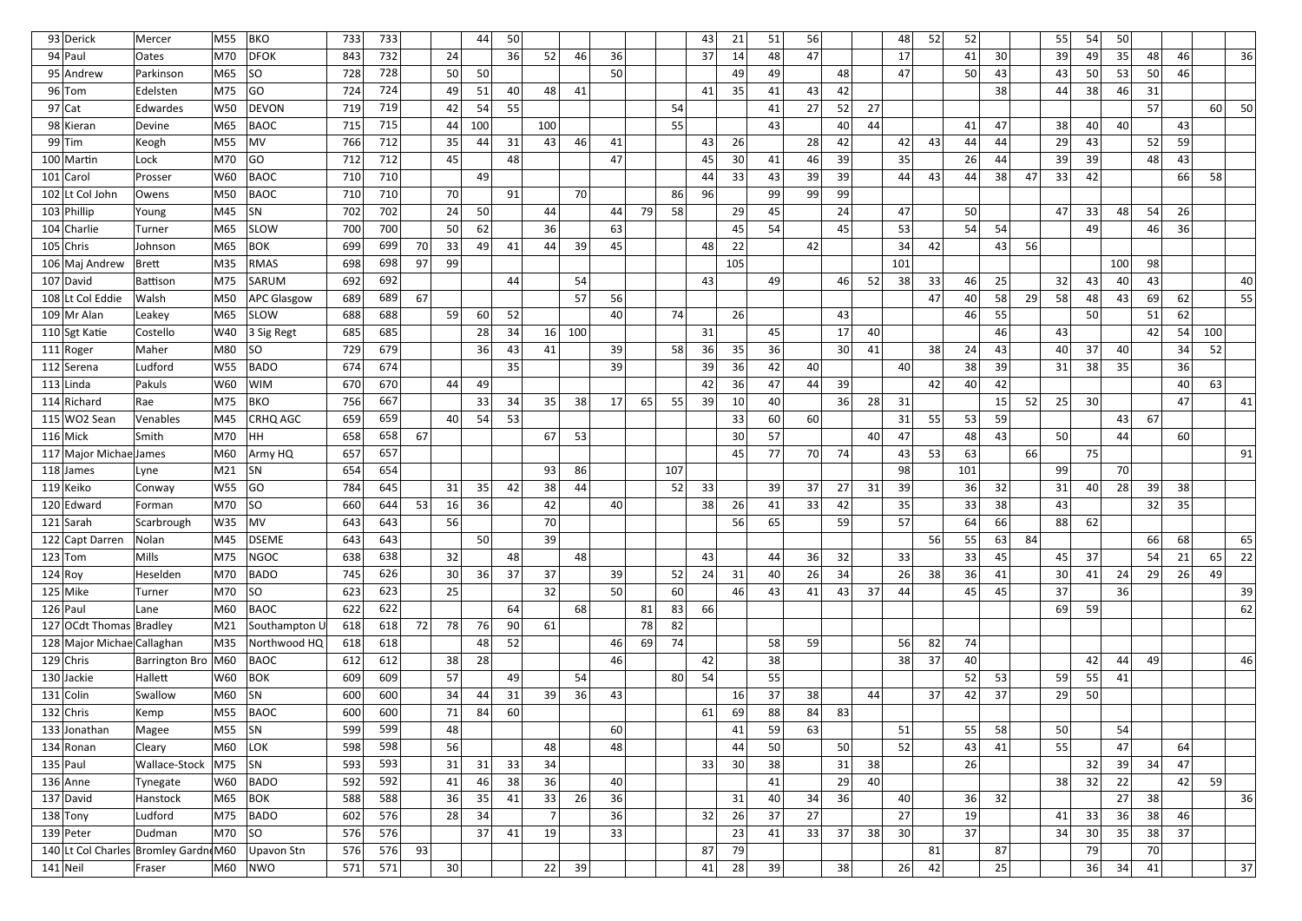| 93 Derick                  | Mercer                               | M55           | <b>BKO</b>         | 733 | 733        |    |                 | 44              | 50 |                 |     |      |    |     | 43 | 21  | 51 | 56 |    |    | 48              | 52              | 52  |    |    | 55              | 54              | 50  |          |    |     |    |
|----------------------------|--------------------------------------|---------------|--------------------|-----|------------|----|-----------------|-----------------|----|-----------------|-----|------|----|-----|----|-----|----|----|----|----|-----------------|-----------------|-----|----|----|-----------------|-----------------|-----|----------|----|-----|----|
| $94$ Paul                  | <b>Oates</b>                         | M70           | <b>DFOK</b>        | 843 | 732<br>728 |    | 24              |                 | 36 | 52              | 46  | 36   |    |     | 37 | 14  | 48 | 47 |    |    | 17              |                 | 41  | 30 |    | 39              | 49              | 35  | 48       | 46 |     | 36 |
| 95 Andrew                  | Parkinson                            | M65           | SO.                | 728 |            |    | 50              | 50              |    |                 |     | 50   |    |     |    | 49  | 49 |    | 48 |    | 47              |                 | 50  | 43 |    | 43              | 50              | 53  | 50       | 46 |     |    |
| $96$ Tom                   | Edelsten                             | M75           | GO                 | 724 | 724        |    | 49              | 51              | 40 | 48              | 41  |      |    |     | 41 | 35  | 41 | 43 | 42 |    |                 |                 |     | 38 |    | 44              | 38              | 46  | 31<br>57 |    |     | 50 |
| $97$ Cat                   | Edwardes                             | W50           | DEVON              | 719 | 719        |    | 42              | 54              | 55 |                 |     |      |    | 54  |    |     | 41 | 27 | 52 | 27 |                 |                 |     |    |    |                 |                 |     |          |    | 60  |    |
| 98 Kieran                  | Devine                               | M65           | <b>BAOC</b>        | 715 | 715        |    | 44              | 100             |    | 100             |     |      |    | 55  |    |     | 43 |    | 40 | 44 |                 |                 | 41  | 47 |    | 38              | 40              | 40  |          | 43 |     |    |
| $99$ Tim                   | Keogh                                | M55           | MV                 | 766 | 712        |    | 35              | 44              | 31 | 43              | 46  | 41   |    |     | 43 | 26  |    | 28 | 42 |    | 42              | 43              | 44  | 44 |    | 29              | 43              |     | 52       | 59 |     |    |
| 100 Martin                 | Lock                                 | M70           | GO                 | 712 | 712        |    | 45              |                 | 48 |                 |     | 47   |    |     | 45 | 30  | 41 | 46 | 39 |    | 35              |                 | 26  | 44 |    | 39              | 39              |     | 48       | 43 |     |    |
| $101$ Carol                | Prosser                              | W60           | <b>BAOC</b>        | 710 | 710        |    |                 | 49              |    |                 |     |      |    |     | 44 | 33  | 43 | 39 | 39 |    | 44              | 43              | 44  | 38 | 47 | 33              | 42              |     |          | 66 | 58  |    |
| 102 Lt Col John            | Owens                                | M50           | <b>BAOC</b>        | 710 | 710        |    | 70              |                 | 91 |                 | 70  |      |    | 86  | 96 |     | 99 | 99 | 99 |    |                 |                 |     |    |    |                 |                 |     |          |    |     |    |
| 103 Phillip                | Young                                | M45           | SN                 | 702 | 702        |    | 24              | 50              |    | 44              |     | 44   | 79 | 58  |    | 29  | 45 |    | 24 |    | 47 <sup>1</sup> |                 | 50  |    |    | 47              | 33              | 48  | 54       | 26 |     |    |
| 104 Charlie                | Turner                               | M65           | <b>SLOW</b>        | 700 | 700        |    | -50             | 62              |    | 36              |     | 63   |    |     |    | 45  | 54 |    | 45 |    | 53              |                 | 54  | 54 |    |                 | 49              |     | 46       | 36 |     |    |
| $105$ Chris                | Johnson                              | M65           | BOK                | 699 | 699        | 70 | 33              | 49              | 41 | 44              | 39  | 45   |    |     | 48 | 22  |    | 42 |    |    | 34              | 42              |     | 43 | 56 |                 |                 |     |          |    |     |    |
| 106 Maj Andrew             | Brett                                | M35           | RMAS               | 698 | 698        | 97 | 99              |                 |    |                 |     |      |    |     |    | 105 |    |    |    |    | 101             |                 |     |    |    |                 |                 | 100 | 98       |    |     |    |
| 107 David                  | Battison                             | M75           | SARUM              | 692 | 692        |    |                 |                 | 44 |                 | 54  |      |    |     | 43 |     | 49 |    | 46 | 52 | 38              | 33              | 46  | 25 |    | 32              | 43              | 40  | 43       |    |     | 40 |
| 108 Lt Col Eddie           | Walsh                                | M50           | <b>APC Glasgow</b> | 689 | 689        | 67 |                 |                 |    |                 | 57  | 56   |    |     |    |     |    |    |    |    |                 | 47              | 40  | 58 | 29 | 58              | 48              | 43  | 69       | 62 |     | 55 |
| 109 Mr Alan                | Leakey                               | M65           | <b>SLOW</b>        | 688 | 688        |    | 59              | 60              | 52 |                 |     | 40   |    | 74  |    | 26  |    |    | 43 |    |                 |                 | 46  | 55 |    |                 | <b>50</b>       |     | 51       | 62 |     |    |
| 110 Sgt Katie              | Costello                             | W40           | 3 Sig Regt         | 685 | 685        |    |                 | 28              | 34 | 16 <sup>1</sup> | 100 |      |    |     | 31 |     | 45 |    | 17 | 40 |                 |                 |     | 46 |    | 43              |                 |     | 42       | 54 | 100 |    |
| $111 $ Roger               | Maher                                | M80           | SO                 | 729 | 679        |    |                 | 36              | 43 | 41              |     | 39 I |    | 58  | 36 | 35  | 36 |    | 30 | 41 |                 | 38 <sup>2</sup> | 24  | 43 |    | 40              | 37              | 40  |          | 34 | 52  |    |
| 112 Serena                 | Ludford                              | W55           | <b>BADO</b>        | 674 | 674        |    |                 |                 | 35 |                 |     | 39   |    |     | 39 | 36  | 42 | 40 |    |    | 40              |                 | 38  | 39 |    | 31              | 38              | 35  |          | 36 |     |    |
| $113$ Linda                | Pakuls                               | W60           | <b>WIM</b>         | 670 | 670        |    | 44              | 49              |    |                 |     |      |    |     | 42 | 36  | 47 | 44 | 39 |    |                 | 42              | 40  | 42 |    |                 |                 |     |          | 40 | 63  |    |
| 114 Richard                | Rae                                  | M75           | <b>BKO</b>         | 756 | 667        |    |                 | 33              | 34 | 35              | 38  | 17   | 65 | 55  | 39 | 10  | 40 |    | 36 | 28 | 31              |                 |     | 15 | 52 | 25              | 30 <sup>1</sup> |     |          | 47 |     | 41 |
| $115$ WO2 Sean             | Venables                             | M45           | <b>CRHQ AGC</b>    | 659 | 659        |    | 40              | 54              | 53 |                 |     |      |    |     |    | 33  | 60 | 60 |    |    | 31              | 55              | 53  | 59 |    |                 |                 | 43  | 67       |    |     |    |
| $116$ Mick                 | <b>Smith</b>                         | M70           | HH                 | 658 | 658        | 67 |                 |                 |    | 67              | 53  |      |    |     |    | 30  | 57 |    |    | 40 | 47              |                 | 48  | 43 |    | 50              |                 | 44  |          | 60 |     |    |
| 117 Major Michae James     |                                      | M60           | Army HQ            | 657 | 657        |    |                 |                 |    |                 |     |      |    |     |    | 45  | 77 | 70 | 74 |    | 43              | 53              | 63  |    | 66 |                 | 75              |     |          |    |     | 91 |
| 118 James                  | Lyne                                 | M21           | <b>SN</b>          | 654 | 654        |    |                 |                 |    | 93              | 86  |      |    | 107 |    |     |    |    |    |    | 98              |                 | 101 |    |    | 99              |                 | 70  |          |    |     |    |
| 119 Keiko                  | Conway                               | W55           | GO                 | 784 | 645        |    | 31              | 35              | 42 | 38              | 44  |      |    | 52  | 33 |     | 39 | 37 | 27 | 31 | 39              |                 | 36  | 32 |    | 31              | 40              | 28  | 39       | 38 |     |    |
| 120 Edward                 | Forman                               | M70           | SO                 | 660 | 644        | 53 | 16 <sup>l</sup> | 36              |    | 42              |     | 40   |    |     | 38 | 26  | 41 | 33 | 42 |    | 35              |                 | 33  | 38 |    | 43              |                 |     | 32       | 35 |     |    |
| $121$ Sarah                | Scarbrough                           | $W35$ MV      |                    | 643 | 643        |    | 56              |                 |    | 70              |     |      |    |     |    | 56  | 65 |    | 59 |    | 57              |                 | 64  | 66 |    | 88              | 62              |     |          |    |     |    |
| 122 Capt Darren            | Nolan                                | M45           | DSEME              | 643 | 643        |    |                 | 50 <sup>1</sup> |    | 39              |     |      |    |     |    |     |    |    |    |    |                 | 56              | 55  | 63 | 84 |                 |                 |     | 66       | 68 |     | 65 |
| $123$ Tom                  | Mills                                | M75           | NGOC               | 638 | 638        |    | 32              |                 | 48 |                 | 48  |      |    |     | 43 |     | 44 | 36 | 32 |    | 33              |                 | 33  | 45 |    | 45              | 37              |     | 54       | 21 | 65  | 22 |
| 124 Roy                    | Heselden                             | M70           | BADO               | 745 | 626        |    | 30 <sup>1</sup> | 36              | 37 | 37              |     | 39   |    | 52  | 24 | 31  | 40 | 26 | 34 |    | 26              | 38              | 36  | 41 |    | 30 <sup>2</sup> | 41              | 24  | 29       | 26 | 49  |    |
| $125$ Mike                 | Turner                               | M70           | SO                 | 623 | 623        |    | 25              |                 |    | 32              |     | 50   |    | 60  |    | 46  | 43 | 41 | 43 | 37 | 44              |                 | 45  | 45 |    | 37              |                 | 36  |          |    |     | 39 |
| $126$ Paul                 | Lane                                 | M60           | BAOC               | 622 | 622        |    |                 |                 | 64 |                 | 68  |      | 81 | 83  | 66 |     |    |    |    |    |                 |                 |     |    |    | 69              | 59              |     |          |    |     | 62 |
| 127 OCdt Thomas Bradley    |                                      | M21           | Southampton L      | 618 | 618        | 72 | 78              | 76              | 90 | 61              |     |      | 78 | 82  |    |     |    |    |    |    |                 |                 |     |    |    |                 |                 |     |          |    |     |    |
| 128 Major Michae Callaghan |                                      | M35           | Northwood HQ       | 618 | 618        |    |                 | 48              | 52 |                 |     | 46   | 69 | 74  |    |     | 58 | 59 |    |    | 56              | 82              | 74  |    |    |                 |                 |     |          |    |     |    |
| $129$ Chris                | Barrington Bro M60                   |               | BAOC               | 612 | 612        |    | 38              | 28              |    |                 |     | 46   |    |     | 42 |     | 38 |    |    |    | 38              | 37              | 40  |    |    |                 | 42              | 44  | 49       |    |     | 46 |
| $130$ Jackie               | Hallett                              | W60           | <b>BOK</b>         | 609 | 609        |    | 57              |                 | 49 |                 | 54  |      |    | 80  | 54 |     | 55 |    |    |    |                 |                 | 52  | 53 |    | 59              | 55              | 41  |          |    |     |    |
| $131$ Colin                | Swallow                              | M60           | <b>SN</b>          | 600 | 600        |    | 34              | 44              | 31 | 39              | 36  | 43   |    |     |    | 16  | 37 | 38 |    | 44 |                 | 37              | 42  | 37 |    | 29              | 50              |     |          |    |     |    |
| $132$ Chris                | Kemp                                 | M55           | <b>BAOC</b>        | 600 | 600        |    | 71              | 84              | 60 |                 |     |      |    |     | 61 | 69  | 88 | 84 | 83 |    |                 |                 |     |    |    |                 |                 |     |          |    |     |    |
| 133 Jonathan               | Magee                                | M55           | SN                 | 599 | 599        |    | 48              |                 |    |                 |     | 60   |    |     |    | 41  | 59 | 63 |    |    | 51              |                 | 55  | 58 |    | 50              |                 | 54  |          |    |     |    |
| $134$ Ronan                | Cleary                               | M60           | <b>LOK</b>         | 598 | 598        |    | 56              |                 |    | 48              |     | 48   |    |     |    | 44  | 50 |    | 50 |    | 52              |                 | 43  | 41 |    | 55              |                 | 47  |          | 64 |     |    |
| $135$ Paul                 | Wallace-Stock                        | $ M75 $ $ SN$ |                    | 593 | 593        |    | 31              | 31              | 33 | 34              |     |      |    |     | 33 | 30  | 38 |    | 31 | 38 |                 |                 | 26  |    |    |                 | 32              | 39  | 34       | 47 |     |    |
| $136$ Anne                 | Tynegate                             | W60           | <b>BADO</b>        | 592 | 592        |    | 41              | 46              | 38 | 36              |     | 40   |    |     |    |     | 41 |    | 29 | 40 |                 |                 |     |    |    | 38              | 32              | 22  |          | 42 | 59  |    |
| 137 David                  | Hanstock                             | M65           | <b>BOK</b>         | 588 | 588        |    | 36              | 35              | 41 | 33              | 26  | 36   |    |     |    | 31  | 40 | 34 | 36 |    | 40              |                 | 36  | 32 |    |                 |                 | 27  | 38       |    |     | 36 |
| $138$ Tony                 | Ludford                              | M75           | <b>BADO</b>        | 602 | 576        |    | 28              | 34              |    |                 |     | 36   |    |     | 32 | 26  | 37 | 27 |    |    | 27              |                 | 19  |    |    | 41              | 33              | 36  | 38       | 46 |     |    |
| $139$ Peter                | Dudman                               | M70           | SO                 | 576 | 576        |    |                 | 37              | 41 | 19              |     | 33   |    |     |    | 23  | 41 | 33 | 37 | 38 | 30              |                 | 37  |    |    | 34              | 30 <sup>2</sup> | 35  | 38       | 37 |     |    |
|                            | 140 Lt Col Charles Bromley Gardn M60 |               | Upavon Stn         | 576 | 576        | 93 |                 |                 |    |                 |     |      |    |     | 87 | 79  |    |    |    |    |                 | 81              |     | 87 |    |                 | 79              |     | 70       |    |     |    |
| $141$ Neil                 | Fraser                               |               | $M60$ NWO          | 571 | 571        |    | 30              |                 |    | 22              | 39  |      |    |     | 41 | 28  | 39 |    | 38 |    | 26              | 42              |     | 25 |    |                 | 36              | 34  | 41       |    |     | 37 |
|                            |                                      |               |                    |     |            |    |                 |                 |    |                 |     |      |    |     |    |     |    |    |    |    |                 |                 |     |    |    |                 |                 |     |          |    |     |    |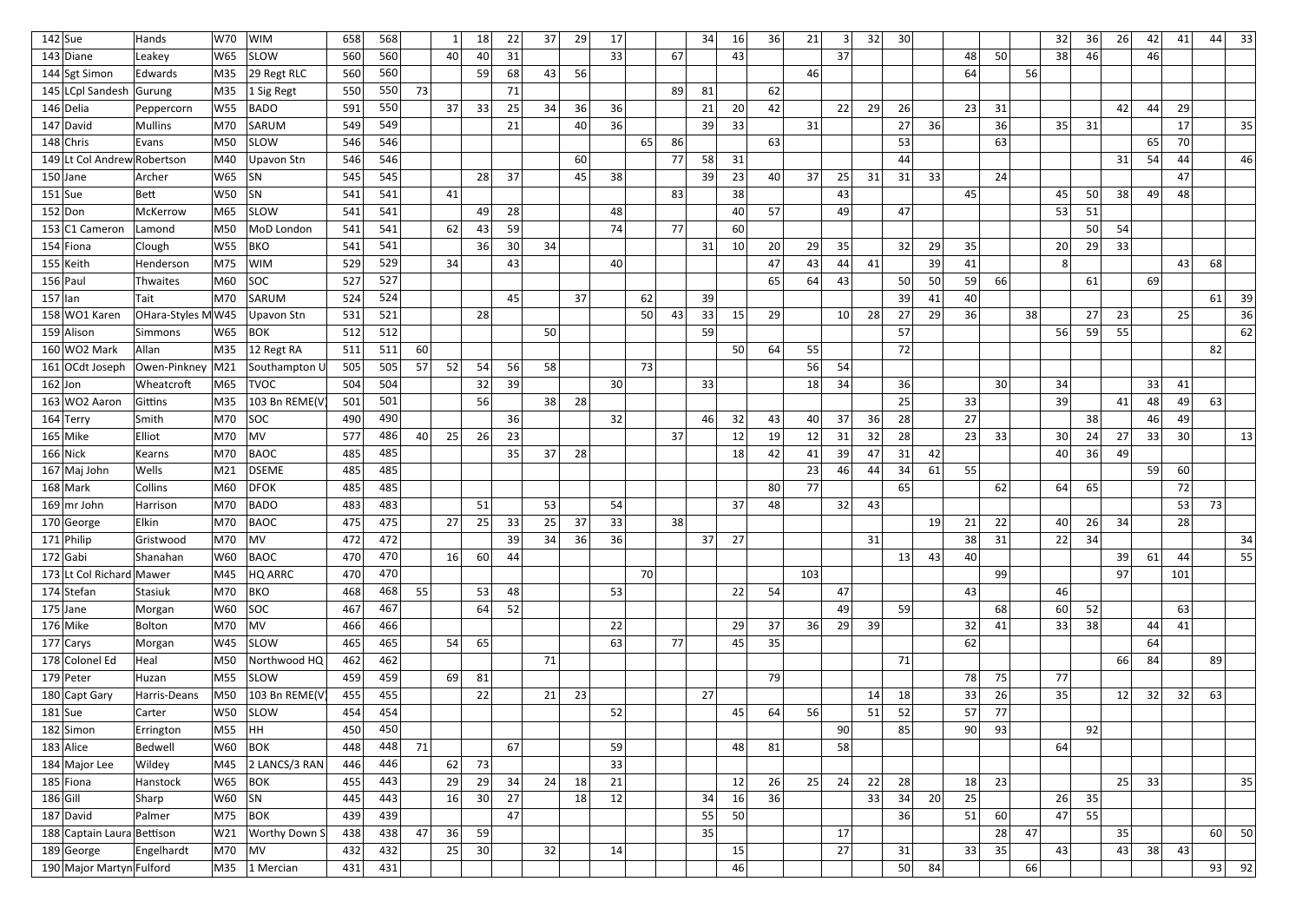| $142$ Sue  |                             | Hands              | W70      | <b>WIM</b>                | 658 | 568 |                 |    | 18 | 22 | 37 | 29 | 17              |    |    | 34 | 16              | 36 | 21  | 3               | 32 | 30 <sup>2</sup> |    |    |    |    | 32              | 36 | 26 | 42 | 41  | 44 | 33 |
|------------|-----------------------------|--------------------|----------|---------------------------|-----|-----|-----------------|----|----|----|----|----|-----------------|----|----|----|-----------------|----|-----|-----------------|----|-----------------|----|----|----|----|-----------------|----|----|----|-----|----|----|
|            | 143 Diane                   | Leakey             | W65      | <b>SLOW</b>               | 560 | 560 |                 | 40 | 40 | 31 |    |    | 33              |    | 67 |    | 43              |    |     | 37              |    |                 |    | 48 | 50 |    | 38              | 46 |    | 46 |     |    |    |
|            | 144 Sgt Simon               | Edwards            | M35      | 29 Regt RLC               | 560 | 560 |                 |    | 59 | 68 | 43 | 56 |                 |    |    |    |                 |    | 46  |                 |    |                 |    | 64 |    | 56 |                 |    |    |    |     |    |    |
|            | 145 LCpl Sandesh            | Gurung             | M35      | 1 Sig Regt                | 550 | 550 | 73              |    |    | 71 |    |    |                 |    | 89 | 81 |                 | 62 |     |                 |    |                 |    |    |    |    |                 |    |    |    |     |    |    |
|            | 146 Delia                   | Peppercorn         | W55      | <b>BADO</b>               | 591 | 550 |                 | 37 | 33 | 25 | 34 | 36 | 36              |    |    | 21 | 20              | 42 |     | 22              | 29 | 26              |    | 23 | 31 |    |                 |    | 42 | 44 | 29  |    |    |
|            | 147 David                   | Mullins            | M70      | SARUM                     | 549 | 549 |                 |    |    | 21 |    | 40 | 36              |    |    | 39 | 33              |    | 31  |                 |    | 27              | 36 |    | 36 |    | 35              | 31 |    |    | 17  |    | 35 |
|            | $148$ Chris                 | Evans              | M50      | <b>SLOW</b>               | 546 | 546 |                 |    |    |    |    |    |                 | 65 | 86 |    |                 | 63 |     |                 |    | 53              |    |    | 63 |    |                 |    |    | 65 | 70  |    |    |
|            | 149 Lt Col Andrew Robertson |                    | M40      | Upavon Stn                | 546 | 546 |                 |    |    |    |    | 60 |                 |    | 77 | 58 | 31              |    |     |                 |    | 44              |    |    |    |    |                 |    | 31 | 54 | 44  |    | 46 |
|            | $150$ Jane                  | Archer             | W65      | <b>SN</b>                 | 545 | 545 |                 |    | 28 | 37 |    | 45 | 38              |    |    | 39 | 23              | 40 | 37  | 25              | 31 | 31              | 33 |    | 24 |    |                 |    |    |    | 47  |    |    |
|            | $151$ Sue                   | Bett               | W50      | SN                        | 541 | 541 |                 | 41 |    |    |    |    |                 |    | 83 |    | 38              |    |     | 43              |    |                 |    | 45 |    |    | 45              | 50 | 38 | 49 | 48  |    |    |
|            | 152 Don                     | McKerrow           | M65      | <b>SLOW</b>               | 541 | 541 |                 |    | 49 | 28 |    |    | 48              |    |    |    | 40              | 57 |     | 49              |    | 47              |    |    |    |    | 53              | 51 |    |    |     |    |    |
|            | 153 C1 Cameron              | Lamond             | M50      | MoD London                | 541 | 541 |                 | 62 | 43 | 59 |    |    | 74              |    | 77 |    | 60              |    |     |                 |    |                 |    |    |    |    |                 | 50 | 54 |    |     |    |    |
|            | $154$ Fiona                 | Clough             | W55      | <b>BKO</b>                | 541 | 541 |                 |    | 36 | 30 | 34 |    |                 |    |    | 31 | 10 <sup>1</sup> | 20 | 29  | 35              |    | 32              | 29 | 35 |    |    | 20              | 29 | 33 |    |     |    |    |
|            | $155$ Keith                 | Henderson          | M75      | <b>WIM</b>                | 529 | 529 |                 | 34 |    | 43 |    |    | 40              |    |    |    |                 | 47 | 43  | 44              | 41 |                 | 39 | 41 |    |    | 8               |    |    |    | 43  | 68 |    |
|            | $156$ Paul                  | Thwaites           | M60      | SOC                       | 527 | 527 |                 |    |    |    |    |    |                 |    |    |    |                 | 65 | 64  | 43              |    | 50              | 50 | 59 | 66 |    |                 | 61 |    | 69 |     |    |    |
| $157$  lan |                             | Tait               | M70      | SARUM                     | 524 | 524 |                 |    |    | 45 |    | 37 |                 | 62 |    | 39 |                 |    |     |                 |    | 39              | 41 | 40 |    |    |                 |    |    |    |     | 61 | 39 |
|            | 158 WO1 Karen               | OHara-Styles MW45  |          | Upavon Stn                | 531 | 521 |                 |    | 28 |    |    |    |                 | 50 | 43 | 33 | 15              | 29 |     | 10 <sup>1</sup> | 28 | 27              | 29 | 36 |    | 38 |                 | 27 | 23 |    | 25  |    | 36 |
|            | 159 Alison                  | Simmons            | W65      | <b>BOK</b>                | 512 | 512 |                 |    |    |    | 50 |    |                 |    |    | 59 |                 |    |     |                 |    | 57              |    |    |    |    | 56              | 59 | 55 |    |     |    | 62 |
|            | 160 WO2 Mark                | Allan              | M35      | 12 Regt RA                | 511 | 511 | 60              |    |    |    |    |    |                 |    |    |    | 50              | 64 | 55  |                 |    | 72              |    |    |    |    |                 |    |    |    |     | 82 |    |
|            | 161 OCdt Joseph             | Owen-Pinkney   M21 |          | Southampton L             | 505 | 505 | 57 <sub>1</sub> | 52 | 54 | 56 | 58 |    |                 | 73 |    |    |                 |    | 56  | 54              |    |                 |    |    |    |    |                 |    |    |    |     |    |    |
| $162$ Jon  |                             | Wheatcroft         | M65      | <b>TVOC</b>               | 504 | 504 |                 |    | 32 | 39 |    |    | 30 <sup>1</sup> |    |    | 33 |                 |    | 18  | 34              |    | 36              |    |    | 30 |    | 34              |    |    | 33 | 41  |    |    |
|            | 163 WO2 Aaron               | Gittins            | M35      | 103 Bn REME(V             | 501 | 501 |                 |    | 56 |    | 38 | 28 |                 |    |    |    |                 |    |     |                 |    | 25 <sub>1</sub> |    | 33 |    |    | 39              |    | 41 | 48 | 49  | 63 |    |
|            | $164$ Terry                 | Smith              | M70      | SOC                       | 490 | 490 |                 |    |    | 36 |    |    | 32              |    |    | 46 | 32              | 43 | 40  | 37              | 36 | 28              |    | 27 |    |    |                 | 38 |    | 46 | 49  |    |    |
|            | $165$ Mike                  | Elliot             | M70      | <b>MV</b>                 | 577 | 486 | 40 <sup>1</sup> | 25 | 26 | 23 |    |    |                 |    | 37 |    | 12              | 19 | 12  | 31              | 32 | 28              |    | 23 | 33 |    | 30 <sup>2</sup> | 24 | 27 | 33 | 30  |    | 13 |
|            | $166$ Nick                  | Kearns             | M70      | <b>BAOC</b>               | 485 | 485 |                 |    |    | 35 | 37 | 28 |                 |    |    |    | 18              | 42 | 41  | 39              | 47 | 31              | 42 |    |    |    | 40              | 36 | 49 |    |     |    |    |
|            | 167 Maj John                | Wells              | M21      | <b>DSEME</b>              | 485 | 485 |                 |    |    |    |    |    |                 |    |    |    |                 |    | 23  | 46              | 44 | 34              | 61 | 55 |    |    |                 |    |    | 59 | 60  |    |    |
|            | $168$ Mark                  | Collins            | M60      | <b>DFOK</b>               | 485 | 485 |                 |    |    |    |    |    |                 |    |    |    |                 | 80 | 77  |                 |    | 65              |    |    | 62 |    | 64              | 65 |    |    | 72  |    |    |
|            | $169$ mr John               | Harrison           | M70      | <b>BADO</b>               | 483 | 483 |                 |    | 51 |    | 53 |    | 54              |    |    |    | 37              | 48 |     | 32              | 43 |                 |    |    |    |    |                 |    |    |    | 53  | 73 |    |
|            | 170 George                  | Elkin              | M70      | BAOC                      | 475 | 475 |                 | 27 | 25 | 33 | 25 | 37 | 33              |    | 38 |    |                 |    |     |                 |    |                 | 19 | 21 | 22 |    | 40              | 26 | 34 |    | 28  |    |    |
|            | $171$ Philip                | Gristwood          | M70      | MV                        | 472 | 472 |                 |    |    | 39 | 34 | 36 | 36              |    |    | 37 | 27              |    |     |                 | 31 |                 |    | 38 | 31 |    | 22              | 34 |    |    |     |    | 34 |
|            | $172$ Gabi                  | Shanahan           | W60      | <b>BAOC</b>               | 470 | 470 |                 | 16 | 60 | 44 |    |    |                 |    |    |    |                 |    |     |                 |    | 13              | 43 | 40 |    |    |                 |    | 39 | 61 | 44  |    | 55 |
|            | 173 Lt Col Richard Mawer    |                    | M45      | HQ ARRC                   | 470 | 470 |                 |    |    |    |    |    |                 | 70 |    |    |                 |    | 103 |                 |    |                 |    |    | 99 |    |                 |    | 97 |    | 101 |    |    |
|            | $174$ Stefan                | Stasiuk            | M70      | <b>BKO</b>                | 468 | 468 | 55              |    | 53 | 48 |    |    | 53              |    |    |    | 22              | 54 |     | 47              |    |                 |    | 43 |    |    | 46              |    |    |    |     |    |    |
|            | $175$ Jane                  | Morgan             | W60      | SOC                       | 467 | 467 |                 |    | 64 | 52 |    |    |                 |    |    |    |                 |    |     | 49              |    | 59              |    |    | 68 |    | 60              | 52 |    |    | 63  |    |    |
|            | $176$ Mike                  | Bolton             | M70      | MV                        | 466 | 466 |                 |    |    |    |    |    | 22              |    |    |    | 29              | 37 | 36  | 29              | 39 |                 |    | 32 | 41 |    | 33              | 38 |    | 44 | 41  |    |    |
|            | $177$ Carys                 | Morgan             | W45      | <b>SLOW</b>               | 465 | 465 |                 | 54 | 65 |    |    |    | 63              |    | 77 |    | 45              | 35 |     |                 |    |                 |    | 62 |    |    |                 |    |    | 64 |     |    |    |
|            | 178 Colonel Ed              | Heal               | M50      | Northwood HQ              | 462 | 462 |                 |    |    |    | 71 |    |                 |    |    |    |                 |    |     |                 |    | 71              |    |    |    |    |                 |    | 66 | 84 |     | 89 |    |
|            | $179$ Peter                 | Huzan              | M55      | <b>SLOW</b>               | 459 | 459 |                 | 69 | 81 |    |    |    |                 |    |    |    |                 | 79 |     |                 |    |                 |    | 78 | 75 |    | 77              |    |    |    |     |    |    |
|            | 180 Capt Gary               | Harris-Deans       | M50      | 103 Bn REME(V             | 455 | 455 |                 |    | 22 |    | 21 | 23 |                 |    |    | 27 |                 |    |     |                 | 14 | 18              |    | 33 | 26 |    | 35              |    | 12 | 32 | 32  | 63 |    |
|            | $181$ Sue                   | Carter             | W50      | <b>SLOW</b>               | 454 | 454 |                 |    |    |    |    |    | 52              |    |    |    | 45              | 64 | 56  |                 | 51 | 52              |    | 57 | 77 |    |                 |    |    |    |     |    |    |
|            | $182$ Simon                 | Errington          | M55      | HH                        | 450 | 450 |                 |    |    |    |    |    |                 |    |    |    |                 |    |     | 90              |    | 85              |    | 90 | 93 |    |                 | 92 |    |    |     |    |    |
|            | $183$ Alice                 | Bedwell            | W60  BOK |                           | 448 | 448 | 71              |    |    | 67 |    |    | 59              |    |    |    | 48              | 81 |     | 58              |    |                 |    |    |    |    | 64              |    |    |    |     |    |    |
|            | 184 Major Lee               | Wildey             |          | M45 2 LANCS/3 RAN         | 446 | 446 |                 | 62 | 73 |    |    |    | 33              |    |    |    |                 |    |     |                 |    |                 |    |    |    |    |                 |    |    |    |     |    |    |
|            | $185$ Fiona                 | Hanstock           | W65      | <b>BOK</b>                | 455 | 443 |                 | 29 | 29 | 34 | 24 | 18 | 21              |    |    |    | 12              | 26 | 25  | 24              | 22 | 28              |    | 18 | 23 |    |                 |    | 25 | 33 |     |    | 35 |
| $186$ Gill |                             | Sharp              | $W60$ SN |                           | 445 | 443 |                 | 16 | 30 | 27 |    | 18 | 12              |    |    | 34 | 16              | 36 |     |                 | 33 | 34              | 20 | 25 |    |    | 26              | 35 |    |    |     |    |    |
|            | $187$ David                 | Palmer             | M75      | $ $ BOK                   | 439 | 439 |                 |    |    | 47 |    |    |                 |    |    | 55 | 50              |    |     |                 |    | 36              |    | 51 | 60 |    | 47              | 55 |    |    |     |    |    |
|            | 188 Captain Laura Bettison  |                    | W21      | <b>Worthy Down S</b>      | 438 | 438 | 47              | 36 | 59 |    |    |    |                 |    |    | 35 |                 |    |     | 17              |    |                 |    |    | 28 | 47 |                 |    | 35 |    |     | 60 | 50 |
|            | $189$ George                | Engelhardt         | M70      | $\overline{\mathsf{M}}$ V | 432 | 432 |                 | 25 | 30 |    | 32 |    | 14              |    |    |    | 15              |    |     | 27              |    | 31              |    | 33 | 35 |    | 43              |    | 43 | 38 | 43  |    |    |
|            | 190 Major Martyn Fulford    |                    |          | M35 1 Mercian             | 431 | 431 |                 |    |    |    |    |    |                 |    |    |    | 46              |    |     |                 |    | 50              | 84 |    |    | 66 |                 |    |    |    |     | 93 | 92 |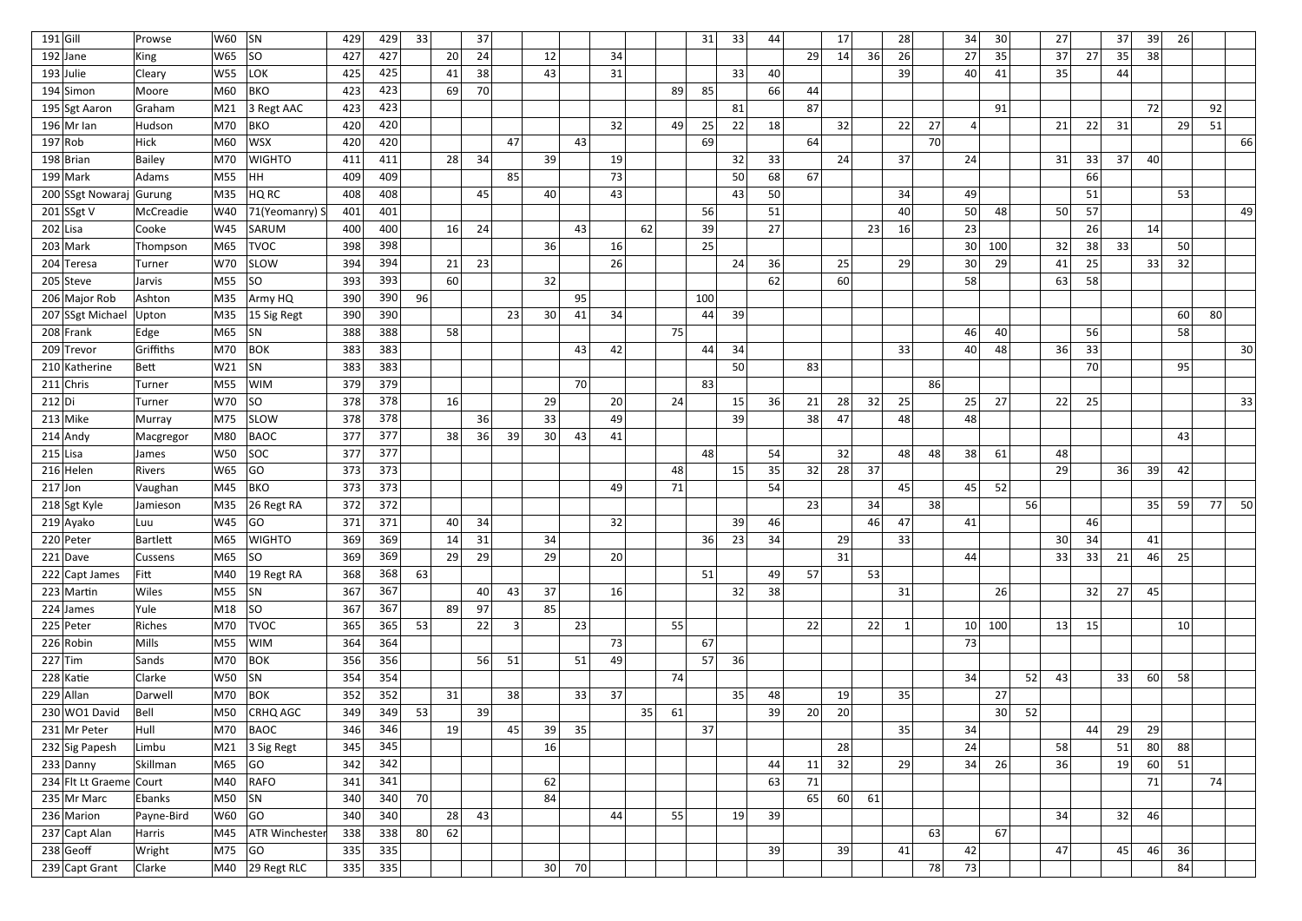| $191$ Gill |                         | Prowse        | W60        | SN                              | 429 | 429 | 33 |                 | 37 |                |    |    |                 |    |    | 31  | 33              | 44 |    | 17 |    | 28           |    | 34              | 30  |    | 27              |    | 37 | 39 | 26 |          |
|------------|-------------------------|---------------|------------|---------------------------------|-----|-----|----|-----------------|----|----------------|----|----|-----------------|----|----|-----|-----------------|----|----|----|----|--------------|----|-----------------|-----|----|-----------------|----|----|----|----|----------|
|            | $192$ Jane              | King          | W65        | SO                              | 427 | 427 |    | 20 <sup>1</sup> | 24 |                | 12 |    | 34              |    |    |     |                 |    | 29 | 14 | 36 | 26           |    | 27              | 35  |    | 37              | 27 | 35 | 38 |    |          |
|            | $193$ Julie             | Cleary        | W55        | LOK <sup>1</sup>                | 425 | 425 |    | 41              | 38 |                | 43 |    | 31              |    |    |     | 33              | 40 |    |    |    | 39 I         |    | 40              | 41  |    | 35              |    | 44 |    |    |          |
|            | $194$ Simon             | Moore         | M60        | <b>BKO</b>                      | 423 | 423 |    | 69              | 70 |                |    |    |                 |    | 89 | 85  |                 | 66 | 44 |    |    |              |    |                 |     |    |                 |    |    |    |    |          |
|            | 195 Sgt Aaron           | Graham        | M21        | 3 Regt AAC                      | 423 | 423 |    |                 |    |                |    |    |                 |    |    |     | 81              |    | 87 |    |    |              |    |                 | 91  |    |                 |    |    | 72 |    | 92       |
|            | $196$ Mr Ian            | Hudson        | M70        | BKO                             | 420 | 420 |    |                 |    |                |    |    | 32              |    | 49 | 25  | 22              | 18 |    | 32 |    | 22           | 27 | $\vert$         |     |    | 21              | 22 | 31 |    | 29 | 51       |
|            | 197 Rob                 | <b>Hick</b>   | M60        | WSX                             | 420 | 420 |    |                 |    | 47             |    | 43 |                 |    |    | 69  |                 |    | 64 |    |    |              | 70 |                 |     |    |                 |    |    |    |    | 66       |
|            | $198$ Brian             | <b>Bailey</b> | M70        | <b>WIGHTO</b>                   | 411 | 411 |    | 28              | 34 |                | 39 |    | 19              |    |    |     | 32              | 33 |    | 24 |    | 37           |    | 24              |     |    | 31              | 33 | 37 | 40 |    |          |
|            | $199$ Mark              | Adams         | M55        | HH.                             | 409 | 409 |    |                 |    | 85             |    |    | 73              |    |    |     | 50              | 68 | 67 |    |    |              |    |                 |     |    |                 | 66 |    |    |    |          |
|            | 200 SSgt Nowaraj Gurung |               | M35        | HQ RC                           | 408 | 408 |    |                 | 45 |                | 40 |    | 43              |    |    |     | 43              | 50 |    |    |    | 34           |    | 49              |     |    |                 | 51 |    |    | 53 |          |
|            | 201 $ SSgtV$            | McCreadie     | W40        | 71(Yeomanry) S                  | 401 | 401 |    |                 |    |                |    |    |                 |    |    | 56  |                 | 51 |    |    |    | 40           |    | 50              | 48  |    | 50              | 57 |    |    |    | 49       |
|            | $202$ Lisa              | Cooke         | W45        | SARUM                           | 400 | 400 |    | 16              | 24 |                |    | 43 |                 | 62 |    | 39  |                 | 27 |    |    | 23 | 16           |    | 23              |     |    |                 | 26 |    | 14 |    |          |
|            | $203$ Mark              | Thompson      | M65        | <b>TVOC</b>                     | 398 | 398 |    |                 |    |                | 36 |    | 16              |    |    | 25  |                 |    |    |    |    |              |    | 30 <sup>2</sup> | 100 |    | 32              | 38 | 33 |    | 50 |          |
|            | 204 Teresa              | Turner        | W70        | <b>SLOW</b>                     | 394 | 394 |    | 21              | 23 |                |    |    | 26              |    |    |     | 24              | 36 |    | 25 |    | 29           |    | 30              | 29  |    | 41              | 25 |    | 33 | 32 |          |
|            | $205$ Steve             | Jarvis        | M55        | SO                              | 393 | 393 |    | 60              |    |                | 32 |    |                 |    |    |     |                 | 62 |    | 60 |    |              |    | 58              |     |    | 63              | 58 |    |    |    |          |
|            | 206 Major Rob           | Ashton        | M35        | Army HQ                         | 390 | 390 | 96 |                 |    |                |    | 95 |                 |    |    | 100 |                 |    |    |    |    |              |    |                 |     |    |                 |    |    |    |    |          |
|            | 207 SSgt Michael        | Upton         | M35        | 15 Sig Regt                     | 390 | 390 |    |                 |    | 23             | 30 | 41 | 34              |    |    | 44  | 39              |    |    |    |    |              |    |                 |     |    |                 |    |    |    | 60 | 80       |
|            | 208 Frank               | Edge          | M65        | SN                              | 388 | 388 |    | 58              |    |                |    |    |                 |    | 75 |     |                 |    |    |    |    |              |    | 46              | 40  |    |                 | 56 |    |    | 58 |          |
|            | 209 Trevor              | Griffiths     | M70        | BOK                             | 383 | 383 |    |                 |    |                |    | 43 | 42              |    |    | 44  | 34              |    |    |    |    | 33           |    | 40              | 48  |    | 36              | 33 |    |    |    | 30       |
|            | 210 Katherine           | Bett          | W21        | SN                              | 383 | 383 |    |                 |    |                |    |    |                 |    |    |     | 50 <sub>1</sub> |    | 83 |    |    |              |    |                 |     |    |                 | 70 |    |    | 95 |          |
|            | $211$ Chris             | Turner        | M55        | <b>WIM</b>                      | 379 | 379 |    |                 |    |                |    | 70 |                 |    |    | 83  |                 |    |    |    |    |              | 86 |                 |     |    |                 |    |    |    |    |          |
| $212$ Di   |                         | Turner        | W70        | SO                              | 378 | 378 |    | 16              |    |                | 29 |    | 20 <sup>1</sup> |    | 24 |     | 15              | 36 | 21 | 28 | 32 | 25           |    | 25              | 27  |    | 22              | 25 |    |    |    | 33       |
|            | $213$ Mike              | Murray        | M75        | <b>SLOW</b>                     | 378 | 378 |    |                 | 36 |                | 33 |    | 49              |    |    |     | 39              |    | 38 | 47 |    | 48           |    | 48              |     |    |                 |    |    |    |    |          |
|            | $214$ Andy              | Macgregor     | M80        | BAOC                            | 377 | 377 |    | 38 <sup>2</sup> | 36 | 39             | 30 | 43 | 41              |    |    |     |                 |    |    |    |    |              |    |                 |     |    |                 |    |    |    | 43 |          |
|            | $215$ Lisa              | James         | <b>W50</b> | SOC                             | 377 | 377 |    |                 |    |                |    |    |                 |    |    | 48  |                 | 54 |    | 32 |    | 48           | 48 | 38              | 61  |    | 48              |    |    |    |    |          |
|            | $216$ Helen             | Rivers        | W65        | GO                              | 373 | 373 |    |                 |    |                |    |    |                 |    | 48 |     | 15              | 35 | 32 | 28 | 37 |              |    |                 |     |    | 29              |    | 36 | 39 | 42 |          |
| $217$ Jon  |                         | Vaughan       | M45        | <b>BKO</b>                      | 373 | 373 |    |                 |    |                |    |    | 49              |    | 71 |     |                 | 54 |    |    |    | 45           |    | 45              | 52  |    |                 |    |    |    |    |          |
|            | 218 Sgt Kyle            | Jamieson      | M35        | 26 Regt RA                      | 372 | 372 |    |                 |    |                |    |    |                 |    |    |     |                 |    | 23 |    | 34 |              | 38 |                 |     | 56 |                 |    |    | 35 | 59 | 77<br>50 |
|            | 219 Ayako               | Luu           | W45        | GO                              | 371 | 371 |    | 40              | 34 |                |    |    | 32              |    |    |     | 39              | 46 |    |    | 46 | 47           |    | 41              |     |    |                 | 46 |    |    |    |          |
|            | $220$ Peter             | Bartlett      | M65        | WIGHTO                          | 369 | 369 |    | 14              | 31 |                | 34 |    |                 |    |    | 36  | 23              | 34 |    | 29 |    | 33           |    |                 |     |    | 30 <sup>2</sup> | 34 |    | 41 |    |          |
|            | $221$ Dave              | Cussens       | M65        | SO                              | 369 | 369 |    | 29              | 29 |                | 29 |    | 20 <sup>1</sup> |    |    |     |                 |    |    | 31 |    |              |    | 44              |     |    | 33              | 33 | 21 | 46 | 25 |          |
|            | 222 Capt James          | Fitt          | M40        | $ 19$ Regt RA                   | 368 | 368 | 63 |                 |    |                |    |    |                 |    |    | 51  |                 | 49 | 57 |    | 53 |              |    |                 |     |    |                 |    |    |    |    |          |
|            | $223$ Martin            | Wiles         | M55        | $ $ SN                          | 367 | 367 |    |                 | 40 | 43             | 37 |    | 16              |    |    |     | 32              | 38 |    |    |    | 31           |    |                 | 26  |    |                 | 32 | 27 | 45 |    |          |
|            | $224$ James             | Yule          | M18        | SO                              | 367 | 367 |    | 89              | 97 |                | 85 |    |                 |    |    |     |                 |    |    |    |    |              |    |                 |     |    |                 |    |    |    |    |          |
|            | $225$ Peter             | Riches        | M70        | <b>TVOC</b>                     | 365 | 365 | 53 |                 | 22 | $\overline{3}$ |    | 23 |                 |    | 55 |     |                 |    | 22 |    | 22 | $\mathbf{1}$ |    | 10 <sup>1</sup> | 100 |    | 13              | 15 |    |    | 10 |          |
|            | $226$ Robin             | Mills         | M55        | <b>WIM</b>                      | 364 | 364 |    |                 |    |                |    |    | 73              |    |    | 67  |                 |    |    |    |    |              |    | 73              |     |    |                 |    |    |    |    |          |
|            | $227$ Tim               | Sands         | M70        | $ $ BOK                         | 356 | 356 |    |                 | 56 | 51             |    | 51 | 49              |    |    | 57  | 36              |    |    |    |    |              |    |                 |     |    |                 |    |    |    |    |          |
|            | $228$ Katie             | Clarke        | W50        | SN                              | 354 | 354 |    |                 |    |                |    |    |                 |    | 74 |     |                 |    |    |    |    |              |    | 34              |     | 52 | 43              |    | 33 | 60 | 58 |          |
|            | $229$ Allan             | Darwell       | M70        | $ $ BOK                         | 352 | 352 |    | 31              |    | 38             |    | 33 | 37              |    |    |     | 35              | 48 |    | 19 |    | 35           |    |                 | 27  |    |                 |    |    |    |    |          |
|            | 230 WO1 David           | Bell          | M50        | <b>CRHQ AGC</b>                 | 349 | 349 | 53 |                 | 39 |                |    |    |                 | 35 | 61 |     |                 | 39 | 20 | 20 |    |              |    |                 | 30  | 52 |                 |    |    |    |    |          |
|            | 231 Mr Peter            | Hull          | M70        | BAOC                            | 346 | 346 |    | 19              |    | 45             | 39 | 35 |                 |    |    | 37  |                 |    |    |    |    | 35           |    | 34              |     |    |                 | 44 | 29 | 29 |    |          |
|            | 232 Sig Papesh          | Limbu         | M21        | 3 Sig Regt                      | 345 | 345 |    |                 |    |                | 16 |    |                 |    |    |     |                 |    |    | 28 |    |              |    | 24              |     |    | 58              |    | 51 | 80 | 88 |          |
|            | $233$ Danny             | Skillman      | M65        | GO                              | 342 | 342 |    |                 |    |                |    |    |                 |    |    |     |                 | 44 | 11 | 32 |    | 29           |    | 34              | 26  |    | 36              |    | 19 | 60 | 51 |          |
|            | 234 Flt Lt Graeme Court |               | M40        | <b>RAFO</b>                     | 341 | 341 |    |                 |    |                | 62 |    |                 |    |    |     |                 | 63 | 71 |    |    |              |    |                 |     |    |                 |    |    | 71 |    | 74       |
|            | 235 Mr Marc             | Ebanks        | M50        | SN                              | 340 | 340 | 70 |                 |    |                | 84 |    |                 |    |    |     |                 |    | 65 | 60 | 61 |              |    |                 |     |    |                 |    |    |    |    |          |
|            | 236 Marion              | Payne-Bird    | W60        | GO                              | 340 | 340 |    | 28              | 43 |                |    |    | 44              |    | 55 |     | 19              | 39 |    |    |    |              |    |                 |     |    | 34              |    | 32 | 46 |    |          |
|            | 237 Capt Alan           | Harris        | M45        | <b>ATR Winchester</b>           | 338 | 338 | 80 | 62              |    |                |    |    |                 |    |    |     |                 |    |    |    |    |              | 63 |                 | 67  |    |                 |    |    |    |    |          |
|            | $238$ Geoff             | Wright        | M75        | GO                              | 335 | 335 |    |                 |    |                |    |    |                 |    |    |     |                 | 39 |    | 39 |    | 41           |    | 42              |     |    | 47              |    | 45 | 46 | 36 |          |
|            | $239$ Capt Grant        | Clarke        |            | $\vert$ M40 $\vert$ 29 Regt RLC | 335 | 335 |    |                 |    |                | 30 | 70 |                 |    |    |     |                 |    |    |    |    |              | 78 | 73              |     |    |                 |    |    |    | 84 |          |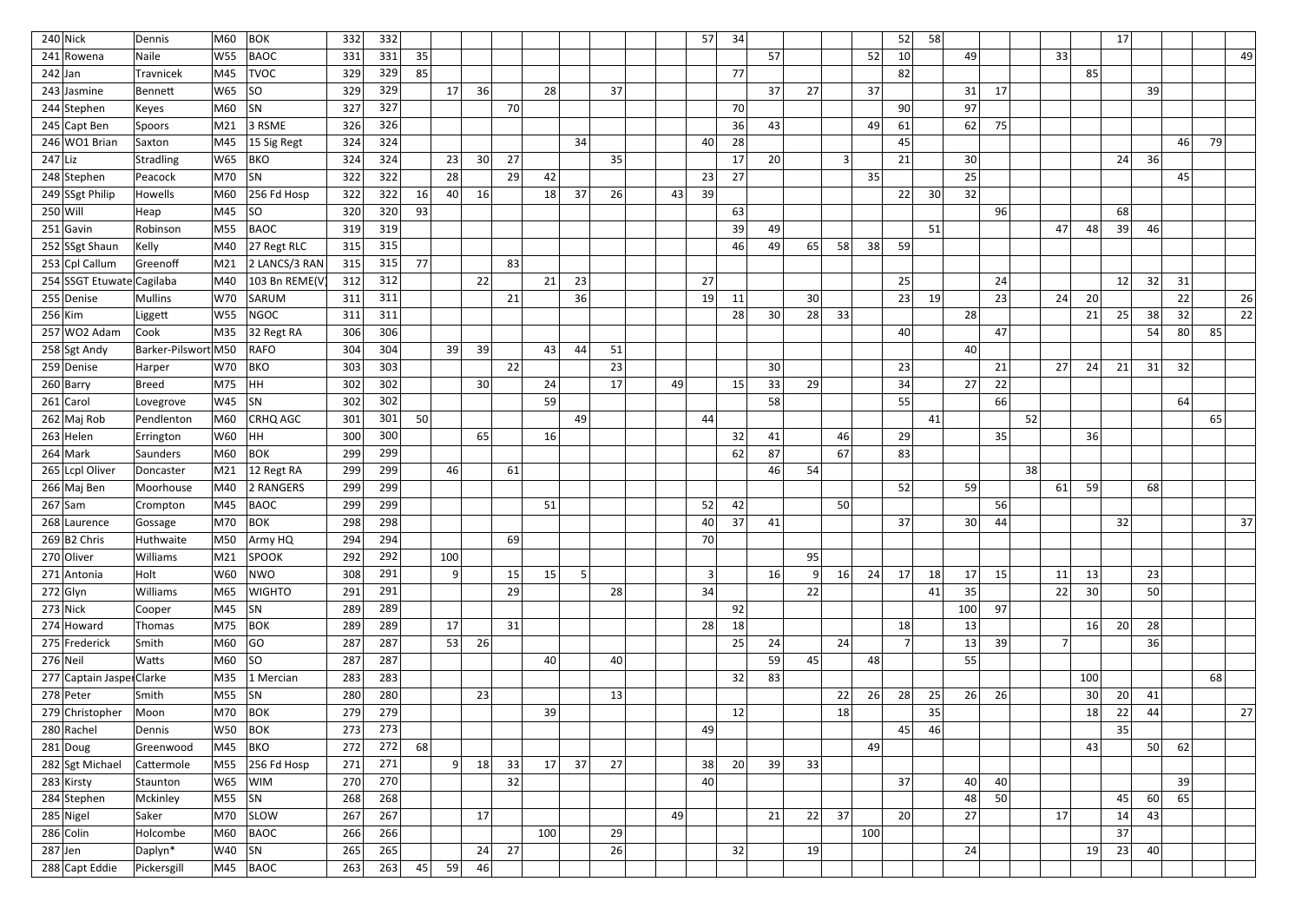|            | $240$ Nick                | Dennis              | M60     | <b>BOK</b>             | 332 | 332 |    |           |    |    |                 |    |    |    | 57 | 34 |    |              |              |     | 52             | 58 |                 |                 |    |                |     | 17              |    |    |    |     |
|------------|---------------------------|---------------------|---------|------------------------|-----|-----|----|-----------|----|----|-----------------|----|----|----|----|----|----|--------------|--------------|-----|----------------|----|-----------------|-----------------|----|----------------|-----|-----------------|----|----|----|-----|
|            | 241 Rowena                | Naile               | W55     | <b>BAOC</b>            | 331 | 331 | 35 |           |    |    |                 |    |    |    |    |    | 57 |              |              | 52  | 10             |    | 49              |                 |    | 33             |     |                 |    |    |    | 49  |
| $242$ Jan  |                           | Travnicek           | M45     | <b>TVOC</b>            | 329 | 329 | 85 |           |    |    |                 |    |    |    |    | 77 |    |              |              |     | 82             |    |                 |                 |    |                | 85  |                 |    |    |    |     |
|            | $243$ Jasmine             | Bennett             | W65     | SO                     | 329 | 329 |    | 17        | 36 |    | 28              |    | 37 |    |    |    | 37 | 27           |              | 37  |                |    | 31              | 17              |    |                |     |                 | 39 |    |    |     |
|            | 244 Stephen               | Keyes               | M60     | SN                     | 327 | 327 |    |           |    | 70 |                 |    |    |    |    | 70 |    |              |              |     | 90             |    | 97              |                 |    |                |     |                 |    |    |    |     |
|            | 245 Capt Ben              | Spoors              | M21     | 3 RSME                 | 326 | 326 |    |           |    |    |                 |    |    |    |    | 36 | 43 |              |              | 49  | 61             |    | 62              | 75              |    |                |     |                 |    |    |    |     |
|            | 246 WO1 Brian             | Saxton              | M45     | 15 Sig Regt            | 324 | 324 |    |           |    |    |                 | 34 |    |    | 40 | 28 |    |              |              |     | 45             |    |                 |                 |    |                |     |                 |    | 46 | 79 |     |
| $247$ Liz  |                           | Stradling           | W65     | <b>BKO</b>             | 324 | 324 |    | 23        | 30 | 27 |                 |    | 35 |    |    | 17 | 20 |              | $\mathbf{3}$ |     | 21             |    | 30              |                 |    |                |     | 24              | 36 |    |    |     |
|            | 248 Stephen               | Peacock             | M70     | SN                     | 322 | 322 |    | 28        |    | 29 | 42              |    |    |    | 23 | 27 |    |              |              | 35  |                |    | 25              |                 |    |                |     |                 |    | 45 |    |     |
|            | 249 SSgt Philip           | Howells             | M60     | $256$ Fd Hosp          | 322 | 322 | 16 | 40        | 16 |    | 18              | 37 | 26 | 43 | 39 |    |    |              |              |     | 22             | 30 | 32              |                 |    |                |     |                 |    |    |    |     |
| $250$ Will |                           | Heap                | M45     | SO                     | 320 | 320 | 93 |           |    |    |                 |    |    |    |    | 63 |    |              |              |     |                |    |                 | 96              |    |                |     | 68              |    |    |    |     |
|            | $251$ Gavin               | Robinson            | M55     | <b>BAOC</b>            | 319 | 319 |    |           |    |    |                 |    |    |    |    | 39 | 49 |              |              |     |                | 51 |                 |                 |    | 47             | 48  | 39              | 46 |    |    |     |
|            | 252 SSgt Shaun            | Kelly               | M40     | 27 Regt RLC            | 315 | 315 |    |           |    |    |                 |    |    |    |    | 46 | 49 | 65           | 58           | 38  | 59             |    |                 |                 |    |                |     |                 |    |    |    |     |
|            | 253 Cpl Callum            | Greenoff            | M21     | 2 LANCS/3 RAN          | 315 | 315 | 77 |           |    | 83 |                 |    |    |    |    |    |    |              |              |     |                |    |                 |                 |    |                |     |                 |    |    |    |     |
|            | 254 SSGT Etuwate Cagilaba |                     | M40     | 103 Bn REME(V          | 312 | 312 |    |           | 22 |    | 21              | 23 |    |    | 27 |    |    |              |              |     | 25             |    |                 | 24              |    |                |     | 12              | 32 | 31 |    |     |
|            | 255 Denise                | Mullins             | W70     | SARUM                  | 311 | 311 |    |           |    | 21 |                 | 36 |    |    | 19 | 11 |    | 30           |              |     | 23             | 19 |                 | 23              |    | 24             | 20  |                 |    | 22 |    | 26  |
| $256$ Kim  |                           | Liggett             | W55     | <b>NGOC</b>            | 311 | 311 |    |           |    |    |                 |    |    |    |    | 28 | 30 | 28           | 33           |     |                |    | 28              |                 |    |                | 21  | 25              | 38 | 32 |    | 22  |
|            | $257$ WO2 Adam            | Cook                | M35     | 32 Regt RA             | 306 | 306 |    |           |    |    |                 |    |    |    |    |    |    |              |              |     | 40             |    |                 | 47              |    |                |     |                 | 54 | 80 | 85 |     |
|            | 258 Sgt Andy              | Barker-Pilswort M50 |         | RAFO                   | 304 | 304 |    | 39        | 39 |    | 43              | 44 | 51 |    |    |    |    |              |              |     |                |    | 40              |                 |    |                |     |                 |    |    |    |     |
|            | 259 Denise                | Harper              | W70     | <b>BKO</b>             | 303 | 303 |    |           |    | 22 |                 |    | 23 |    |    |    | 30 |              |              |     | 23             |    |                 | 21              |    | 27             | 24  | 21              | 31 | 32 |    |     |
|            | $260$ Barry               | Breed               | M75     | HH                     | 302 | 302 |    |           | 30 |    | 24              |    | 17 | 49 |    | 15 | 33 | 29           |              |     | 34             |    | 27              | 22              |    |                |     |                 |    |    |    |     |
|            | $261$ Carol               | Lovegrove           | W45     | SN                     | 302 | 302 |    |           |    |    | 59              |    |    |    |    |    | 58 |              |              |     | 55             |    |                 | <b>66</b>       |    |                |     |                 |    | 64 |    |     |
|            | $262$ Maj Rob             | Pendlenton          | M60     | <b>CRHQ AGC</b>        | 301 | 301 | 50 |           |    |    |                 | 49 |    |    | 44 |    |    |              |              |     |                | 41 |                 |                 | 52 |                |     |                 |    |    | 65 |     |
|            | $263$ Helen               | Errington           | W60     | HH                     | 300 | 300 |    |           | 65 |    | 16              |    |    |    |    | 32 | 41 |              | 46           |     | 29             |    |                 | 35 <sup>1</sup> |    |                | 36  |                 |    |    |    |     |
|            | $264$ Mark                | Saunders            | M60     | <b>BOK</b>             | 299 | 299 |    |           |    |    |                 |    |    |    |    | 62 | 87 |              | 67           |     | 83             |    |                 |                 |    |                |     |                 |    |    |    |     |
|            | 265 Lcpl Oliver           | Doncaster           | M21     | 12 Regt RA             | 299 | 299 |    | 46        |    | 61 |                 |    |    |    |    |    | 46 | 54           |              |     |                |    |                 |                 | 38 |                |     |                 |    |    |    |     |
|            | 266 Maj Ben               | Moorhouse           | M40     | 2 RANGERS              | 299 | 299 |    |           |    |    |                 |    |    |    |    |    |    |              |              |     | 52             |    | 59              |                 |    | 61             | 59  |                 | 68 |    |    |     |
|            | $267$ Sam                 | Crompton            | M45     | BAOC                   | 299 | 299 |    |           |    |    | 51              |    |    |    | 52 | 42 |    |              | 50           |     |                |    |                 | 56              |    |                |     |                 |    |    |    |     |
|            | 268 Laurence              | Gossage             |         | M70 BOK                | 298 | 298 |    |           |    |    |                 |    |    |    | 40 | 37 | 41 |              |              |     | 37             |    | 30 <sup>2</sup> | 44              |    |                |     | 32              |    |    |    | -37 |
|            | $269 B2$ Chris            | Huthwaite           | M50     | Army HQ                | 294 | 294 |    |           |    | 69 |                 |    |    |    | 70 |    |    |              |              |     |                |    |                 |                 |    |                |     |                 |    |    |    |     |
|            | 270 Oliver                | Williams            | M21     | <b>SPOOK</b>           | 292 | 292 |    | 100       |    |    |                 |    |    |    |    |    |    | 95           |              |     |                |    |                 |                 |    |                |     |                 |    |    |    |     |
|            | 271 Antonia               | Holt                | W60     | NWO                    | 308 | 291 |    | $\vert$ 9 |    | 15 | 15              | 5  |    |    | 3  |    | 16 | $\mathsf{Q}$ | 16           | 24  | 17             | 18 | 17              | 15              |    | 11             | 13  |                 | 23 |    |    |     |
|            | $272$ Glyn                | <b>Williams</b>     | M65     | <b>WIGHTO</b>          | 291 | 291 |    |           |    | 29 |                 |    | 28 |    | 34 |    |    | 22           |              |     |                | 41 | 35              |                 |    | 22             | 30  |                 | 50 |    |    |     |
|            | $273$ Nick                | Cooper              | M45  SN |                        | 289 | 289 |    |           |    |    |                 |    |    |    |    | 92 |    |              |              |     |                |    | 100             | 97              |    |                |     |                 |    |    |    |     |
|            | $274$ Howard              | Thomas              | M75     | $ $ BOK                | 289 | 289 |    | 17        |    | 31 |                 |    |    |    | 28 | 18 |    |              |              |     | 18             |    | 13              |                 |    |                | 16  | 20              | 28 |    |    |     |
|            | 275 Frederick             | Smith               | M60     | GO                     | 287 | 287 |    | 53        | 26 |    |                 |    |    |    |    | 25 | 24 |              | 24           |     | $\overline{7}$ |    | 13              | 39              |    | 7 <sup>1</sup> |     |                 | 36 |    |    |     |
|            | $276$ Neil                | Watts               | M60  SO |                        | 287 | 287 |    |           |    |    | 40 <sup>1</sup> |    | 40 |    |    |    | 59 | 45           |              | 48  |                |    | 55              |                 |    |                |     |                 |    |    |    |     |
|            | 277 Captain Jaspe Clarke  |                     | M35     | $ 1$ Mercian           | 283 | 283 |    |           |    |    |                 |    |    |    |    | 32 | 83 |              |              |     |                |    |                 |                 |    |                | 100 |                 |    |    | 68 |     |
|            | 278 Peter                 | Smith               | M55     | SN                     | 280 | 280 |    |           | 23 |    |                 |    | 13 |    |    |    |    |              | 22           | 26  | 28             | 25 | 26              | 26              |    |                | 30  | 20 <sup>1</sup> | 41 |    |    |     |
|            | 279 Christopher           | Moon                | M70     | $ $ BOK                | 279 | 279 |    |           |    |    | 39              |    |    |    |    | 12 |    |              | 18           |     |                | 35 |                 |                 |    |                | 18  | 22              | 44 |    |    | 27  |
|            | 280 Rachel                | Dennis              | W50     | <b>BOK</b>             | 273 | 273 |    |           |    |    |                 |    |    |    | 49 |    |    |              |              |     | 45             | 46 |                 |                 |    |                |     | 35              |    |    |    |     |
|            | $281$ Doug                | Greenwood           | M45     | BKO                    | 272 | 272 | 68 |           |    |    |                 |    |    |    |    |    |    |              |              | 49  |                |    |                 |                 |    |                | 43  |                 | 50 | 62 |    |     |
|            | 282 Sgt Michael           | Cattermole          | M55     | $ 256$ Fd Hosp         | 271 | 271 |    | 9         | 18 | 33 | 17              | 37 | 27 |    | 38 | 20 | 39 | 33           |              |     |                |    |                 |                 |    |                |     |                 |    |    |    |     |
|            | 283 Kirsty                | Staunton            | W65     | <b>WIM</b>             | 270 | 270 |    |           |    | 32 |                 |    |    |    | 40 |    |    |              |              |     | 37             |    | 40              | 40 <sub>1</sub> |    |                |     |                 |    | 39 |    |     |
|            | 284 Stephen               | Mckinley            | M55  SN |                        | 268 | 268 |    |           |    |    |                 |    |    |    |    |    |    |              |              |     |                |    | 48              | 50 <sup>1</sup> |    |                |     | 45              | 60 | 65 |    |     |
|            | $285$ Nigel               | Saker               | M70     | SLOW                   | 267 | 267 |    |           | 17 |    |                 |    |    | 49 |    |    | 21 | 22           | 37           |     | 20             |    | 27              |                 |    | 17             |     | 14              | 43 |    |    |     |
|            | $286$ Colin               | Holcombe            | M60     | BAOC                   | 266 | 266 |    |           |    |    | 100             |    | 29 |    |    |    |    |              |              | 100 |                |    |                 |                 |    |                |     | 37              |    |    |    |     |
| $287$ Jen  |                           | Daplyn*             | W40     | $\vert$ SN             | 265 | 265 |    |           | 24 | 27 |                 |    | 26 |    |    | 32 |    | 19           |              |     |                |    | 24              |                 |    |                | 19  | 23              | 40 |    |    |     |
|            | 288 Capt Eddie            | Pickersgill         |         | $\mid$ M45 $\mid$ BAOC | 263 | 263 | 45 | 59        | 46 |    |                 |    |    |    |    |    |    |              |              |     |                |    |                 |                 |    |                |     |                 |    |    |    |     |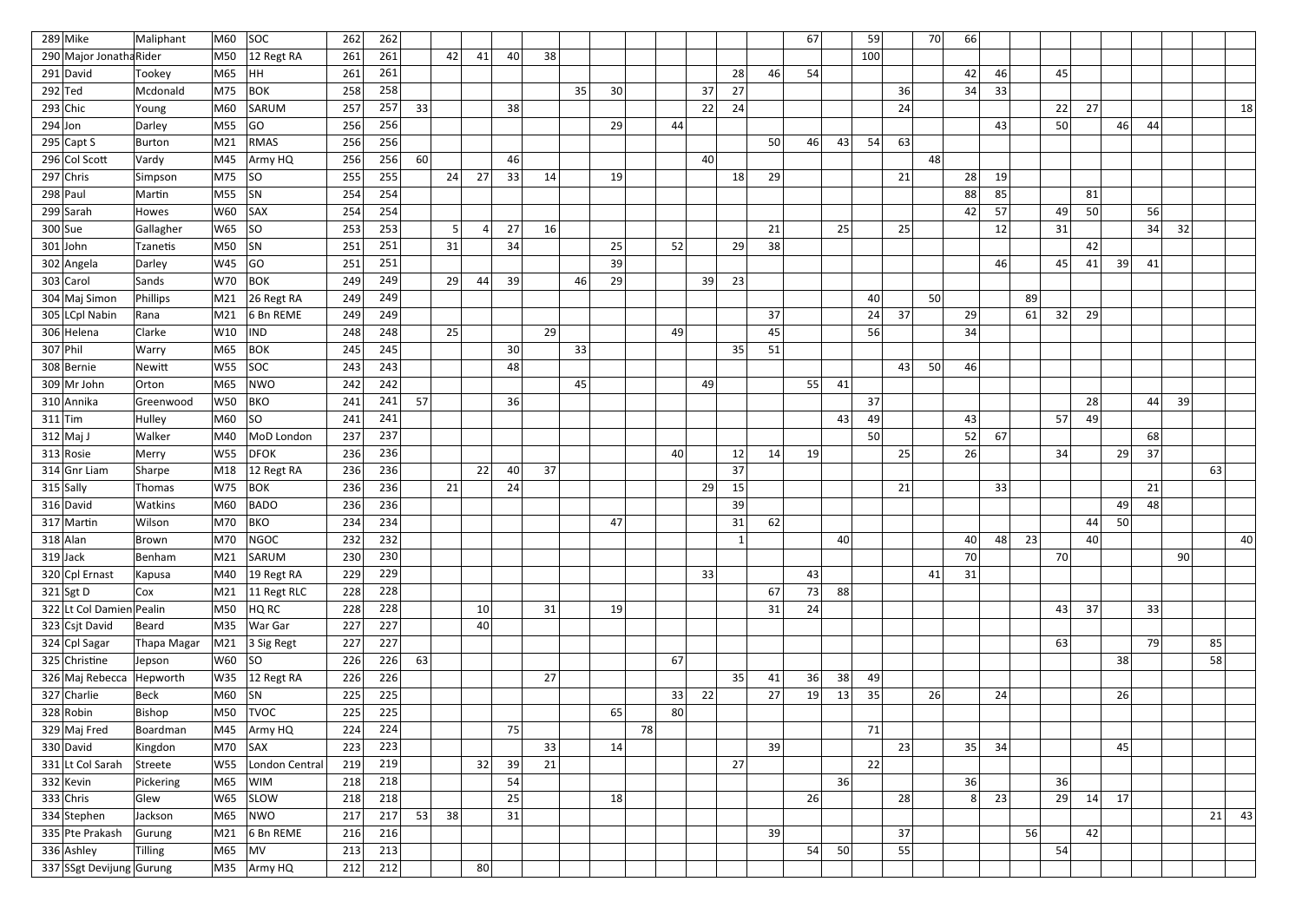|            | $289$ Mike               | Maliphant     | M60        | <b>SOC</b>                     | 262 | 262 |    |    |                 |    |    |    |    |    |    |    |    |    | 67 |    | 59  |    | 70              | 66 |    |    |    |    |    |    |                 |    |    |
|------------|--------------------------|---------------|------------|--------------------------------|-----|-----|----|----|-----------------|----|----|----|----|----|----|----|----|----|----|----|-----|----|-----------------|----|----|----|----|----|----|----|-----------------|----|----|
|            | 290 Major Jonatha Rider  |               | M50        | 12 Regt RA                     | 261 | 261 |    | 42 | 41              | 40 | 38 |    |    |    |    |    |    |    |    |    | 100 |    |                 |    |    |    |    |    |    |    |                 |    |    |
|            | 291 David                | Tookey        | M65        | HH                             | 261 | 261 |    |    |                 |    |    |    |    |    |    |    | 28 | 46 | 54 |    |     |    |                 | 42 | 46 |    | 45 |    |    |    |                 |    |    |
| $292$ Ted  |                          | Mcdonald      | M75        | <b>BOK</b>                     | 258 | 258 |    |    |                 |    |    | 35 | 30 |    |    | 37 | 27 |    |    |    |     | 36 |                 | 34 | 33 |    |    |    |    |    |                 |    |    |
|            | $293$ Chic               | Young         | M60        | SARUM                          | 257 | 257 | 33 |    |                 | 38 |    |    |    |    |    | 22 | 24 |    |    |    |     | 24 |                 |    |    |    | 22 | 27 |    |    |                 |    | 18 |
| $294$ Jon  |                          | Darley        | M55        | GO                             | 256 | 256 |    |    |                 |    |    |    | 29 |    | 44 |    |    |    |    |    |     |    |                 |    | 43 |    | 50 |    | 46 | 44 |                 |    |    |
|            | $295$ Capt S             | Burton        | M21        | <b>RMAS</b>                    | 256 | 256 |    |    |                 |    |    |    |    |    |    |    |    | 50 | 46 | 43 | 54  | 63 |                 |    |    |    |    |    |    |    |                 |    |    |
|            | 296 Col Scott            | Vardy         | M45        | Army HQ                        | 256 | 256 | 60 |    |                 | 46 |    |    |    |    |    | 40 |    |    |    |    |     |    | 48              |    |    |    |    |    |    |    |                 |    |    |
|            | $297$ Chris              | Simpson       | M75        | SO                             | 255 | 255 |    | 24 | 27              | 33 | 14 |    | 19 |    |    |    | 18 | 29 |    |    |     | 21 |                 | 28 | 19 |    |    |    |    |    |                 |    |    |
|            | $298$ Paul               | Martin        | M55        | SN                             | 254 | 254 |    |    |                 |    |    |    |    |    |    |    |    |    |    |    |     |    |                 | 88 | 85 |    |    | 81 |    |    |                 |    |    |
|            | 299 Sarah                | Howes         | W60        | SAX                            | 254 | 254 |    |    |                 |    |    |    |    |    |    |    |    |    |    |    |     |    |                 | 42 | 57 |    | 49 | 50 |    | 56 |                 |    |    |
|            | $300$ Sue                | Gallagher     | W65        | SO                             | 253 | 253 |    |    |                 | 27 | 16 |    |    |    |    |    |    | 21 |    | 25 |     | 25 |                 |    | 12 |    | 31 |    |    | 34 | 32              |    |    |
|            | $301$ John               | Tzanetis      | M50        | SN                             | 251 | 251 |    | 31 |                 | 34 |    |    | 25 |    | 52 |    | 29 | 38 |    |    |     |    |                 |    |    |    |    | 42 |    |    |                 |    |    |
|            | 302 Angela               | Darley        | W45        | GO                             | 251 | 251 |    |    |                 |    |    |    | 39 |    |    |    |    |    |    |    |     |    |                 |    | 46 |    | 45 | 41 | 39 | 41 |                 |    |    |
|            | 303 Carol                | Sands         | W70        | <b>BOK</b>                     | 249 | 249 |    | 29 | 44              | 39 |    | 46 | 29 |    |    | 39 | 23 |    |    |    |     |    |                 |    |    |    |    |    |    |    |                 |    |    |
|            | 304 Maj Simon            | Phillips      | M21        | 26 Regt RA                     | 249 | 249 |    |    |                 |    |    |    |    |    |    |    |    |    |    |    | 40  |    | 50 <sup>1</sup> |    |    | 89 |    |    |    |    |                 |    |    |
|            | 305 LCpl Nabin           | Rana          | M21        | 6 Bn REME                      | 249 | 249 |    |    |                 |    |    |    |    |    |    |    |    | 37 |    |    | 24  | 37 |                 | 29 |    | 61 | 32 | 29 |    |    |                 |    |    |
|            | 306 Helena               | Clarke        | W10        | IND                            | 248 | 248 |    | 25 |                 |    | 29 |    |    |    | 49 |    |    | 45 |    |    | 56  |    |                 | 34 |    |    |    |    |    |    |                 |    |    |
| $307$ Phil |                          | Warry         | M65        | <b>BOK</b>                     | 245 | 245 |    |    |                 | 30 |    | 33 |    |    |    |    | 35 | 51 |    |    |     |    |                 |    |    |    |    |    |    |    |                 |    |    |
|            | 308 Bernie               | <b>Newitt</b> | W55        | <b>SOC</b>                     | 243 | 243 |    |    |                 | 48 |    |    |    |    |    |    |    |    |    |    |     | 43 | 50              | 46 |    |    |    |    |    |    |                 |    |    |
|            | $309$ Mr John            | Orton         | M65        | NWO                            | 242 | 242 |    |    |                 |    |    | 45 |    |    |    | 49 |    |    | 55 | 41 |     |    |                 |    |    |    |    |    |    |    |                 |    |    |
|            | 310 Annika               | Greenwood     | W50        | <b>BKO</b>                     | 241 | 241 | 57 |    |                 | 36 |    |    |    |    |    |    |    |    |    |    | 37  |    |                 |    |    |    |    | 28 |    | 44 | 39              |    |    |
|            | $311$ Tim                | Hulley        | M60        | SO                             | 241 | 241 |    |    |                 |    |    |    |    |    |    |    |    |    |    | 43 | 49  |    |                 | 43 |    |    | 57 | 49 |    |    |                 |    |    |
|            | $312$ Maj J              | Walker        | M40        | MoD London                     | 237 | 237 |    |    |                 |    |    |    |    |    |    |    |    |    |    |    | 50  |    |                 | 52 | 67 |    |    |    |    | 68 |                 |    |    |
|            | 313 Rosie                | Merry         | <b>W55</b> | <b>DFOK</b>                    | 236 | 236 |    |    |                 |    |    |    |    |    | 40 |    | 12 | 14 | 19 |    |     | 25 |                 | 26 |    |    | 34 |    | 29 | 37 |                 |    |    |
|            | 314 Gnr Liam             | Sharpe        | M18        | 12 Regt RA                     | 236 | 236 |    |    | 22              | 40 | 37 |    |    |    |    |    | 37 |    |    |    |     |    |                 |    |    |    |    |    |    |    |                 | 63 |    |
|            | $315$ Sally              | Thomas        | W75        | <b>BOK</b>                     | 236 | 236 |    | 21 |                 | 24 |    |    |    |    |    | 29 | 15 |    |    |    |     | 21 |                 |    | 33 |    |    |    |    | 21 |                 |    |    |
|            | 316 David                | Watkins       | M60        | BADO                           | 236 | 236 |    |    |                 |    |    |    |    |    |    |    | 39 |    |    |    |     |    |                 |    |    |    |    |    | 49 | 48 |                 |    |    |
|            | $317$ Martin             | Wilson        | $M70$ BKO  |                                | 234 | 234 |    |    |                 |    |    |    | 47 |    |    |    | 31 | 62 |    |    |     |    |                 |    |    |    |    | 44 | 50 |    |                 |    |    |
|            | $318$ Alan               | Brown         | M70        | NGOC                           | 232 | 232 |    |    |                 |    |    |    |    |    |    |    |    |    |    | 40 |     |    |                 | 40 | 48 | 23 |    | 40 |    |    |                 |    | 40 |
|            | $319$ Jack               | Benham        | M21        | SARUM                          | 230 | 230 |    |    |                 |    |    |    |    |    |    |    |    |    |    |    |     |    |                 | 70 |    |    | 70 |    |    |    | 90 <sup>°</sup> |    |    |
|            | 320 Cpl Ernast           | Kapusa        | M40        | $19$ Regt RA                   | 229 | 229 |    |    |                 |    |    |    |    |    |    | 33 |    |    | 43 |    |     |    | 41              | 31 |    |    |    |    |    |    |                 |    |    |
|            | $321$ Sgt D              | Cox           | M21        | $ 11$ Regt RLC                 | 228 | 228 |    |    |                 |    |    |    |    |    |    |    |    | 67 | 73 | 88 |     |    |                 |    |    |    |    |    |    |    |                 |    |    |
|            | 322 Lt Col Damien Pealin |               | M50        | HQ RC                          | 228 | 228 |    |    | 10 <sup>1</sup> |    | 31 |    | 19 |    |    |    |    | 31 | 24 |    |     |    |                 |    |    |    | 43 | 37 |    | 33 |                 |    |    |
|            | 323 Csjt David           | Beard         | M35        | War Gar                        | 227 | 227 |    |    | 40              |    |    |    |    |    |    |    |    |    |    |    |     |    |                 |    |    |    |    |    |    |    |                 |    |    |
|            | 324 Cpl Sagar            | Thapa Magar   |            | $\vert$ M21 $\vert$ 3 Sig Regt | 227 | 227 |    |    |                 |    |    |    |    |    |    |    |    |    |    |    |     |    |                 |    |    |    | 63 |    |    | 79 |                 | 85 |    |
|            | 325 Christine            | Jepson        | $W60$ SO   |                                | 226 | 226 | 63 |    |                 |    |    |    |    |    | 67 |    |    |    |    |    |     |    |                 |    |    |    |    |    | 38 |    |                 | 58 |    |
|            | 326 Maj Rebecca          | Hepworth      |            | W35 $ 12$ Regt RA              | 226 | 226 |    |    |                 |    | 27 |    |    |    |    |    | 35 | 41 | 36 | 38 | 49  |    |                 |    |    |    |    |    |    |    |                 |    |    |
|            | $327$ Charlie            | Beck          | $M60$ SN   |                                | 225 | 225 |    |    |                 |    |    |    |    |    | 33 | 22 |    | 27 | 19 | 13 | 35  |    | 26              |    | 24 |    |    |    | 26 |    |                 |    |    |
|            | 328 Robin                | Bishop        |            | M50   TVOC                     | 225 | 225 |    |    |                 |    |    |    | 65 |    | 80 |    |    |    |    |    |     |    |                 |    |    |    |    |    |    |    |                 |    |    |
|            | 329 Maj Fred             | Boardman      | M45        | Army HQ                        | 224 | 224 |    |    |                 | 75 |    |    |    | 78 |    |    |    |    |    |    | 71  |    |                 |    |    |    |    |    |    |    |                 |    |    |
|            | 330 David                | Kingdon       | $M70$ SAX  |                                | 223 | 223 |    |    |                 |    | 33 |    | 14 |    |    |    |    | 39 |    |    |     | 23 |                 | 35 | 34 |    |    |    | 45 |    |                 |    |    |
|            | 331 Lt Col Sarah         | Streete       | W55        | London Central                 | 219 | 219 |    |    | 32              | 39 | 21 |    |    |    |    |    | 27 |    |    |    | 22  |    |                 |    |    |    |    |    |    |    |                 |    |    |
|            | $332$ Kevin              | Pickering     | M65        | <b>WIM</b>                     | 218 | 218 |    |    |                 | 54 |    |    |    |    |    |    |    |    |    | 36 |     |    |                 | 36 |    |    | 36 |    |    |    |                 |    |    |
|            | $333$ Chris              | Glew          | W65        | <b>SLOW</b>                    | 218 | 218 |    |    |                 | 25 |    |    | 18 |    |    |    |    |    | 26 |    |     | 28 |                 | 8  | 23 |    | 29 | 14 | 17 |    |                 |    |    |
|            | 334 Stephen              | Jackson       | M65        | NWO                            | 217 | 217 | 53 | 38 |                 | 31 |    |    |    |    |    |    |    |    |    |    |     |    |                 |    |    |    |    |    |    |    |                 | 21 | 43 |
|            | 335 Pte Prakash          | Gurung        | M21        | 6 Bn REME                      | 216 | 216 |    |    |                 |    |    |    |    |    |    |    |    | 39 |    |    |     | 37 |                 |    |    | 56 |    | 42 |    |    |                 |    |    |
|            | 336 Ashley               | Tilling       | M65        | $\overline{\mathsf{M}}$ V      | 213 | 213 |    |    |                 |    |    |    |    |    |    |    |    |    | 54 | 50 |     | 55 |                 |    |    |    | 54 |    |    |    |                 |    |    |
|            | 337 SSgt Devijung Gurung |               |            | M35 Army HQ                    | 212 | 212 |    |    | 80              |    |    |    |    |    |    |    |    |    |    |    |     |    |                 |    |    |    |    |    |    |    |                 |    |    |
|            |                          |               |            |                                |     |     |    |    |                 |    |    |    |    |    |    |    |    |    |    |    |     |    |                 |    |    |    |    |    |    |    |                 |    |    |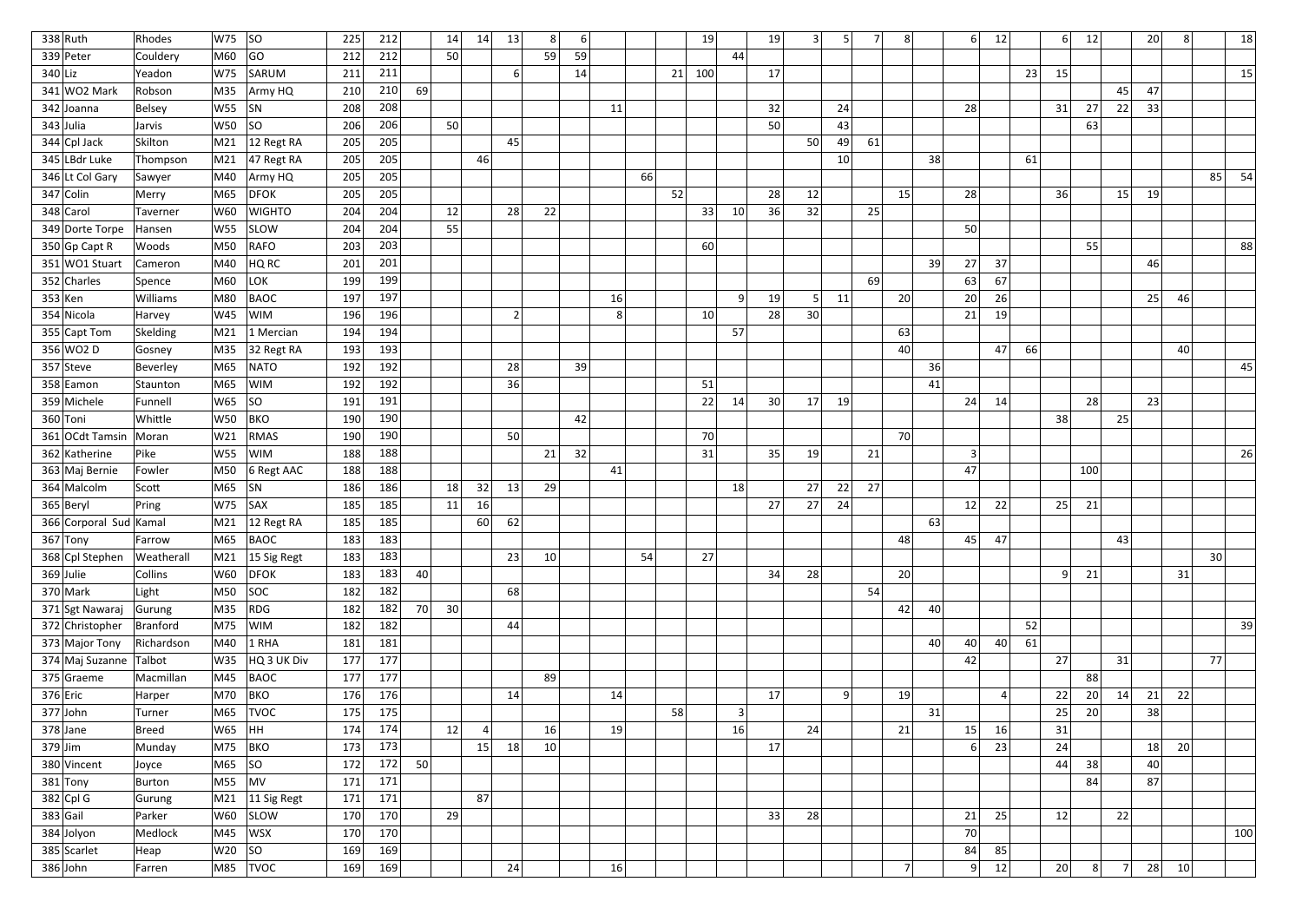| $338$ Ruth             | Rhodes         | W75          | SO                              | 225 | 212 |    | 14              | 14 | 13             | 8 <sup>2</sup> | 6  |    |    |    | 19  |                 | 19 |    | 5  |    | 8 <sup>1</sup>  |    | 6<br>12  |           |    | 6<br> 12             |    | 20 | 8 <sup>1</sup> |                 | 18  |
|------------------------|----------------|--------------|---------------------------------|-----|-----|----|-----------------|----|----------------|----------------|----|----|----|----|-----|-----------------|----|----|----|----|-----------------|----|----------|-----------|----|----------------------|----|----|----------------|-----------------|-----|
| 339 Peter              | Couldery       | M60          | GO                              | 212 | 212 |    | 50 <sub>1</sub> |    |                | 59             | 59 |    |    |    |     | 44              |    |    |    |    |                 |    |          |           |    |                      |    |    |                |                 |     |
| $340$  Liz             | Yeadon         | W75          | SARUM                           | 211 | 211 |    |                 |    | -6             |                | 14 |    |    | 21 | 100 |                 | 17 |    |    |    |                 |    |          | 23        | 15 |                      |    |    |                |                 | 15  |
| 341 WO2 Mark           | Robson         | M35          | Army HQ                         | 210 | 210 | 69 |                 |    |                |                |    |    |    |    |     |                 |    |    |    |    |                 |    |          |           |    |                      | 45 | 47 |                |                 |     |
| 342 Joanna             | Belsey         | W55          | SN                              | 208 | 208 |    |                 |    |                |                |    | 11 |    |    |     |                 | 32 |    | 24 |    |                 |    | 28       |           | 31 | 27                   | 22 | 33 |                |                 |     |
| $343$ Julia            | Jarvis         | <b>W50</b>   | SO                              | 206 | 206 |    | 50 <sup>1</sup> |    |                |                |    |    |    |    |     |                 | 50 |    | 43 |    |                 |    |          |           |    | 63                   |    |    |                |                 |     |
| $344$ Cpl Jack         | Skilton        | M21          | 12 Regt RA                      | 205 | 205 |    |                 |    | 45             |                |    |    |    |    |     |                 |    | 50 | 49 | 61 |                 |    |          |           |    |                      |    |    |                |                 |     |
| 345 LBdr Luke          | Thompson       | M21          | $ 47$ Regt RA                   | 205 | 205 |    |                 | 46 |                |                |    |    |    |    |     |                 |    |    | 10 |    |                 | 38 |          | 61        |    |                      |    |    |                |                 |     |
| 346 Lt Col Gary        | Sawyer         | M40          | Army HQ                         | 205 | 205 |    |                 |    |                |                |    |    | 66 |    |     |                 |    |    |    |    |                 |    |          |           |    |                      |    |    |                | 85              | 54  |
| $347$ Colin            | Merry          | M65          | $\overline{DFOK}$               | 205 | 205 |    |                 |    |                |                |    |    |    | 52 |     |                 | 28 | 12 |    |    | 15              |    | 28       |           | 36 |                      | 15 | 19 |                |                 |     |
| 348 Carol              | Taverner       | W60          | <b>WIGHTO</b>                   | 204 | 204 |    | 12              |    | 28             | 22             |    |    |    |    | 33  | 10 <sup>°</sup> | 36 | 32 |    | 25 |                 |    |          |           |    |                      |    |    |                |                 |     |
| 349 Dorte Torpe        | Hansen         | <b>W55</b>   | <b>SLOW</b>                     | 204 | 204 |    | 55              |    |                |                |    |    |    |    |     |                 |    |    |    |    |                 |    | 50       |           |    |                      |    |    |                |                 |     |
| $350$ Gp Capt R        | Woods          | M50          | RAFO                            | 203 | 203 |    |                 |    |                |                |    |    |    |    | 60  |                 |    |    |    |    |                 |    |          |           |    | 55                   |    |    |                |                 | 88  |
| $351$ WO1 Stuart       | Cameron        | M40          | HQ RC                           | 201 | 201 |    |                 |    |                |                |    |    |    |    |     |                 |    |    |    |    |                 | 39 | 27<br>37 |           |    |                      |    | 46 |                |                 |     |
| 352 Charles            | Spence         | M60          | LOK                             | 199 | 199 |    |                 |    |                |                |    |    |    |    |     |                 |    |    |    | 69 |                 |    | 63<br>67 |           |    |                      |    |    |                |                 |     |
| $353$ Ken              | Williams       | M80          | <b>BAOC</b>                     | 197 | 197 |    |                 |    |                |                |    | 16 |    |    |     | $\vert$ q       | 19 |    | 11 |    | 20              |    | 20<br>26 |           |    |                      |    | 25 | 46             |                 |     |
| 354 Nicola             | Harvey         | W45          | <b>WIM</b>                      | 196 | 196 |    |                 |    | $\overline{2}$ |                |    | 8  |    |    | 10  |                 | 28 | 30 |    |    |                 |    | 21<br>19 |           |    |                      |    |    |                |                 |     |
| 355 Capt Tom           | Skelding       | M21          | 1 Mercian                       | 194 | 194 |    |                 |    |                |                |    |    |    |    |     | 57              |    |    |    |    | 63              |    |          |           |    |                      |    |    |                |                 |     |
| 356 WO2 D              | Gosney         | M35          | 32 Regt RA                      | 193 | 193 |    |                 |    |                |                |    |    |    |    |     |                 |    |    |    |    | 40              |    | 47       | <b>66</b> |    |                      |    |    | 40             |                 |     |
| 357 Steve              | Beverley       | M65          | <b>NATO</b>                     | 192 | 192 |    |                 |    | 28             |                | 39 |    |    |    |     |                 |    |    |    |    |                 | 36 |          |           |    |                      |    |    |                |                 | 45  |
| 358 Eamon              | Staunton       | M65          | WIM                             | 192 | 192 |    |                 |    | 36             |                |    |    |    |    | 51  |                 |    |    |    |    |                 | 41 |          |           |    |                      |    |    |                |                 |     |
| 359 Michele            | Funnell        | W65          | SO                              | 191 | 191 |    |                 |    |                |                |    |    |    |    | 22  | 14              | 30 | 17 | 19 |    |                 |    | 24<br>14 |           |    | 28                   |    | 23 |                |                 |     |
| 360 Toni               | Whittle        | <b>W50</b>   | BKO                             | 190 | 190 |    |                 |    |                |                | 42 |    |    |    |     |                 |    |    |    |    |                 |    |          |           | 38 |                      | 25 |    |                |                 |     |
| 361 OCdt Tamsin        | Moran          | W21          | RMAS                            | 190 | 190 |    |                 |    | 50             |                |    |    |    |    | 70  |                 |    |    |    |    | 70              |    |          |           |    |                      |    |    |                |                 |     |
| 362 Katherine          | Pike           | <b>W55</b>   | <b>WIM</b>                      | 188 | 188 |    |                 |    |                | 21             | 32 |    |    |    | 31  |                 | 35 | 19 |    | 21 |                 |    | $\lceil$ |           |    |                      |    |    |                |                 | 26  |
| 363 Maj Bernie         | Fowler         | M50          | $ 6$ Regt AAC                   | 188 | 188 |    |                 |    |                |                |    | 41 |    |    |     |                 |    |    |    |    |                 |    | 47       |           |    | 100                  |    |    |                |                 |     |
| 364 Malcolm            | Scott          | M65          | SN                              | 186 | 186 |    | 18              | 32 | 13             | 29             |    |    |    |    |     | 18              |    | 27 | 22 | 27 |                 |    |          |           |    |                      |    |    |                |                 |     |
| 365 Beryl              | Pring          | W75          | SAX                             | 185 | 185 |    | 11              | 16 |                |                |    |    |    |    |     |                 | 27 | 27 | 24 |    |                 |    | 12<br>22 |           | 25 | 21                   |    |    |                |                 |     |
| 366 Corporal Sud Kamal |                |              | $\vert$ M21 $\vert$ 12 Regt RA  | 185 | 185 |    |                 | 60 | 62             |                |    |    |    |    |     |                 |    |    |    |    |                 | 63 |          |           |    |                      |    |    |                |                 |     |
| $367$ Tony             | Farrow         | M65          | BAOC                            | 183 | 183 |    |                 |    |                |                |    |    |    |    |     |                 |    |    |    |    | 48              |    | 45<br>47 |           |    |                      | 43 |    |                |                 |     |
| 368 Cpl Stephen        | Weatherall     |              | $\vert$ M21 $\vert$ 15 Sig Regt | 183 | 183 |    |                 |    | 23             | 10             |    |    | 54 |    | 27  |                 |    |    |    |    |                 |    |          |           |    |                      |    |    |                | 30 <sup>2</sup> |     |
| $369$ Julie            | <b>Collins</b> |              | W60 DFOK                        | 183 | 183 | 40 |                 |    |                |                |    |    |    |    |     |                 | 34 | 28 |    |    | 20 <sup>1</sup> |    |          |           |    | 21<br>9 <sup>1</sup> |    |    | 31             |                 |     |
| $370$ Mark             | Light          | M50          | SOC                             | 182 | 182 |    |                 |    | 68             |                |    |    |    |    |     |                 |    |    |    | 54 |                 |    |          |           |    |                      |    |    |                |                 |     |
| 371 Sgt Nawaraj        | Gurung         |              | M35 RDG                         | 182 | 182 | 70 | 30 <sup>l</sup> |    |                |                |    |    |    |    |     |                 |    |    |    |    | 42              | 40 |          |           |    |                      |    |    |                |                 |     |
| 372 Christopher        | Branford       |              | M75 WIM                         | 182 | 182 |    |                 |    | 44             |                |    |    |    |    |     |                 |    |    |    |    |                 |    |          | 52        |    |                      |    |    |                |                 | 39  |
| 373 Major Tony         | Richardson     | M40          | $1$ RHA                         | 181 | 181 |    |                 |    |                |                |    |    |    |    |     |                 |    |    |    |    |                 | 40 | 40<br>40 | 61        |    |                      |    |    |                |                 |     |
| 374 Maj Suzanne        | Talbot         |              | $W35$ $HQ3UK Div$               | 177 | 177 |    |                 |    |                |                |    |    |    |    |     |                 |    |    |    |    |                 |    | 42       |           | 27 |                      | 31 |    |                | 77              |     |
| $375$ Graeme           | Macmillan      | M45          | BAOC                            | 177 | 177 |    |                 |    |                | 89             |    |    |    |    |     |                 |    |    |    |    |                 |    |          |           |    | 88                   |    |    |                |                 |     |
| $376$ Eric             | Harper         | M70          | BKO                             | 176 | 176 |    |                 |    | 14             |                |    | 14 |    |    |     |                 | 17 |    | 9  |    | 19              |    |          |           | 22 | 20                   | 14 | 21 | 22             |                 |     |
| $377$ John             | Turner         |              | M65 TVOC                        | 175 | 175 |    |                 |    |                |                |    |    |    | 58 |     | 3               |    |    |    |    |                 | 31 |          |           | 25 | 20                   |    | 38 |                |                 |     |
| $378$ Jane             | Breed          | W65  HH      |                                 | 174 | 174 |    | 12              |    |                | 16             |    | 19 |    |    |     | 16              |    | 24 |    |    | 21              |    | 15<br>16 |           | 31 |                      |    |    |                |                 |     |
| $379$ Jim              | Munday         |              | M75  BKO                        | 173 | 173 |    |                 | 15 | 18             | 10             |    |    |    |    |     |                 | 17 |    |    |    |                 |    | 23<br>6  |           | 24 |                      |    | 18 | 20             |                 |     |
| 380 Vincent            | Joyce          | M65  SO      |                                 | 172 | 172 | 50 |                 |    |                |                |    |    |    |    |     |                 |    |    |    |    |                 |    |          |           | 44 | 38                   |    | 40 |                |                 |     |
| $381$ Tony             | Burton         | $MS5$ $ MV $ |                                 | 171 | 171 |    |                 |    |                |                |    |    |    |    |     |                 |    |    |    |    |                 |    |          |           |    | 84                   |    | 87 |                |                 |     |
| $382$ Cpl G            | Gurung         |              | $\vert$ M21 $\vert$ 11 Sig Regt | 171 | 171 |    |                 | 87 |                |                |    |    |    |    |     |                 |    |    |    |    |                 |    |          |           |    |                      |    |    |                |                 |     |
| $383$ Gail             | Parker         |              | W60 SLOW                        | 170 | 170 |    | 29              |    |                |                |    |    |    |    |     |                 | 33 | 28 |    |    |                 |    | 21<br>25 |           | 12 |                      | 22 |    |                |                 |     |
| 384 Jolyon             | Medlock        |              | $\overline{M45}$ WSX            | 170 | 170 |    |                 |    |                |                |    |    |    |    |     |                 |    |    |    |    |                 |    | 70       |           |    |                      |    |    |                |                 | 100 |
| 385 Scarlet            | Heap           | $W20$ SO     |                                 | 169 | 169 |    |                 |    |                |                |    |    |    |    |     |                 |    |    |    |    |                 |    | 84<br>85 |           |    |                      |    |    |                |                 |     |
| $386$ John             | Farren         |              | M85 TVOC                        | 169 | 169 |    |                 |    | 24             |                |    | 16 |    |    |     |                 |    |    |    |    | 7 <sup>1</sup>  |    | 12<br> 9 |           | 20 | 8 <sup>2</sup>       |    | 28 | 10             |                 |     |
|                        |                |              |                                 |     |     |    |                 |    |                |                |    |    |    |    |     |                 |    |    |    |    |                 |    |          |           |    |                      |    |    |                |                 |     |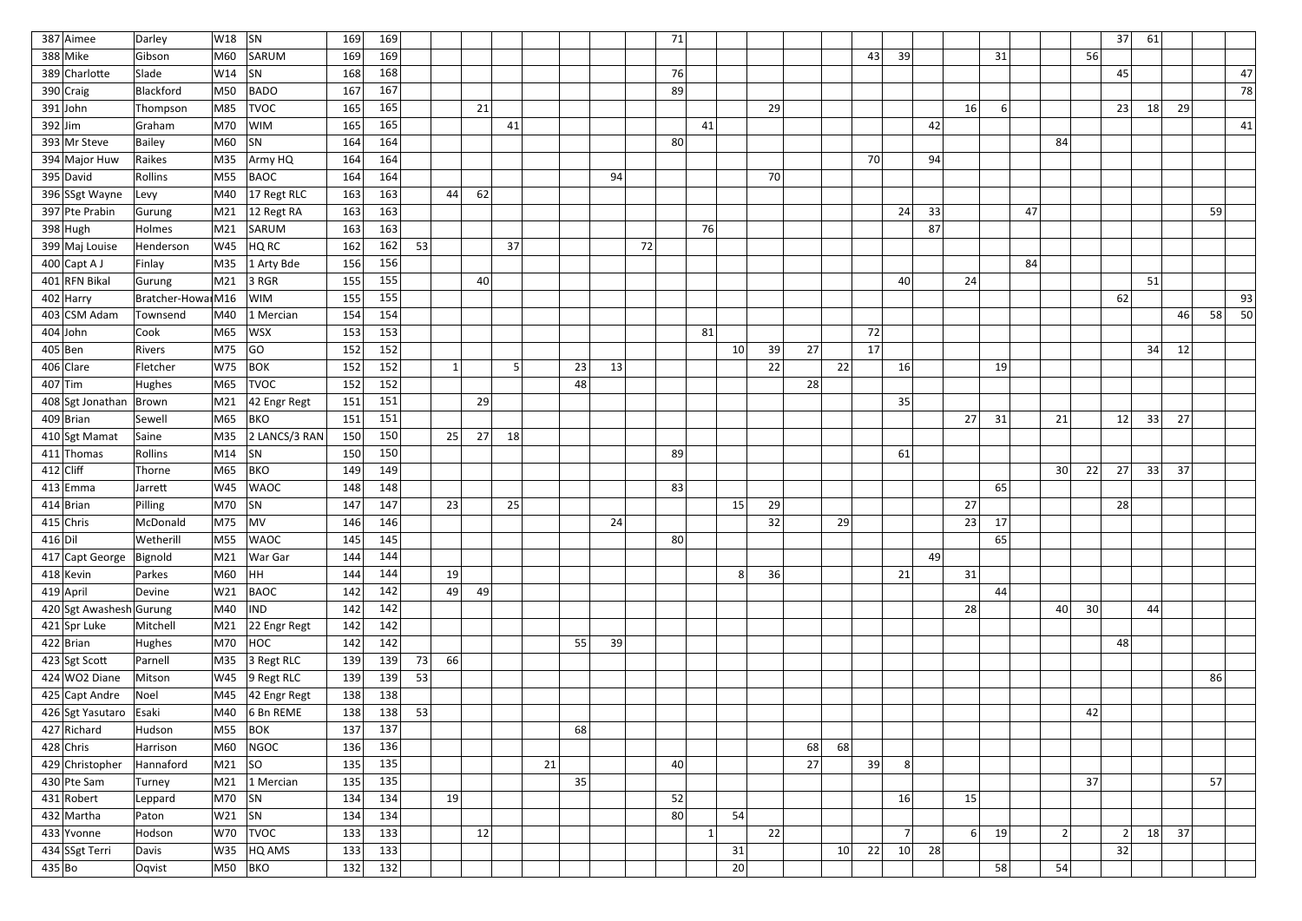| 387 Aimee               | Darley             | W18           | $ $ SN                           | 169 | 169 |    |           |    |    |    |    |    | 71 |    |                 |    |    |           |                |    |                      |    |                 |                 | 37             | 61 |    |    |    |
|-------------------------|--------------------|---------------|----------------------------------|-----|-----|----|-----------|----|----|----|----|----|----|----|-----------------|----|----|-----------|----------------|----|----------------------|----|-----------------|-----------------|----------------|----|----|----|----|
| 388 Mike                | Gibson             | M60           | SARUM                            | 169 | 169 |    |           |    |    |    |    |    |    |    |                 |    |    | 43        | 39             |    | 31                   |    |                 | 56              |                |    |    |    |    |
| 389 Charlotte           | Slade              | W14           | SN                               | 168 | 168 |    |           |    |    |    |    |    | 76 |    |                 |    |    |           |                |    |                      |    |                 |                 | 45             |    |    |    | 47 |
| $390$ Craig             | Blackford          | M50           | <b>BADO</b>                      | 167 | 167 |    |           |    |    |    |    |    | 89 |    |                 |    |    |           |                |    |                      |    |                 |                 |                |    |    |    | 78 |
| $391$ John              | Thompson           | M85           | <b>TVOC</b>                      | 165 | 165 |    |           | 21 |    |    |    |    |    |    |                 | 29 |    |           |                |    | 16<br>$6 \mid$       |    |                 |                 | 23             | 18 | 29 |    |    |
| $392$ Jim               | Graham             | M70           | <b>WIM</b>                       | 165 | 165 |    |           |    | 41 |    |    |    |    | 41 |                 |    |    |           |                | 42 |                      |    |                 |                 |                |    |    |    | 41 |
| 393 Mr Steve            | Bailey             | M60           | $\vert$ SN                       | 164 | 164 |    |           |    |    |    |    |    | 80 |    |                 |    |    |           |                |    |                      |    | 84              |                 |                |    |    |    |    |
| 394 Major Huw           | Raikes             | M35           | Army HQ                          | 164 | 164 |    |           |    |    |    |    |    |    |    |                 |    |    | 70        |                | 94 |                      |    |                 |                 |                |    |    |    |    |
| 395 David               | Rollins            | M55           | BAOC                             | 164 | 164 |    |           |    |    |    | 94 |    |    |    |                 | 70 |    |           |                |    |                      |    |                 |                 |                |    |    |    |    |
| 396 SSgt Wayne          | Levy               | M40           | 17 Regt RLC                      | 163 | 163 |    | 44        | 62 |    |    |    |    |    |    |                 |    |    |           |                |    |                      |    |                 |                 |                |    |    |    |    |
| 397 Pte Prabin          | Gurung             | M21           | $ 12$ Regt RA                    | 163 | 163 |    |           |    |    |    |    |    |    |    |                 |    |    |           | 24             | 33 |                      | 47 |                 |                 |                |    |    | 59 |    |
| $398$ Hugh              | Holmes             | M21           | SARUM                            | 163 | 163 |    |           |    |    |    |    |    |    | 76 |                 |    |    |           |                | 87 |                      |    |                 |                 |                |    |    |    |    |
| 399 Maj Louise          | Henderson          | W45           | HQRC                             | 162 | 162 | 53 |           |    | 37 |    |    | 72 |    |    |                 |    |    |           |                |    |                      |    |                 |                 |                |    |    |    |    |
| $400$ Capt A J          | Finlay             | M35           | 1 Arty Bde                       | 156 | 156 |    |           |    |    |    |    |    |    |    |                 |    |    |           |                |    |                      | 84 |                 |                 |                |    |    |    |    |
| 401 RFN Bikal           | Gurung             | M21           | $3$ RGR                          | 155 | 155 |    |           | 40 |    |    |    |    |    |    |                 |    |    |           | 40             |    | 24                   |    |                 |                 |                | 51 |    |    |    |
| $402$ Harry             | Bratcher-Howai M16 |               | <b>WIM</b>                       | 155 | 155 |    |           |    |    |    |    |    |    |    |                 |    |    |           |                |    |                      |    |                 |                 | 62             |    |    |    | 93 |
| 403 CSM Adam            | Townsend           | M40           | 1 Mercian                        | 154 | 154 |    |           |    |    |    |    |    |    |    |                 |    |    |           |                |    |                      |    |                 |                 |                |    | 46 | 58 | 50 |
| $404$ John              | Cook               | M65           | WSX                              | 153 | 153 |    |           |    |    |    |    |    |    | 81 |                 |    |    | 72        |                |    |                      |    |                 |                 |                |    |    |    |    |
| $405$ Ben               | Rivers             | M75           | GO                               | 152 | 152 |    |           |    |    |    |    |    |    |    | 10 <sup>1</sup> | 39 | 27 | 17        |                |    |                      |    |                 |                 |                | 34 | 12 |    |    |
| $406$ Clare             | Fletcher           | W75           | $ $ BOK                          | 152 | 152 |    | 1         |    | 5  | 23 | 13 |    |    |    |                 | 22 |    | 22        | 16             |    | 19                   |    |                 |                 |                |    |    |    |    |
| $407$ Tim               | Hughes             | M65           | <b>TVOC</b>                      | 152 | 152 |    |           |    |    | 48 |    |    |    |    |                 |    | 28 |           |                |    |                      |    |                 |                 |                |    |    |    |    |
| 408 Sgt Jonathan        | Brown              | M21           | 42 Engr Regt                     | 151 | 151 |    |           | 29 |    |    |    |    |    |    |                 |    |    |           | 35             |    |                      |    |                 |                 |                |    |    |    |    |
| $409$ Brian             | Sewell             | M65           | BKO                              | 151 | 151 |    |           |    |    |    |    |    |    |    |                 |    |    |           |                | 27 | 31                   |    | 21              |                 | 12             | 33 | 27 |    |    |
| 410 Sgt Mamat           | Saine              | M35           | 2 LANCS/3 RAN                    | 150 | 150 |    | 25        | 27 | 18 |    |    |    |    |    |                 |    |    |           |                |    |                      |    |                 |                 |                |    |    |    |    |
| $411$ Thomas            | Rollins            | M14           | SN                               | 150 | 150 |    |           |    |    |    |    |    | 89 |    |                 |    |    |           | 61             |    |                      |    |                 |                 |                |    |    |    |    |
| $412$ Cliff             | Thorne             | M65           | BKO                              | 149 | 149 |    |           |    |    |    |    |    |    |    |                 |    |    |           |                |    |                      |    | 30 <sup>2</sup> | 22              | 27             | 33 | 37 |    |    |
| $413$ Emma              | Jarrett            | W45           | <b>WAOC</b>                      | 148 | 148 |    |           |    |    |    |    |    | 83 |    |                 |    |    |           |                |    | 65                   |    |                 |                 |                |    |    |    |    |
| $414$  Brian            | Pilling            | M70           | SN                               | 147 | 147 |    | 23        |    | 25 |    |    |    |    |    | 15              | 29 |    |           |                | 27 |                      |    |                 |                 | 28             |    |    |    |    |
| $415$ Chris             | McDonald           | $ M75 $ $ MV$ |                                  | 146 | 146 |    |           |    |    |    | 24 |    |    |    |                 | 32 |    | 29        |                |    | 23<br>17             |    |                 |                 |                |    |    |    |    |
| 416 D                   | Wetherill          |               | M55 WAOC                         | 145 | 145 |    |           |    |    |    |    |    | 80 |    |                 |    |    |           |                |    | 65                   |    |                 |                 |                |    |    |    |    |
| 417 Capt George         | Bignold            |               | M21   War Gar                    | 144 | 144 |    |           |    |    |    |    |    |    |    |                 |    |    |           |                | 49 |                      |    |                 |                 |                |    |    |    |    |
| $418$ Kevin             | Parkes             | M60  HH       |                                  | 144 | 144 |    | 19        |    |    |    |    |    |    |    | 8               | 36 |    |           | 21             |    | 31                   |    |                 |                 |                |    |    |    |    |
| $419$ April             | Devine             | W21           | BAOC                             | 142 | 142 |    | 49        | 49 |    |    |    |    |    |    |                 |    |    |           |                |    | 44                   |    |                 |                 |                |    |    |    |    |
| 420 Sgt Awashesh Gurung |                    | M40           | $\overline{I}$ IND               | 142 | 142 |    |           |    |    |    |    |    |    |    |                 |    |    |           |                |    | 28                   |    | 40              | 30 <sup>2</sup> |                | 44 |    |    |    |
| 421 Spr Luke            | Mitchell           |               | M21 22 Engr Regt                 | 142 | 142 |    |           |    |    |    |    |    |    |    |                 |    |    |           |                |    |                      |    |                 |                 |                |    |    |    |    |
| $422$ Brian             | Hughes             |               | $M70$ $HOC$                      | 142 | 142 |    |           |    |    | 55 | 39 |    |    |    |                 |    |    |           |                |    |                      |    |                 |                 | 48             |    |    |    |    |
| 423 Sgt Scott           | Parnell            |               | $MS5$ 3 Regt RLC                 | 139 | 139 | 73 | <b>66</b> |    |    |    |    |    |    |    |                 |    |    |           |                |    |                      |    |                 |                 |                |    |    |    |    |
| $424$ WO2 Diane         | Mitson             |               | $W45$ 9 Regt RLC                 | 139 | 139 | 53 |           |    |    |    |    |    |    |    |                 |    |    |           |                |    |                      |    |                 |                 |                |    |    | 86 |    |
| 425 Capt Andre          | Noel               |               | $\vert$ M45 $\vert$ 42 Engr Regt | 138 | 138 |    |           |    |    |    |    |    |    |    |                 |    |    |           |                |    |                      |    |                 |                 |                |    |    |    |    |
| 426 Sgt Yasutaro Esaki  |                    |               | $\vert$ M40 $\vert$ 6 Bn REME    | 138 | 138 | 53 |           |    |    |    |    |    |    |    |                 |    |    |           |                |    |                      |    |                 | 42              |                |    |    |    |    |
| 427 Richard             | Hudson             |               | M55 BOK                          | 137 | 137 |    |           |    |    | 68 |    |    |    |    |                 |    |    |           |                |    |                      |    |                 |                 |                |    |    |    |    |
| $428$ Chris             | Harrison           | M60           | NGOC                             | 136 | 136 |    |           |    |    |    |    |    |    |    |                 |    | 68 | 68        |                |    |                      |    |                 |                 |                |    |    |    |    |
| 429 Christopher         | Hannaford          | M21  SO       |                                  | 135 | 135 |    |           |    | 21 |    |    |    | 40 |    |                 |    | 27 | 39        | 8 <sup>1</sup> |    |                      |    |                 |                 |                |    |    |    |    |
| 430 Pte Sam             | Turney             |               | M21 1 Mercian                    | 135 | 135 |    |           |    |    | 35 |    |    |    |    |                 |    |    |           |                |    |                      |    |                 | 37              |                |    |    | 57 |    |
| $431$ Robert            | Leppard            | $ M70 $ SN    |                                  | 134 | 134 |    | 19        |    |    |    |    |    | 52 |    |                 |    |    |           | 16             |    | 15                   |    |                 |                 |                |    |    |    |    |
| $432$ Martha            | Paton              | $ W21 $ $ SN$ |                                  | 134 | 134 |    |           |    |    |    |    |    | 80 |    | 54              |    |    |           |                |    |                      |    |                 |                 |                |    |    |    |    |
| 433 Yvonne              | Hodson             |               | $ W70 $ TVOC                     | 133 | 133 |    |           | 12 |    |    |    |    |    | 1  |                 | 22 |    |           | 7 <sup>1</sup> |    | 6 <sup>1</sup><br>19 |    | 2               |                 | $\overline{2}$ | 18 | 37 |    |    |
| 434 SSgt Terri          | Davis              |               | $ W35 $ HQ AMS                   | 133 | 133 |    |           |    |    |    |    |    |    |    | 31              |    |    | 22<br> 10 | 10             | 28 |                      |    |                 |                 | 32             |    |    |    |    |
| 435 Bo                  | Oqvist             | M50  BKO      |                                  | 132 | 132 |    |           |    |    |    |    |    |    |    | 20              |    |    |           |                |    | 58                   |    | 54              |                 |                |    |    |    |    |
|                         |                    |               |                                  |     |     |    |           |    |    |    |    |    |    |    |                 |    |    |           |                |    |                      |    |                 |                 |                |    |    |    |    |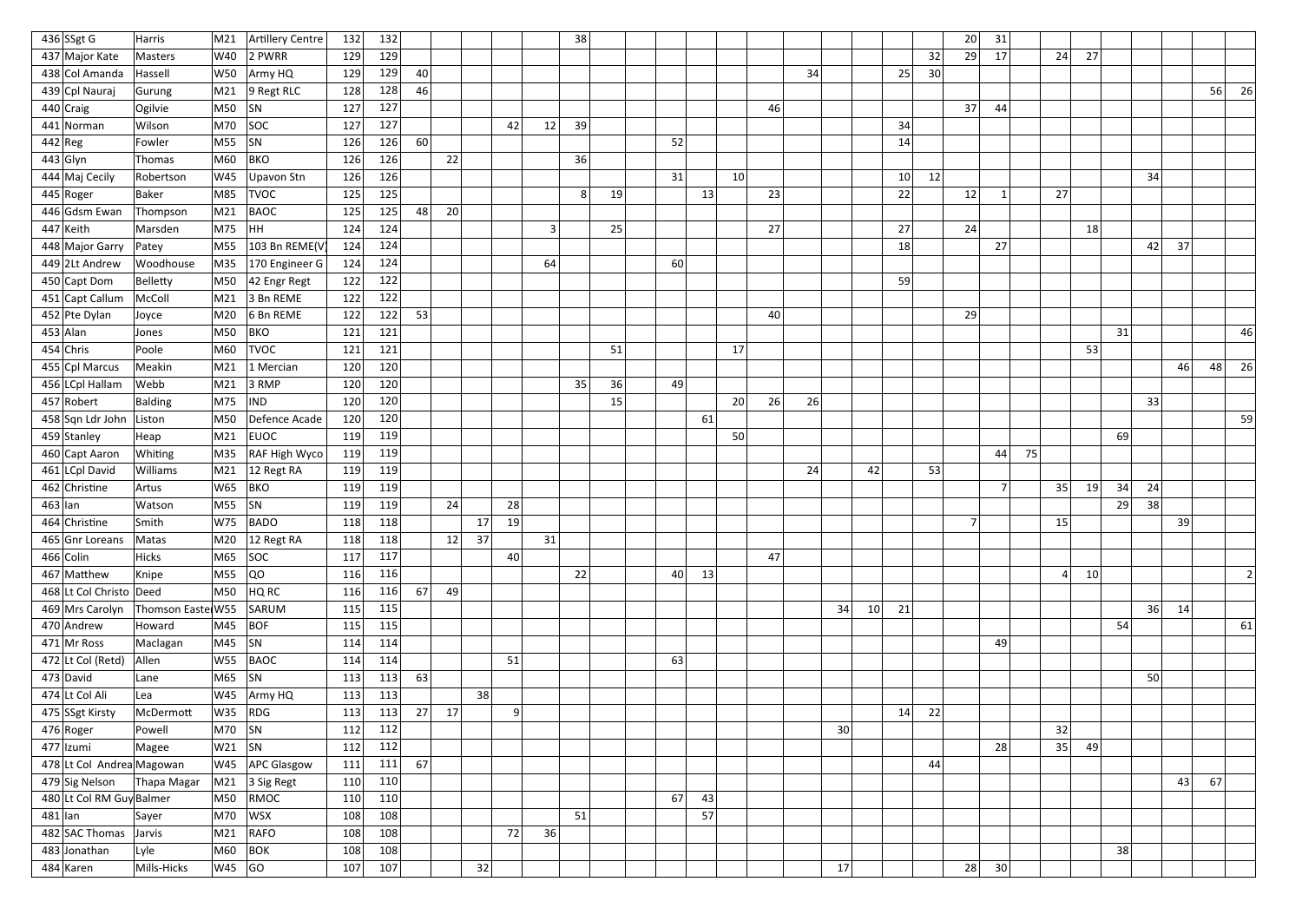| 436 SSgt G                | Harris            | M21       | Artillery Centre               | 132 | 132 |    |    |    |    |    | 38 |    |    |    |                 |    |    |                 |    |    | 20 | 31              |    |                 |    |    |    |    |    |    |
|---------------------------|-------------------|-----------|--------------------------------|-----|-----|----|----|----|----|----|----|----|----|----|-----------------|----|----|-----------------|----|----|----|-----------------|----|-----------------|----|----|----|----|----|----|
| 437 Major Kate            | Masters           | W40       | $ 2$ PWRR                      | 129 | 129 |    |    |    |    |    |    |    |    |    |                 |    |    |                 |    | 32 | 29 | 17              |    | 24              | 27 |    |    |    |    |    |
| 438 Col Amanda            | Hassell           | W50       | Army HQ                        | 129 | 129 | 40 |    |    |    |    |    |    |    |    |                 |    | 34 |                 | 25 | 30 |    |                 |    |                 |    |    |    |    |    |    |
| 439 Cpl Nauraj            | Gurung            | M21       | $9$ Regt RLC                   | 128 | 128 | 46 |    |    |    |    |    |    |    |    |                 |    |    |                 |    |    |    |                 |    |                 |    |    |    |    | 56 | 26 |
| $440$ Craig               | Ogilvie           | M50       | SN                             | 127 | 127 |    |    |    |    |    |    |    |    |    |                 | 46 |    |                 |    |    | 37 | 44              |    |                 |    |    |    |    |    |    |
| 441 Norman                | Wilson            | M70       | SOC                            | 127 | 127 |    |    |    | 42 | 12 | 39 |    |    |    |                 |    |    |                 | 34 |    |    |                 |    |                 |    |    |    |    |    |    |
| $442$ Reg                 | Fowler            | M55       | SN                             | 126 | 126 | 60 |    |    |    |    |    |    | 52 |    |                 |    |    |                 | 14 |    |    |                 |    |                 |    |    |    |    |    |    |
| $443$ Glyn                | Thomas            | M60       | <b>BKO</b>                     | 126 | 126 |    | 22 |    |    |    | 36 |    |    |    |                 |    |    |                 |    |    |    |                 |    |                 |    |    |    |    |    |    |
| 444 Maj Cecily            | Robertson         | W45       | Upavon Stn                     | 126 | 126 |    |    |    |    |    |    |    | 31 |    | 10 <sup>1</sup> |    |    |                 | 10 | 12 |    |                 |    |                 |    |    | 34 |    |    |    |
| 445 Roger                 | Baker             | M85       | <b>TVOC</b>                    | 125 | 125 |    |    |    |    |    | 8  | 19 |    | 13 |                 | 23 |    |                 | 22 |    | 12 |                 |    | 27              |    |    |    |    |    |    |
| 446 Gdsm Ewan             | Thompson          | M21       | <b>BAOC</b>                    | 125 | 125 | 48 | 20 |    |    |    |    |    |    |    |                 |    |    |                 |    |    |    |                 |    |                 |    |    |    |    |    |    |
| $447$ Keith               | Marsden           | M75       | HH.                            | 124 | 124 |    |    |    |    | 3  |    | 25 |    |    |                 | 27 |    |                 | 27 |    | 24 |                 |    |                 | 18 |    |    |    |    |    |
| 448 Major Garry           | Patey             | M55       | 103 Bn REME(V                  | 124 | 124 |    |    |    |    |    |    |    |    |    |                 |    |    |                 | 18 |    |    | 27              |    |                 |    |    | 42 | 37 |    |    |
| 449 2Lt Andrew            | Woodhouse         | M35       | 170 Engineer G                 | 124 | 124 |    |    |    |    | 64 |    |    | 60 |    |                 |    |    |                 |    |    |    |                 |    |                 |    |    |    |    |    |    |
| 450 Capt Dom              | Belletty          | M50       | 42 Engr Regt                   | 122 | 122 |    |    |    |    |    |    |    |    |    |                 |    |    |                 | 59 |    |    |                 |    |                 |    |    |    |    |    |    |
| 451 Capt Callum           | McColl            | M21       | 3 Bn REME                      | 122 | 122 |    |    |    |    |    |    |    |    |    |                 |    |    |                 |    |    |    |                 |    |                 |    |    |    |    |    |    |
| 452 Pte Dylan             | Joyce             | M20       | 6 Bn REME                      | 122 | 122 | 53 |    |    |    |    |    |    |    |    |                 | 40 |    |                 |    |    | 29 |                 |    |                 |    |    |    |    |    |    |
| $453$ Alan                | Jones             | M50       | <b>BKO</b>                     | 121 | 121 |    |    |    |    |    |    |    |    |    |                 |    |    |                 |    |    |    |                 |    |                 |    | 31 |    |    |    | 46 |
| $454$ Chris               | Poole             | M60       | <b>TVOC</b>                    | 121 | 121 |    |    |    |    |    |    | 51 |    |    | 17              |    |    |                 |    |    |    |                 |    |                 | 53 |    |    |    |    |    |
| 455 Cpl Marcus            | Meakin            | M21       | 1 Mercian                      | 120 | 120 |    |    |    |    |    |    |    |    |    |                 |    |    |                 |    |    |    |                 |    |                 |    |    |    | 46 | 48 | 26 |
| 456 LCpl Hallam           | Webb              | M21       | 3 RMP                          | 120 | 120 |    |    |    |    |    | 35 | 36 | 49 |    |                 |    |    |                 |    |    |    |                 |    |                 |    |    |    |    |    |    |
| 457 Robert                | Balding           | M75       | <b>IND</b>                     | 120 | 120 |    |    |    |    |    |    | 15 |    |    | 20              | 26 | 26 |                 |    |    |    |                 |    |                 |    |    | 33 |    |    |    |
| 458 Sqn Ldr John          | Liston            | M50       | Defence Acade                  | 120 | 120 |    |    |    |    |    |    |    |    | 61 |                 |    |    |                 |    |    |    |                 |    |                 |    |    |    |    |    | 59 |
| 459 Stanley               | Heap              | M21       | <b>EUOC</b>                    | 119 | 119 |    |    |    |    |    |    |    |    |    | 50              |    |    |                 |    |    |    |                 |    |                 |    | 69 |    |    |    |    |
| 460 Capt Aaron            | Whiting           | M35       | <b>RAF High Wyco</b>           | 119 | 119 |    |    |    |    |    |    |    |    |    |                 |    |    |                 |    |    |    | 44              | 75 |                 |    |    |    |    |    |    |
| 461 LCpl David            | Williams          | M21       | 12 Regt RA                     | 119 | 119 |    |    |    |    |    |    |    |    |    |                 |    | 24 | 42              |    | 53 |    |                 |    |                 |    |    |    |    |    |    |
| 462 Christine             | Artus             | W65       | <b>BKO</b>                     | 119 | 119 |    |    |    |    |    |    |    |    |    |                 |    |    |                 |    |    |    | $\overline{7}$  |    | 35              | 19 | 34 | 24 |    |    |    |
| $463$  lan                | Watson            | M55       | SN                             | 119 | 119 |    | 24 |    | 28 |    |    |    |    |    |                 |    |    |                 |    |    |    |                 |    |                 |    | 29 | 38 |    |    |    |
| 464 Christine             | Smith             | W75       | <b>BADO</b>                    | 118 | 118 |    |    | 17 | 19 |    |    |    |    |    |                 |    |    |                 |    |    |    |                 |    | 15              |    |    |    | 39 |    |    |
| 465 Gnr Loreans           | Matas             |           | M20 $ 12$ Regt RA              | 118 | 118 |    | 12 | 37 |    | 31 |    |    |    |    |                 |    |    |                 |    |    |    |                 |    |                 |    |    |    |    |    |    |
| $466$ Colin               | <b>Hicks</b>      |           | $M65$ SOC                      | 117 | 117 |    |    |    | 40 |    |    |    |    |    |                 | 47 |    |                 |    |    |    |                 |    |                 |    |    |    |    |    |    |
| 467 Matthew               | Knipe             | M55       | $ _{\rm QO}$                   | 116 | 116 |    |    |    |    |    | 22 |    | 40 | 13 |                 |    |    |                 |    |    |    |                 |    | $\vert 4 \vert$ | 10 |    |    |    |    | 2  |
| 468 Lt Col Christo   Deed |                   | M50       | HQ RC                          | 116 | 116 | 67 | 49 |    |    |    |    |    |    |    |                 |    |    |                 |    |    |    |                 |    |                 |    |    |    |    |    |    |
| 469 Mrs Carolyn           | Thomson Easte W55 |           | SARUM                          | 115 | 115 |    |    |    |    |    |    |    |    |    |                 |    |    | 34<br>10        | 21 |    |    |                 |    |                 |    |    | 36 | 14 |    |    |
| 470 Andrew                | Howard            | M45       | BOF                            | 115 | 115 |    |    |    |    |    |    |    |    |    |                 |    |    |                 |    |    |    |                 |    |                 |    | 54 |    |    |    | 61 |
| $471$ Mr Ross             | Maclagan          | M45 $ SN$ |                                | 114 | 114 |    |    |    |    |    |    |    |    |    |                 |    |    |                 |    |    |    | 49              |    |                 |    |    |    |    |    |    |
| $472$ Lt Col (Retd)       | Allen             |           | $W55$ BAOC                     | 114 | 114 |    |    |    | 51 |    |    |    | 63 |    |                 |    |    |                 |    |    |    |                 |    |                 |    |    |    |    |    |    |
| $473$ David               | Lane              | $M65$ SN  |                                | 113 | 113 | 63 |    |    |    |    |    |    |    |    |                 |    |    |                 |    |    |    |                 |    |                 |    |    | 50 |    |    |    |
| 474 Lt Col Ali            | Lea               |           | $W45$   Army HQ                | 113 | 113 |    |    | 38 |    |    |    |    |    |    |                 |    |    |                 |    |    |    |                 |    |                 |    |    |    |    |    |    |
| 475 SSgt Kirsty           | McDermott         |           | $W35$ RDG                      | 113 | 113 | 27 | 17 |    | q  |    |    |    |    |    |                 |    |    |                 | 14 | 22 |    |                 |    |                 |    |    |    |    |    |    |
| 476 Roger                 | Powell            | M70  SN   |                                | 112 | 112 |    |    |    |    |    |    |    |    |    |                 |    |    | 30 <sup>°</sup> |    |    |    |                 |    | 32              |    |    |    |    |    |    |
| $477$  Izumi              | Magee             | $W21$ SN  |                                | 112 | 112 |    |    |    |    |    |    |    |    |    |                 |    |    |                 |    |    |    | 28              |    | 35              | 49 |    |    |    |    |    |
| 478 Lt Col Andrea Magowan |                   |           | W45   APC Glasgow              | 111 | 111 | 67 |    |    |    |    |    |    |    |    |                 |    |    |                 |    | 44 |    |                 |    |                 |    |    |    |    |    |    |
| 479 Sig Nelson            | Thapa Magar       |           | $\vert$ M21 $\vert$ 3 Sig Regt | 110 | 110 |    |    |    |    |    |    |    |    |    |                 |    |    |                 |    |    |    |                 |    |                 |    |    |    | 43 | 67 |    |
| 480 Lt Col RM Guy Balmer  |                   | M50       | RMOC                           | 110 | 110 |    |    |    |    |    |    |    | 67 | 43 |                 |    |    |                 |    |    |    |                 |    |                 |    |    |    |    |    |    |
| $481$  lan                | Sayer             | M70       | <b>WSX</b>                     | 108 | 108 |    |    |    |    |    | 51 |    |    | 57 |                 |    |    |                 |    |    |    |                 |    |                 |    |    |    |    |    |    |
| 482 SAC Thomas Jarvis     |                   | M21       | RAFO                           | 108 | 108 |    |    |    | 72 | 36 |    |    |    |    |                 |    |    |                 |    |    |    |                 |    |                 |    |    |    |    |    |    |
| 483 Jonathan              | Lyle              | M60       | $ $ BOK                        | 108 | 108 |    |    |    |    |    |    |    |    |    |                 |    |    |                 |    |    |    |                 |    |                 |    | 38 |    |    |    |    |
| 484 Karen                 | Mills-Hicks       | W45  GO   |                                | 107 | 107 |    |    | 32 |    |    |    |    |    |    |                 |    |    | 17              |    |    | 28 | 30 <sup>°</sup> |    |                 |    |    |    |    |    |    |
|                           |                   |           |                                |     |     |    |    |    |    |    |    |    |    |    |                 |    |    |                 |    |    |    |                 |    |                 |    |    |    |    |    |    |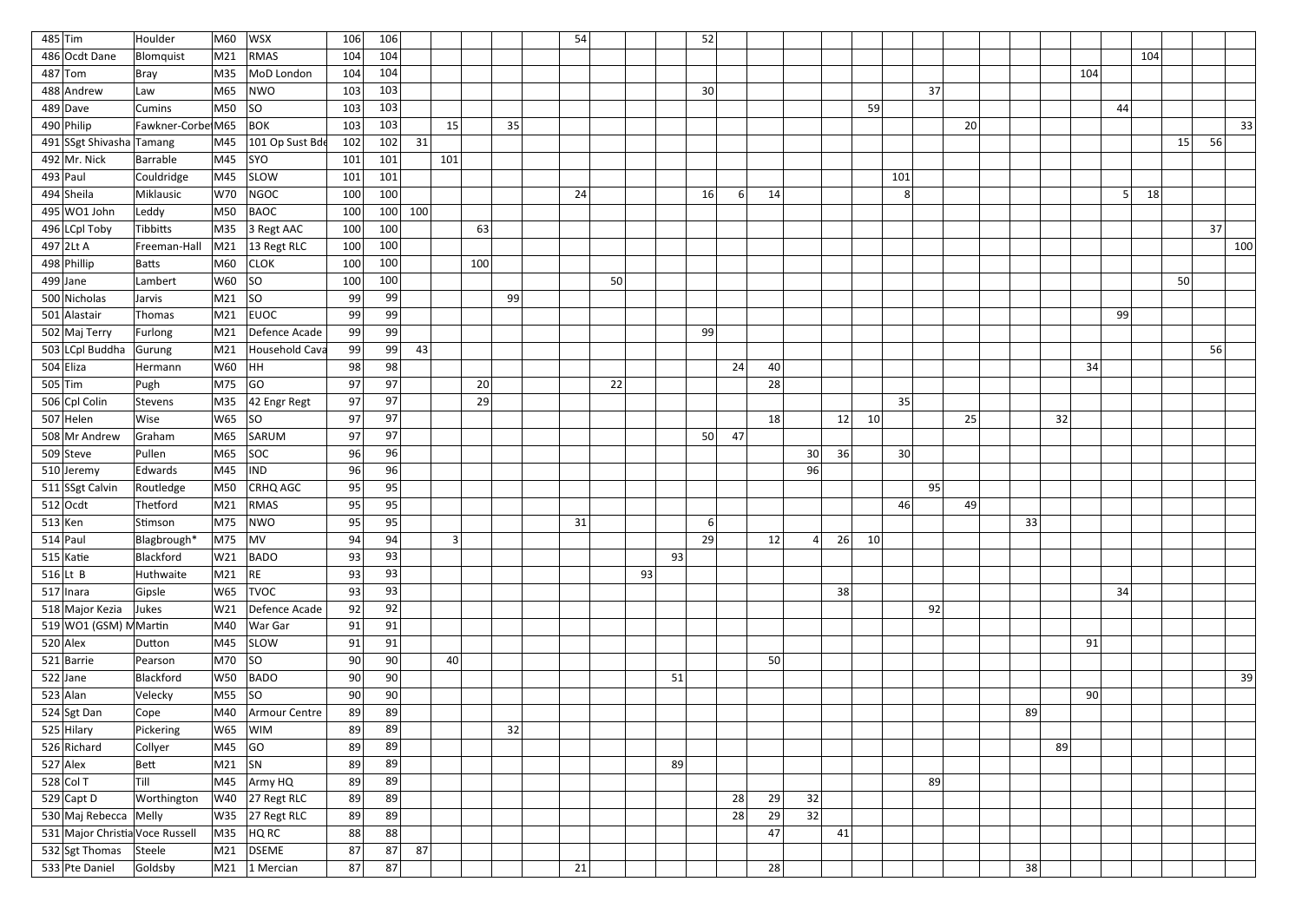| $485$ Tim                       | Houlder           | M60                    | WSX                             | 106 | 106      |     |     |     |    | 54 |    |    |    | 52              |                |    |    |           |     |    |    |    |                 |    |     |    |    |     |
|---------------------------------|-------------------|------------------------|---------------------------------|-----|----------|-----|-----|-----|----|----|----|----|----|-----------------|----------------|----|----|-----------|-----|----|----|----|-----------------|----|-----|----|----|-----|
| 486 Ocdt Dane                   | Blomquist         | M21                    | RMAS                            | 104 | 104      |     |     |     |    |    |    |    |    |                 |                |    |    |           |     |    |    |    |                 |    | 104 |    |    |     |
| $487$ Tom                       | Bray              | M35                    | MoD London                      | 104 | 104      |     |     |     |    |    |    |    |    |                 |                |    |    |           |     |    |    |    | 104             |    |     |    |    |     |
| 488 Andrew                      | Law               | M65                    | NWO                             | 103 | 103      |     |     |     |    |    |    |    |    | 30 <sup>2</sup> |                |    |    |           | 37  |    |    |    |                 |    |     |    |    |     |
| $489$ Dave                      | <b>Cumins</b>     | M50                    | SO                              | 103 | 103      |     |     |     |    |    |    |    |    |                 |                |    |    | 59        |     |    |    |    |                 | 44 |     |    |    |     |
| 490 Philip                      | Fawkner-Corbe M65 |                        | $ $ BOK                         | 103 | 103      |     | 15  |     | 35 |    |    |    |    |                 |                |    |    |           |     | 20 |    |    |                 |    |     |    |    | 33  |
| 491 SSgt Shivasha Tamang        |                   | M45                    | 101 Op Sust Bde                 | 102 | 102      | 31  |     |     |    |    |    |    |    |                 |                |    |    |           |     |    |    |    |                 |    |     | 15 | 56 |     |
| 492 Mr. Nick                    | Barrable          | M45                    | $ $ SYO                         | 101 | 101      |     | 101 |     |    |    |    |    |    |                 |                |    |    |           |     |    |    |    |                 |    |     |    |    |     |
| $493$ Paul                      | Couldridge        | M45                    | <b>SLOW</b>                     | 101 | 101      |     |     |     |    |    |    |    |    |                 |                |    |    |           | 101 |    |    |    |                 |    |     |    |    |     |
| 494 Sheila                      | Miklausic         | W70                    | NGOC                            | 100 | 100      |     |     |     |    | 24 |    |    |    | 16              | 6 <sup>1</sup> | 14 |    |           | 8   |    |    |    |                 |    | 18  |    |    |     |
| $495 WO1$ John                  | Leddy             | M50                    | BAOC                            | 100 | 100      | 100 |     |     |    |    |    |    |    |                 |                |    |    |           |     |    |    |    |                 |    |     |    |    |     |
| 496 LCpl Toby                   | Tibbitts          | M35                    | $ 3$ Regt AAC                   | 100 | 100      |     |     | 63  |    |    |    |    |    |                 |                |    |    |           |     |    |    |    |                 |    |     |    | 37 |     |
| $497$  2Lt A                    | Freeman-Hall      |                        | $\vert$ M21 $\vert$ 13 Regt RLC | 100 | 100      |     |     |     |    |    |    |    |    |                 |                |    |    |           |     |    |    |    |                 |    |     |    |    | 100 |
| 498 Phillip                     | Batts             | M60                    | <b>CLOK</b>                     | 100 | 100      |     |     | 100 |    |    |    |    |    |                 |                |    |    |           |     |    |    |    |                 |    |     |    |    |     |
| $499$ Jane                      | Lambert           | W60                    | SO                              | 100 | 100      |     |     |     |    |    | 50 |    |    |                 |                |    |    |           |     |    |    |    |                 |    |     | 50 |    |     |
| 500 Nicholas                    | Jarvis            | M21                    | SO                              | 99  | 99       |     |     |     | 99 |    |    |    |    |                 |                |    |    |           |     |    |    |    |                 |    |     |    |    |     |
| 501 Alastair                    | Thomas            | M21                    | EUOC                            | 99  | 99       |     |     |     |    |    |    |    |    |                 |                |    |    |           |     |    |    |    |                 | 99 |     |    |    |     |
| 502 Maj Terry                   | Furlong           | M21                    | Defence Acade                   | 99  | 99       |     |     |     |    |    |    |    |    | -99             |                |    |    |           |     |    |    |    |                 |    |     |    |    |     |
| 503 LCpl Buddha                 | Gurung            | M21                    | Household Cava                  | 99  | 99       | 43  |     |     |    |    |    |    |    |                 |                |    |    |           |     |    |    |    |                 |    |     |    | 56 |     |
| $504$ Eliza                     | Hermann           | W60                    | HH                              | 98  | 98       |     |     |     |    |    |    |    |    |                 | 24             | 40 |    |           |     |    |    |    | 34              |    |     |    |    |     |
| 505 $\vert$ Tim                 | Pugh              | M75                    | GO                              | 97  | 97       |     |     | 20  |    |    | 22 |    |    |                 |                | 28 |    |           |     |    |    |    |                 |    |     |    |    |     |
| 506 Cpl Colin                   | Stevens           | M35                    | 42 Engr Regt                    | 97  | 97       |     |     | 29  |    |    |    |    |    |                 |                |    |    |           | 35  |    |    |    |                 |    |     |    |    |     |
| $507$ Helen                     | Wise              | W65                    | SO                              | 97  | 97       |     |     |     |    |    |    |    |    |                 |                | 18 |    | 12 <br>10 |     | 25 |    | 32 |                 |    |     |    |    |     |
| 508 Mr Andrew                   | Graham            | M65                    | SARUM                           | 97  | 97       |     |     |     |    |    |    |    |    | 50              | 47             |    |    |           |     |    |    |    |                 |    |     |    |    |     |
| 509 Steve                       | Pullen            | M65                    | SOC                             | 96  | 96       |     |     |     |    |    |    |    |    |                 |                |    | 30 | 36        | 30  |    |    |    |                 |    |     |    |    |     |
| $510$ Jeremy                    | Edwards           | M45                    | <b>IND</b>                      | 96  | 96       |     |     |     |    |    |    |    |    |                 |                |    | 96 |           |     |    |    |    |                 |    |     |    |    |     |
| 511 SSgt Calvin                 | Routledge         | M50                    | <b>CRHQ AGC</b>                 | 95  | 95       |     |     |     |    |    |    |    |    |                 |                |    |    |           | 95  |    |    |    |                 |    |     |    |    |     |
| $512$ Ocdt                      | Thetford          | M21                    | RMAS                            | 95  | 95       |     |     |     |    |    |    |    |    |                 |                |    |    |           | 46  | 49 |    |    |                 |    |     |    |    |     |
| $513$ Ken                       | Stimson           |                        | $ M75 $ NWO                     | 95  | 95       |     |     |     |    | 31 |    |    |    | 6 <sup>1</sup>  |                |    |    |           |     |    | 33 |    |                 |    |     |    |    |     |
| $514$ Paul                      | Blagbrough*       | $ M75 $ MV             |                                 | 94  | 94       |     | 3   |     |    |    |    |    |    | 29              |                | 12 |    | 26<br>10  |     |    |    |    |                 |    |     |    |    |     |
| $515$ Katie                     | Blackford         |                        | W21 BADO                        | 93  | 93       |     |     |     |    |    |    |    | 93 |                 |                |    |    |           |     |    |    |    |                 |    |     |    |    |     |
| $516$ Lt B                      | Huthwaite         | M21 RE                 |                                 | 93  | 93       |     |     |     |    |    |    | 93 |    |                 |                |    |    |           |     |    |    |    |                 |    |     |    |    |     |
| $517$  Inara                    | Gipsle            |                        | W65 TVOC                        | 93  | 93       |     |     |     |    |    |    |    |    |                 |                |    |    | 38        |     |    |    |    |                 | 34 |     |    |    |     |
| 518 Major Kezia                 | Jukes             |                        | W21 Defence Acade               | 92  | 92       |     |     |     |    |    |    |    |    |                 |                |    |    |           | 92  |    |    |    |                 |    |     |    |    |     |
| 519 WO1 (GSM) MMartin           |                   |                        | M40   War Gar                   | 91  | 91       |     |     |     |    |    |    |    |    |                 |                |    |    |           |     |    |    |    |                 |    |     |    |    |     |
| $520$ Alex                      | Dutton            |                        | $\overline{\text{M45}}$ SLOW    | 91  | 91       |     |     |     |    |    |    |    |    |                 |                |    |    |           |     |    |    |    | 91              |    |     |    |    |     |
| 521 Barrie                      | Pearson           | M70  SO                |                                 | 90  | 90       |     | 40  |     |    |    |    |    |    |                 |                | 50 |    |           |     |    |    |    |                 |    |     |    |    |     |
| $522$ Jane                      | Blackford         |                        | W50 BADO                        | 90  | 90       |     |     |     |    |    |    |    | 51 |                 |                |    |    |           |     |    |    |    |                 |    |     |    |    | 39  |
| $523$ Alan                      | Velecky           | M55  SO                |                                 | 90  | 90       |     |     |     |    |    |    |    |    |                 |                |    |    |           |     |    |    |    | 90 <sub>l</sub> |    |     |    |    |     |
|                                 |                   |                        |                                 | 89  |          |     |     |     |    |    |    |    |    |                 |                |    |    |           |     |    | 89 |    |                 |    |     |    |    |     |
| 524 Sgt Dan<br>525 Hilary       | Cope<br>Pickering |                        | M40 Armour Centre<br> W65  WIM  | 89  | 89<br>89 |     |     |     | 32 |    |    |    |    |                 |                |    |    |           |     |    |    |    |                 |    |     |    |    |     |
| 526 Richard                     | Collyer           | M45                    | GO                              |     | 89       |     |     |     |    |    |    |    |    |                 |                |    |    |           |     |    |    | 89 |                 |    |     |    |    |     |
| $527$ Alex                      |                   | $\vert$ M21 $\vert$ SN |                                 | 89  | 89       |     |     |     |    |    |    |    |    |                 |                |    |    |           |     |    |    |    |                 |    |     |    |    |     |
|                                 | Bett<br> Till     |                        |                                 | 89  |          |     |     |     |    |    |    |    | 89 |                 |                |    |    |           |     |    |    |    |                 |    |     |    |    |     |
| 528 Col T                       |                   |                        | M45 Army HQ                     | 89  | 89       |     |     |     |    |    |    |    |    |                 |                |    |    |           | 89  |    |    |    |                 |    |     |    |    |     |
| 529 Capt D                      | Worthington       |                        | $\sqrt{27}$ Regt RLC            | 89  | 89       |     |     |     |    |    |    |    |    |                 | 28             | 29 | 32 |           |     |    |    |    |                 |    |     |    |    |     |
| 530 Maj Rebecca Melly           |                   |                        | $ W35 $ 27 Regt RLC             | 89  | 89       |     |     |     |    |    |    |    |    |                 | 28             | 29 | 32 |           |     |    |    |    |                 |    |     |    |    |     |
| 531 Major Christia Voce Russell |                   |                        | $MS5$ HQ RC                     | 88  | 88       |     |     |     |    |    |    |    |    |                 |                | 47 |    | 41        |     |    |    |    |                 |    |     |    |    |     |
| 532 Sgt Thomas                  | Steele            | M21                    | DSEME                           | 87  | 87       | 87  |     |     |    |    |    |    |    |                 |                |    |    |           |     |    |    |    |                 |    |     |    |    |     |
| 533 Pte Daniel                  | Goldsby           |                        | $\vert$ M21 $\vert$ 1 Mercian   | 87  | 87       |     |     |     |    | 21 |    |    |    |                 |                | 28 |    |           |     |    | 38 |    |                 |    |     |    |    |     |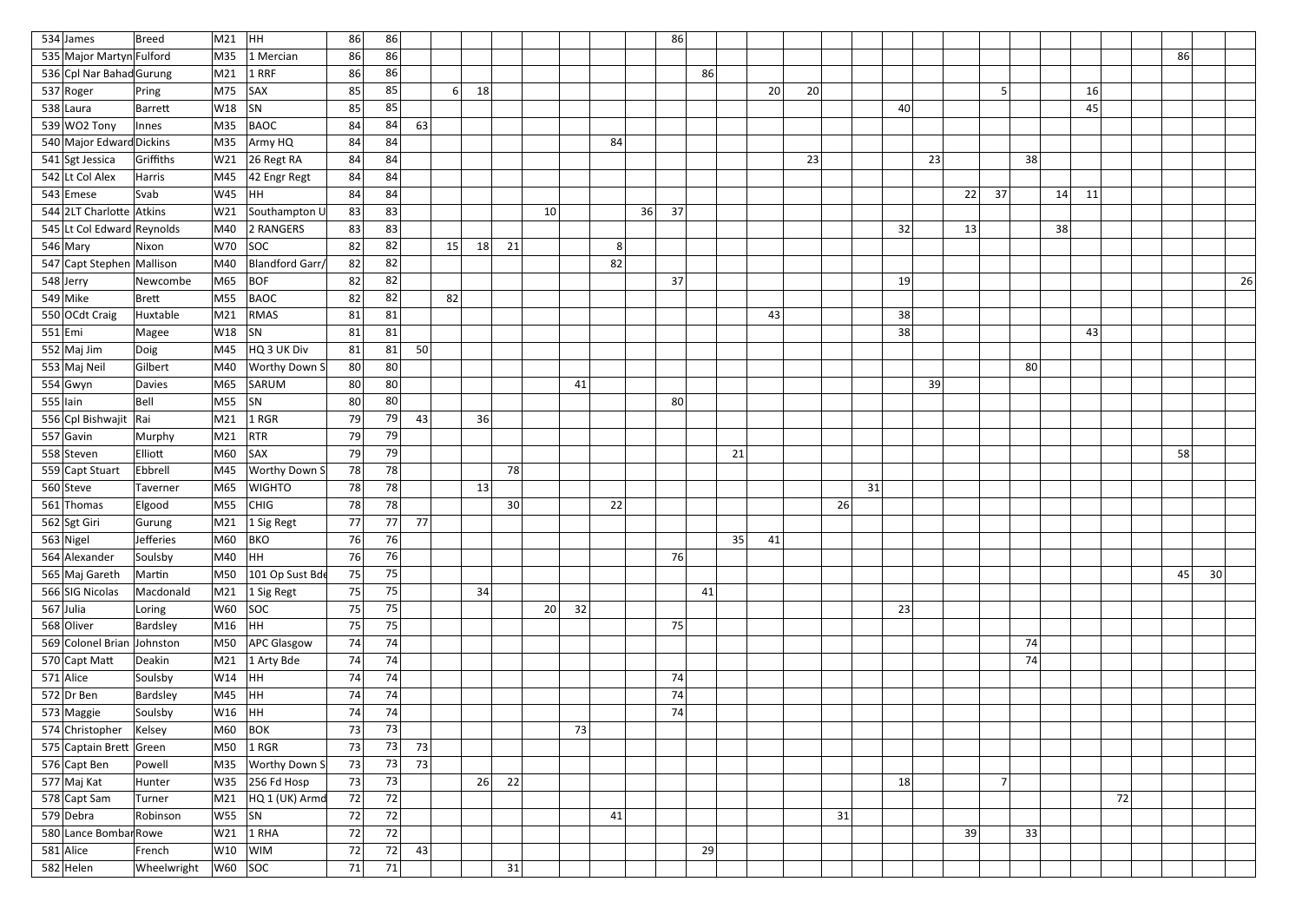|             | 534 James                  | Breed         | M21             | HH                             | 86 | 86 |     |                |    |    |    |    |                | 86       |    |    |    |    |    |    |    |    |                |    |    |    |    |    |                 |    |
|-------------|----------------------------|---------------|-----------------|--------------------------------|----|----|-----|----------------|----|----|----|----|----------------|----------|----|----|----|----|----|----|----|----|----------------|----|----|----|----|----|-----------------|----|
|             | 535 Major Martyn Fulford   |               | M35             | 1 Mercian                      | 86 | 86 |     |                |    |    |    |    |                |          |    |    |    |    |    |    |    |    |                |    |    |    |    | 86 |                 |    |
|             | 536 Cpl Nar Bahad Gurung   |               | M21             | $1$ RRF                        | 86 | 86 |     |                |    |    |    |    |                |          | 86 |    |    |    |    |    |    |    |                |    |    |    |    |    |                 |    |
|             | 537 Roger                  | Pring         | M75             | SAX                            | 85 | 85 |     | 6 <sup>1</sup> | 18 |    |    |    |                |          |    |    | 20 | 20 |    |    |    |    | E.             |    |    | 16 |    |    |                 |    |
|             | 538 Laura                  | Barrett       | W18             | SN                             | 85 | 85 |     |                |    |    |    |    |                |          |    |    |    |    |    |    | 40 |    |                |    |    | 45 |    |    |                 |    |
|             | 539 WO2 Tony               | Innes         | M35             | BAOC                           | 84 | 84 | 63  |                |    |    |    |    |                |          |    |    |    |    |    |    |    |    |                |    |    |    |    |    |                 |    |
|             | 540 Major Edward Dickins   |               | M35             | Army HQ                        | 84 | 84 |     |                |    |    |    |    | 84             |          |    |    |    |    |    |    |    |    |                |    |    |    |    |    |                 |    |
|             | 541 Sgt Jessica            | Griffiths     | W21             | 26 Regt RA                     | 84 | 84 |     |                |    |    |    |    |                |          |    |    |    | 23 |    |    | 23 |    |                | 38 |    |    |    |    |                 |    |
|             | 542 Lt Col Alex            | Harris        | M45             | 42 Engr Regt                   | 84 | 84 |     |                |    |    |    |    |                |          |    |    |    |    |    |    |    |    |                |    |    |    |    |    |                 |    |
|             | 543 Emese                  | Svab          | W45             | HH.                            | 84 | 84 |     |                |    |    |    |    |                |          |    |    |    |    |    |    |    | 22 | 37             |    | 14 | 11 |    |    |                 |    |
|             | 544 2LT Charlotte Atkins   |               | W21             | Southampton U                  | 83 | 83 |     |                |    |    | 10 |    |                | 36<br>37 |    |    |    |    |    |    |    |    |                |    |    |    |    |    |                 |    |
|             | 545 Lt Col Edward Reynolds |               | M40             | 2 RANGERS                      | 83 | 83 |     |                |    |    |    |    |                |          |    |    |    |    |    |    | 32 | 13 |                |    | 38 |    |    |    |                 |    |
|             | $546$ Mary                 | Nixon         | W70             | SOC                            | 82 | 82 |     | 15             | 18 | 21 |    |    | 8 <sup>1</sup> |          |    |    |    |    |    |    |    |    |                |    |    |    |    |    |                 |    |
|             | 547 Capt Stephen Mallison  |               | M40             | Blandford Garr/                | 82 | 82 |     |                |    |    |    |    | 82             |          |    |    |    |    |    |    |    |    |                |    |    |    |    |    |                 |    |
|             | 548 Jerry                  | Newcombe      | M65             | BOF                            | 82 | 82 |     |                |    |    |    |    |                | 37       |    |    |    |    |    |    | 19 |    |                |    |    |    |    |    |                 | 26 |
|             | $549$ Mike                 | Brett         | M55             | BAOC                           | 82 | 82 |     | 82             |    |    |    |    |                |          |    |    |    |    |    |    |    |    |                |    |    |    |    |    |                 |    |
|             | 550 OCdt Craig             | Huxtable      | M21             | RMAS                           | 81 | 81 |     |                |    |    |    |    |                |          |    |    | 43 |    |    |    | 38 |    |                |    |    |    |    |    |                 |    |
| $551$ Emi   |                            | Magee         | W18             | SN                             | 81 | 81 |     |                |    |    |    |    |                |          |    |    |    |    |    |    | 38 |    |                |    |    | 43 |    |    |                 |    |
|             | $552$ Maj Jim              | Doig          | M45             | HQ 3 UK Div                    | 81 | 81 | 50  |                |    |    |    |    |                |          |    |    |    |    |    |    |    |    |                |    |    |    |    |    |                 |    |
|             | 553 Maj Neil               | Gilbert       | M40             | <b>Worthy Down S</b>           | 80 | 80 |     |                |    |    |    |    |                |          |    |    |    |    |    |    |    |    |                | 80 |    |    |    |    |                 |    |
|             | $554$ Gwyn                 | <b>Davies</b> | M65             | SARUM                          | 80 | 80 |     |                |    |    |    | 41 |                |          |    |    |    |    |    |    | 39 |    |                |    |    |    |    |    |                 |    |
| $555$  lain |                            | Bell          | M55             | $ $ SN                         | 80 | 80 |     |                |    |    |    |    |                | 80       |    |    |    |    |    |    |    |    |                |    |    |    |    |    |                 |    |
|             | 556 Cpl Bishwajit          | Rai           | M21             | $1$ RGR                        | 79 | 79 | 43  |                | 36 |    |    |    |                |          |    |    |    |    |    |    |    |    |                |    |    |    |    |    |                 |    |
|             | $557$ Gavin                | Murphy        | M21             | RTR                            | 79 | 79 |     |                |    |    |    |    |                |          |    |    |    |    |    |    |    |    |                |    |    |    |    |    |                 |    |
|             | 558 Steven                 | Elliott       | M60             | <b>SAX</b>                     | 79 | 79 |     |                |    |    |    |    |                |          |    | 21 |    |    |    |    |    |    |                |    |    |    |    | 58 |                 |    |
|             | 559 Capt Stuart            | Ebbrell       | M45             | <b>Worthy Down S</b>           | 78 | 78 |     |                |    | 78 |    |    |                |          |    |    |    |    |    |    |    |    |                |    |    |    |    |    |                 |    |
|             | 560 Steve                  | Taverner      | M65             | <b>WIGHTO</b>                  | 78 | 78 |     |                | 13 |    |    |    |                |          |    |    |    |    |    | 31 |    |    |                |    |    |    |    |    |                 |    |
|             | 561 Thomas                 | Elgood        | M55             | CHIG                           | 78 | 78 |     |                |    | 30 |    |    | 22             |          |    |    |    |    | 26 |    |    |    |                |    |    |    |    |    |                 |    |
|             | 562 Sgt Giri               | Gurung        |                 | $\vert$ M21 $\vert$ 1 Sig Regt | 77 | 77 | 771 |                |    |    |    |    |                |          |    |    |    |    |    |    |    |    |                |    |    |    |    |    |                 |    |
|             | $563$ Nigel                | Jefferies     | M60             | BKO                            | 76 | 76 |     |                |    |    |    |    |                |          |    | 35 | 41 |    |    |    |    |    |                |    |    |    |    |    |                 |    |
|             | 564 Alexander              | Soulsby       | M40  HH         |                                | 76 | 76 |     |                |    |    |    |    |                |          | 76 |    |    |    |    |    |    |    |                |    |    |    |    |    |                 |    |
|             | 565 Maj Gareth             | Martin        | M50             | 101 Op Sust Bde                | 75 | 75 |     |                |    |    |    |    |                |          |    |    |    |    |    |    |    |    |                |    |    |    |    | 45 | 30 <sup>2</sup> |    |
|             | 566 SIG Nicolas            | Macdonald     |                 | $\vert$ M21 $\vert$ 1 Sig Regt | 75 | 75 |     |                | 34 |    |    |    |                |          | 41 |    |    |    |    |    |    |    |                |    |    |    |    |    |                 |    |
|             | 567 Julia                  | Loring        | $W60$ SOC       |                                | 75 | 75 |     |                |    |    | 20 | 32 |                |          |    |    |    |    |    |    | 23 |    |                |    |    |    |    |    |                 |    |
|             | 568 Oliver                 | Bardsley      | M16  HH         |                                | 75 | 75 |     |                |    |    |    |    |                |          | 75 |    |    |    |    |    |    |    |                |    |    |    |    |    |                 |    |
|             | 569 Colonel Brian Johnston |               |                 | M50 APC Glasgow                | 74 | 74 |     |                |    |    |    |    |                |          |    |    |    |    |    |    |    |    |                | 74 |    |    |    |    |                 |    |
|             | 570 Capt Matt              | Deakin        |                 | $M21$ 1 Arty Bde               | 74 | 74 |     |                |    |    |    |    |                |          |    |    |    |    |    |    |    |    |                | 74 |    |    |    |    |                 |    |
|             | $571$ Alice                | Soulsby       | W14  HH         |                                | 74 | 74 |     |                |    |    |    |    |                | 74       |    |    |    |    |    |    |    |    |                |    |    |    |    |    |                 |    |
|             | 572 Dr Ben                 | Bardsley      | M45  HH         |                                | 74 | 74 |     |                |    |    |    |    |                | 74       |    |    |    |    |    |    |    |    |                |    |    |    |    |    |                 |    |
|             | 573 Maggie                 | Soulsby       | W16  HH         |                                | 74 | 74 |     |                |    |    |    |    |                |          | 74 |    |    |    |    |    |    |    |                |    |    |    |    |    |                 |    |
|             | 574 Christopher            | Kelsey        | M60             | $ $ BOK                        | 73 | 73 |     |                |    |    |    | 73 |                |          |    |    |    |    |    |    |    |    |                |    |    |    |    |    |                 |    |
|             | 575 Captain Brett Green    |               | M50             | $1$ RGR                        | 73 | 73 | 73  |                |    |    |    |    |                |          |    |    |    |    |    |    |    |    |                |    |    |    |    |    |                 |    |
|             | 576 Capt Ben               | Powell        |                 | M35   Worthy Down S            | 73 | 73 | 73  |                |    |    |    |    |                |          |    |    |    |    |    |    |    |    |                |    |    |    |    |    |                 |    |
|             | 577 Maj Kat                | Hunter        |                 | W35 256 Fd Hosp                | 73 | 73 |     |                | 26 | 22 |    |    |                |          |    |    |    |    |    |    | 18 |    | $\overline{7}$ |    |    |    |    |    |                 |    |
|             | 578 Capt Sam               | Turner        | M21             | HQ 1 (UK) Armd                 | 72 | 72 |     |                |    |    |    |    |                |          |    |    |    |    |    |    |    |    |                |    |    |    | 72 |    |                 |    |
|             | 579 Debra                  | Robinson      | W55  SN         |                                | 72 | 72 |     |                |    |    |    |    | 41             |          |    |    |    |    | 31 |    |    |    |                |    |    |    |    |    |                 |    |
|             | 580 Lance Bombar Rowe      |               | W21             | $1$ RHA                        | 72 | 72 |     |                |    |    |    |    |                |          |    |    |    |    |    |    |    | 39 |                | 33 |    |    |    |    |                 |    |
|             | $581$ Alice                | French        |                 | $ W10 $ $ WIM $                | 72 | 72 | 43  |                |    |    |    |    |                |          | 29 |    |    |    |    |    |    |    |                |    |    |    |    |    |                 |    |
|             | $582$ Helen                | Wheelwright   | $ W60 $ $ SOC $ |                                | 71 | 71 |     |                |    | 31 |    |    |                |          |    |    |    |    |    |    |    |    |                |    |    |    |    |    |                 |    |
|             |                            |               |                 |                                |    |    |     |                |    |    |    |    |                |          |    |    |    |    |    |    |    |    |                |    |    |    |    |    |                 |    |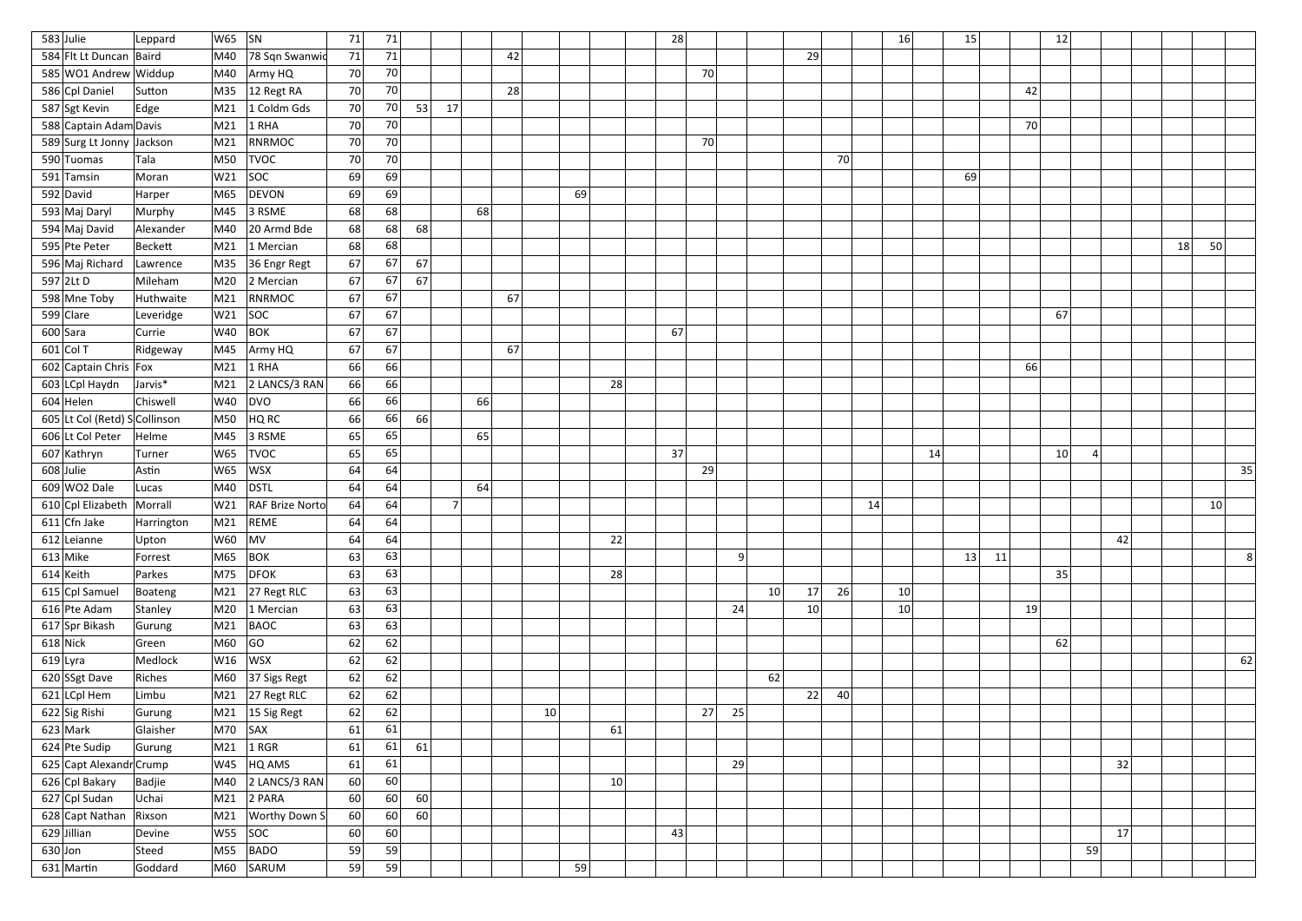| $583$ Julie                   | Leppard    | $ W65 $ $ SN$  |                                   | 71 | 71 |    |                |    |                 |    |    | 28 |    |    |    |          |    | 16<br>15        |    |    | 12              |    |    |    |    |                |
|-------------------------------|------------|----------------|-----------------------------------|----|----|----|----------------|----|-----------------|----|----|----|----|----|----|----------|----|-----------------|----|----|-----------------|----|----|----|----|----------------|
| 584 Flt Lt Duncan Baird       |            | M40            | 78 Sqn Swanwid                    | 71 | 71 |    |                |    | 42              |    |    |    |    |    |    | 29       |    |                 |    |    |                 |    |    |    |    |                |
| 585 WO1 Andrew Widdup         |            | M40            | Army HQ                           | 70 | 70 |    |                |    |                 |    |    |    | 70 |    |    |          |    |                 |    |    |                 |    |    |    |    |                |
| 586 Cpl Daniel                | Sutton     | M35            | 12 Regt RA                        | 70 | 70 |    |                |    | 28              |    |    |    |    |    |    |          |    |                 |    | 42 |                 |    |    |    |    |                |
| 587 Sgt Kevin                 | Edge       | M21            | 1 Coldm Gds                       | 70 | 70 | 53 | 17             |    |                 |    |    |    |    |    |    |          |    |                 |    |    |                 |    |    |    |    |                |
| 588 Captain Adam Davis        |            | M21            | $1$ RHA                           | 70 | 70 |    |                |    |                 |    |    |    |    |    |    |          |    |                 |    | 70 |                 |    |    |    |    |                |
| 589 Surg Lt Jonny Jackson     |            | M21            | RNRMOC                            | 70 | 70 |    |                |    |                 |    |    |    | 70 |    |    |          |    |                 |    |    |                 |    |    |    |    |                |
| 590 Tuomas                    | Tala       | M50            | <b>TVOC</b>                       | 70 | 70 |    |                |    |                 |    |    |    |    |    |    | 70       |    |                 |    |    |                 |    |    |    |    |                |
| 591 Tamsin                    | Moran      | W21            | SOC                               | 69 | 69 |    |                |    |                 |    |    |    |    |    |    |          |    | 69              |    |    |                 |    |    |    |    |                |
| 592 David                     | Harper     | M65            | DEVON                             | 69 | 69 |    |                |    |                 | 69 |    |    |    |    |    |          |    |                 |    |    |                 |    |    |    |    |                |
| 593 Maj Daryl                 | Murphy     | M45            | $ 3$ RSME                         | 68 | 68 |    |                | 68 |                 |    |    |    |    |    |    |          |    |                 |    |    |                 |    |    |    |    |                |
| 594 Maj David                 | Alexander  | M40            | 20 Armd Bde                       | 68 | 68 | 68 |                |    |                 |    |    |    |    |    |    |          |    |                 |    |    |                 |    |    |    |    |                |
| 595 Pte Peter                 | Beckett    |                | M21 1 Mercian                     | 68 | 68 |    |                |    |                 |    |    |    |    |    |    |          |    |                 |    |    |                 |    |    | 18 | 50 |                |
| 596 Maj Richard               | Lawrence   | M35            | 36 Engr Regt                      | 67 | 67 | 67 |                |    |                 |    |    |    |    |    |    |          |    |                 |    |    |                 |    |    |    |    |                |
| 597 $2$ Lt D                  | Mileham    | M20            | 2 Mercian                         | 67 | 67 | 67 |                |    |                 |    |    |    |    |    |    |          |    |                 |    |    |                 |    |    |    |    |                |
| 598 Mne Toby                  | Huthwaite  | M21            | RNRMOC                            | 67 | 67 |    |                |    | 67              |    |    |    |    |    |    |          |    |                 |    |    |                 |    |    |    |    |                |
| 599 Clare                     | Leveridge  | W21            | SOC                               | 67 | 67 |    |                |    |                 |    |    |    |    |    |    |          |    |                 |    |    | 67              |    |    |    |    |                |
| 600 Sara                      | Currie     |                | $W40$ BOK                         | 67 | 67 |    |                |    |                 |    |    | 67 |    |    |    |          |    |                 |    |    |                 |    |    |    |    |                |
| $601$ Col T                   | Ridgeway   |                | M45   Army HQ                     | 67 | 67 |    |                |    | 67              |    |    |    |    |    |    |          |    |                 |    |    |                 |    |    |    |    |                |
| 602 Captain Chris Fox         |            | M21            | $1$ RHA                           | 66 | 66 |    |                |    |                 |    |    |    |    |    |    |          |    |                 |    | 66 |                 |    |    |    |    |                |
| 603 LCpl Haydn                | Jarvis*    | M21            | 2 LANCS/3 RAN                     | 66 | 66 |    |                |    |                 |    | 28 |    |    |    |    |          |    |                 |    |    |                 |    |    |    |    |                |
| $604$ Helen                   | Chiswell   | W40            | DVO                               | 66 | 66 |    |                | 66 |                 |    |    |    |    |    |    |          |    |                 |    |    |                 |    |    |    |    |                |
| 605 Lt Col (Retd) S Collinson |            | M50            | HQRC                              | 66 | 66 | 66 |                |    |                 |    |    |    |    |    |    |          |    |                 |    |    |                 |    |    |    |    |                |
| 606 Lt Col Peter              | Helme      | M45            | $ 3$ RSME                         | 65 | 65 |    |                | 65 |                 |    |    |    |    |    |    |          |    |                 |    |    |                 |    |    |    |    |                |
| 607 Kathryn                   | Turner     | W65            | <b>TVOC</b>                       | 65 | 65 |    |                |    |                 |    |    | 37 |    |    |    |          |    | 14              |    |    | 10 <sup>2</sup> |    |    |    |    |                |
| $608$ Julie                   | Astin      | W65            | WSX                               | 64 | 64 |    |                |    |                 |    |    |    | 29 |    |    |          |    |                 |    |    |                 |    |    |    |    | 35             |
| $609$ WO2 Dale                | Lucas      | M40            | DSTL                              | 64 | 64 |    |                | 64 |                 |    |    |    |    |    |    |          |    |                 |    |    |                 |    |    |    |    |                |
| 610 Cpl Elizabeth   Morrall   |            |                | W21 RAF Brize Norto               | 64 | 64 |    | 7 <sup>1</sup> |    |                 |    |    |    |    |    |    |          | 14 |                 |    |    |                 |    |    |    | 10 |                |
| $611$ Cfn Jake                | Harrington |                | $ M21 $ REME                      | 64 | 64 |    |                |    |                 |    |    |    |    |    |    |          |    |                 |    |    |                 |    |    |    |    |                |
| $612$  Leianne                | Upton      | $ W60 $ $ MV $ |                                   | 64 | 64 |    |                |    |                 |    | 22 |    |    |    |    |          |    |                 |    |    |                 |    | 42 |    |    |                |
| $613$ Mike                    | Forrest    |                | M65 BOK                           | 63 | 63 |    |                |    |                 |    |    |    |    | 9  |    |          |    | 13              | 11 |    |                 |    |    |    |    | 8 <sup>1</sup> |
| $614$ Keith                   | Parkes     |                | M75 DFOK                          | 63 | 63 |    |                |    |                 |    | 28 |    |    |    |    |          |    |                 |    |    | 35              |    |    |    |    |                |
| 615 Cpl Samuel                | Boateng    |                | $\vert$ M21 $\vert$ 27 Regt RLC   | 63 | 63 |    |                |    |                 |    |    |    |    |    | 10 | 26<br>17 |    | 10 <sup>1</sup> |    |    |                 |    |    |    |    |                |
| 616 Pte Adam                  | Stanley    |                | M20 1 Mercian                     | 63 | 63 |    |                |    |                 |    |    |    |    | 24 |    | 10       |    | 10 <sup>1</sup> |    | 19 |                 |    |    |    |    |                |
| 617 Spr Bikash                | Gurung     |                | M21 BAOC                          | 63 | 63 |    |                |    |                 |    |    |    |    |    |    |          |    |                 |    |    |                 |    |    |    |    |                |
| $618$ Nick                    | Green      | M60            | $ $ GO                            | 62 | 62 |    |                |    |                 |    |    |    |    |    |    |          |    |                 |    |    | 62              |    |    |    |    |                |
| $619$ Lyra                    | Medlock    |                | $ W16 $ $ WSX $                   | 62 | 62 |    |                |    |                 |    |    |    |    |    |    |          |    |                 |    |    |                 |    |    |    |    | 62             |
| $620$ SSgt Dave               | Riches     |                | M60 37 Sigs Regt                  | 62 | 62 |    |                |    |                 |    |    |    |    |    | 62 |          |    |                 |    |    |                 |    |    |    |    |                |
| 621 LCpl Hem                  | Limbu      |                | $\vert$ M21 $\vert$ 27 Regt RLC   | 62 | 62 |    |                |    |                 |    |    |    |    |    |    | 40<br>22 |    |                 |    |    |                 |    |    |    |    |                |
| $622$ Sig Rishi               | Gurung     |                | $\vert$ M21 $\vert$ 15 Sig Regt   | 62 | 62 |    |                |    | 10 <sup>1</sup> |    |    |    | 27 | 25 |    |          |    |                 |    |    |                 |    |    |    |    |                |
| $623$ Mark                    | Glaisher   | $ M70 $ SAX    |                                   | 61 | 61 |    |                |    |                 |    | 61 |    |    |    |    |          |    |                 |    |    |                 |    |    |    |    |                |
| $624$ Pte Sudip               | Gurung     | M21            | $1$ RGR                           | 61 | 61 | 61 |                |    |                 |    |    |    |    |    |    |          |    |                 |    |    |                 |    |    |    |    |                |
| 625 Capt Alexandr Crump       |            |                | $W45$ $HQAMS$                     | 61 | 61 |    |                |    |                 |    |    |    |    | 29 |    |          |    |                 |    |    |                 |    | 32 |    |    |                |
| 626 Cpl Bakary                | Badjie     |                | $\vert$ M40 $\vert$ 2 LANCS/3 RAN | 60 | 60 |    |                |    |                 |    | 10 |    |    |    |    |          |    |                 |    |    |                 |    |    |    |    |                |
| 627 Cpl Sudan                 | Uchai      |                | $\vert$ M21 2 PARA                | 60 | 60 | 60 |                |    |                 |    |    |    |    |    |    |          |    |                 |    |    |                 |    |    |    |    |                |
| 628 Capt Nathan               | Rixson     |                | M21   Worthy Down S               | 60 | 60 | 60 |                |    |                 |    |    |    |    |    |    |          |    |                 |    |    |                 |    |    |    |    |                |
| $629$ Jillian                 | Devine     |                | $ WS5 $ SOC                       | 60 | 60 |    |                |    |                 |    |    | 43 |    |    |    |          |    |                 |    |    |                 |    | 17 |    |    |                |
| $630$ Jon                     | Steed      |                | M55 BADO                          | 59 | 59 |    |                |    |                 |    |    |    |    |    |    |          |    |                 |    |    |                 | 59 |    |    |    |                |
| $631$ Martin                  | Goddard    |                | M60 SARUM                         | 59 | 59 |    |                |    |                 | 59 |    |    |    |    |    |          |    |                 |    |    |                 |    |    |    |    |                |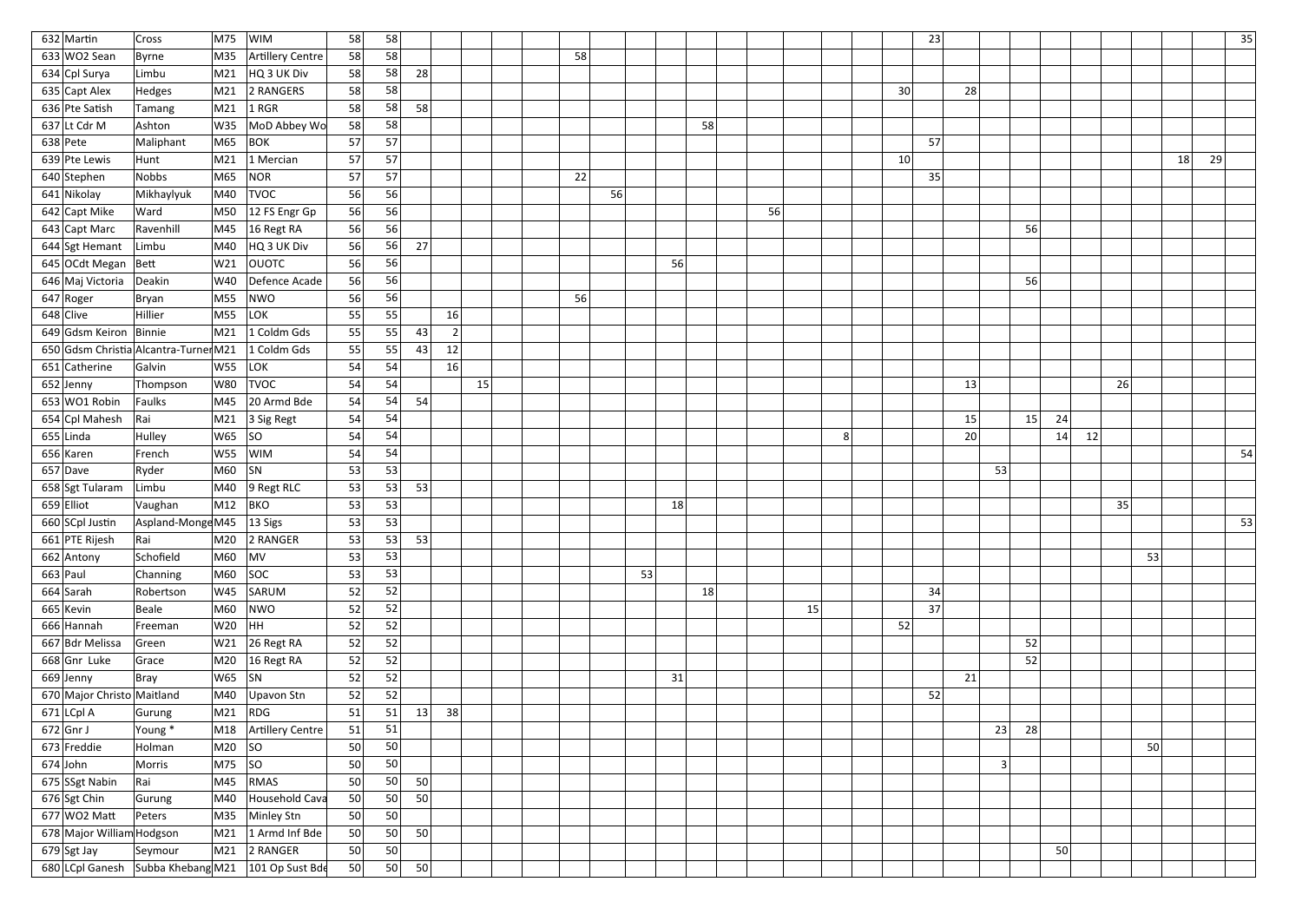| 632 Martin                                          | <b>Cross</b>                        | M75                                  | WIM                   | 58 | 58 |    |                  |    |    |    |    |    |    |    |    |   |    | 23 |                |    |    |    |    |    |    |    | 35 |
|-----------------------------------------------------|-------------------------------------|--------------------------------------|-----------------------|----|----|----|------------------|----|----|----|----|----|----|----|----|---|----|----|----------------|----|----|----|----|----|----|----|----|
| 633 WO2 Sean                                        | Byrne                               | M35                                  | Artillery Centre      | 58 | 58 |    |                  |    | 58 |    |    |    |    |    |    |   |    |    |                |    |    |    |    |    |    |    |    |
| 634 Cpl Surya                                       | Limbu                               | M21                                  | HQ 3 UK Div           | 58 | 58 | 28 |                  |    |    |    |    |    |    |    |    |   |    |    |                |    |    |    |    |    |    |    |    |
| 635 Capt Alex                                       | Hedges                              | M21                                  | 2 RANGERS             | 58 | 58 |    |                  |    |    |    |    |    |    |    |    |   | 30 |    | 28             |    |    |    |    |    |    |    |    |
| 636 Pte Satish                                      | Tamang                              | M21                                  | $1$ RGR               | 58 | 58 | 58 |                  |    |    |    |    |    |    |    |    |   |    |    |                |    |    |    |    |    |    |    |    |
| 637 Lt Cdr M                                        | Ashton                              | W35                                  | MoD Abbey Wo          | 58 | 58 |    |                  |    |    |    |    |    | 58 |    |    |   |    |    |                |    |    |    |    |    |    |    |    |
| $638$ Pete                                          | Maliphant                           | M65                                  | <b>BOK</b>            | 57 | 57 |    |                  |    |    |    |    |    |    |    |    |   |    | 57 |                |    |    |    |    |    |    |    |    |
| 639 Pte Lewis                                       | Hunt                                | M21                                  | 1 Mercian             | 57 | 57 |    |                  |    |    |    |    |    |    |    |    |   | 10 |    |                |    |    |    |    |    | 18 | 29 |    |
| 640 Stephen                                         | <b>Nobbs</b>                        | M65                                  | NOR                   | 57 | 57 |    |                  |    | 22 |    |    |    |    |    |    |   |    | 35 |                |    |    |    |    |    |    |    |    |
| 641 Nikolay                                         | Mikhaylyuk                          | M40                                  | <b>TVOC</b>           | 56 | 56 |    |                  |    |    | 56 |    |    |    |    |    |   |    |    |                |    |    |    |    |    |    |    |    |
| 642 Capt Mike                                       | Ward                                | M50                                  | $ 12$ FS Engr Gp      | 56 | 56 |    |                  |    |    |    |    |    |    | 56 |    |   |    |    |                |    |    |    |    |    |    |    |    |
| 643 Capt Marc                                       | Ravenhill                           |                                      | M45 16 Regt RA        | 56 | 56 |    |                  |    |    |    |    |    |    |    |    |   |    |    |                | 56 |    |    |    |    |    |    |    |
| 644 Sgt Hemant                                      | Limbu                               |                                      | M40 $ HQ3 UK Div$     | 56 | 56 | 27 |                  |    |    |    |    |    |    |    |    |   |    |    |                |    |    |    |    |    |    |    |    |
| 645 OCdt Megan Bett                                 |                                     | W21                                  | <b>OUOTC</b>          | 56 | 56 |    |                  |    |    |    |    | 56 |    |    |    |   |    |    |                |    |    |    |    |    |    |    |    |
| 646 Maj Victoria                                    | Deakin                              | W40                                  | Defence Acade         | 56 | 56 |    |                  |    |    |    |    |    |    |    |    |   |    |    |                | 56 |    |    |    |    |    |    |    |
| $647$ Roger                                         | Bryan                               | M55                                  | NWO                   | 56 | 56 |    |                  |    | 56 |    |    |    |    |    |    |   |    |    |                |    |    |    |    |    |    |    |    |
| $648$ Clive                                         | Hillier                             | M55                                  | LOK <sup>1</sup>      | 55 | 55 |    | 16               |    |    |    |    |    |    |    |    |   |    |    |                |    |    |    |    |    |    |    |    |
| 649 Gdsm Keiron                                     | Binnie                              | M21                                  | 1 Coldm Gds           | 55 | 55 | 43 | $\left 2\right $ |    |    |    |    |    |    |    |    |   |    |    |                |    |    |    |    |    |    |    |    |
| 650 Gdsm Christia Alcantra-Turner M21               |                                     |                                      | 1 Coldm Gds           | 55 | 55 | 43 | 12               |    |    |    |    |    |    |    |    |   |    |    |                |    |    |    |    |    |    |    |    |
| 651 Catherine                                       | Galvin                              | <b>W55</b>                           | LOK                   | 54 | 54 |    | 16               |    |    |    |    |    |    |    |    |   |    |    |                |    |    |    |    |    |    |    |    |
| 652 Jenny                                           | Thompson                            | <b>W80</b>                           | <b>TVOC</b>           | 54 | 54 |    |                  | 15 |    |    |    |    |    |    |    |   |    | 13 |                |    |    |    | 26 |    |    |    |    |
| 653 WO1 Robin                                       | Faulks                              | M45                                  | 20 Armd Bde           | 54 | 54 | 54 |                  |    |    |    |    |    |    |    |    |   |    |    |                |    |    |    |    |    |    |    |    |
| 654 Cpl Mahesh                                      | Rai                                 |                                      | M21 3 Sig Regt        | 54 | 54 |    |                  |    |    |    |    |    |    |    |    |   |    | 15 |                | 15 | 24 |    |    |    |    |    |    |
| $655$ Linda                                         | Hulley                              | W65                                  | SO                    | 54 | 54 |    |                  |    |    |    |    |    |    |    |    | 8 |    |    | 20             |    | 14 | 12 |    |    |    |    |    |
| 656 Karen                                           | French                              | W55                                  | <b>WIM</b>            | 54 | 54 |    |                  |    |    |    |    |    |    |    |    |   |    |    |                |    |    |    |    |    |    |    | 54 |
| 657 Dave                                            | Ryder                               | $M60$ SN                             |                       | 53 | 53 |    |                  |    |    |    |    |    |    |    |    |   |    |    | 53             |    |    |    |    |    |    |    |    |
| 658 Sgt Tularam                                     | Limbu                               | M40                                  | $9$ Regt RLC          | 53 | 53 | 53 |                  |    |    |    |    |    |    |    |    |   |    |    |                |    |    |    |    |    |    |    |    |
| $659$ Elliot                                        | Vaughan                             | M12                                  | <b>BKO</b>            | 53 | 53 |    |                  |    |    |    |    | 18 |    |    |    |   |    |    |                |    |    |    | 35 |    |    |    |    |
| 660 SCpl Justin                                     | $\Delta$ spland-Monge M45   13 Sigs |                                      |                       | 53 | 53 |    |                  |    |    |    |    |    |    |    |    |   |    |    |                |    |    |    |    |    |    |    | 53 |
| 661 PTE Rijesh                                      | Rai                                 |                                      | M20 2 RANGER          | 53 | 53 | 53 |                  |    |    |    |    |    |    |    |    |   |    |    |                |    |    |    |    |    |    |    |    |
| 662 Antony                                          | Schofield                           | $M60$ MV                             |                       | 53 | 53 |    |                  |    |    |    |    |    |    |    |    |   |    |    |                |    |    |    |    | 53 |    |    |    |
| $663$ Paul                                          | Channing                            |                                      | M60 SOC               | 53 | 53 |    |                  |    |    |    | 53 |    |    |    |    |   |    |    |                |    |    |    |    |    |    |    |    |
| $664$ Sarah                                         | Robertson                           |                                      | W45 SARUM             | 52 | 52 |    |                  |    |    |    |    |    | 18 |    |    |   |    | 34 |                |    |    |    |    |    |    |    |    |
| $665$ Kevin                                         | Beale                               |                                      | $M60$ NWO             | 52 | 52 |    |                  |    |    |    |    |    |    |    | 15 |   |    | 37 |                |    |    |    |    |    |    |    |    |
| 666 Hannah                                          | Freeman                             | $W20$ HH                             |                       | 52 | 52 |    |                  |    |    |    |    |    |    |    |    |   | 52 |    |                |    |    |    |    |    |    |    |    |
| 667 Bdr Melissa                                     | Green                               |                                      | W21 26 Regt RA        | 52 | 52 |    |                  |    |    |    |    |    |    |    |    |   |    |    |                | 52 |    |    |    |    |    |    |    |
| 668 Gnr Luke                                        | Grace                               |                                      | M20 $ 16$ Regt RA     | 52 | 52 |    |                  |    |    |    |    |    |    |    |    |   |    |    |                | 52 |    |    |    |    |    |    |    |
| $669$ Jenny                                         | Bray                                | $ _{\mathsf{W65}}$ $ _{\mathsf{SN}}$ |                       | 52 | 52 |    |                  |    |    |    |    | 31 |    |    |    |   |    | 21 |                |    |    |    |    |    |    |    |    |
| 670 Major Christo Maitland                          |                                     |                                      | M40 $ Upavon Stn$     | 52 | 52 |    |                  |    |    |    |    |    |    |    |    |   |    | 52 |                |    |    |    |    |    |    |    |    |
| $671$ LCpl A                                        | Gurung                              |                                      | $M21$ RDG             | 51 | 51 | 13 | 38               |    |    |    |    |    |    |    |    |   |    |    |                |    |    |    |    |    |    |    |    |
| $672$ Gnr J                                         | Young *                             |                                      | M18 Artillery Centre  | 51 | 51 |    |                  |    |    |    |    |    |    |    |    |   |    |    | 23             | 28 |    |    |    |    |    |    |    |
| $673$ Freddie                                       | Holman                              | M <sub>20</sub> $ $ SO               |                       | 50 | 50 |    |                  |    |    |    |    |    |    |    |    |   |    |    |                |    |    |    |    | 50 |    |    |    |
| $674$ John                                          | Morris                              | $M75$ SO                             |                       | 50 | 50 |    |                  |    |    |    |    |    |    |    |    |   |    |    | 3 <sup>1</sup> |    |    |    |    |    |    |    |    |
| 675 SSgt Nabin                                      | Rai                                 |                                      | $M45$ RMAS            | 50 | 50 | 50 |                  |    |    |    |    |    |    |    |    |   |    |    |                |    |    |    |    |    |    |    |    |
| $676$ Sgt Chin                                      | Gurung                              | M40                                  | Household Cava        | 50 | 50 | 50 |                  |    |    |    |    |    |    |    |    |   |    |    |                |    |    |    |    |    |    |    |    |
| $677$ WO2 Matt                                      | Peters                              |                                      | M35 Minley Stn        | 50 | 50 |    |                  |    |    |    |    |    |    |    |    |   |    |    |                |    |    |    |    |    |    |    |    |
| 678 Major William Hodgson                           |                                     |                                      | M21 $ 1$ Armd Inf Bde | 50 | 50 | 50 |                  |    |    |    |    |    |    |    |    |   |    |    |                |    |    |    |    |    |    |    |    |
| $679$ Sgt Jay                                       | Seymour                             |                                      | $\mid$ M21 2 RANGER   | 50 | 50 |    |                  |    |    |    |    |    |    |    |    |   |    |    |                |    | 50 |    |    |    |    |    |    |
| 680 LCpl Ganesh Subba Khebang M21   101 Op Sust Bde |                                     |                                      |                       | 50 | 50 | 50 |                  |    |    |    |    |    |    |    |    |   |    |    |                |    |    |    |    |    |    |    |    |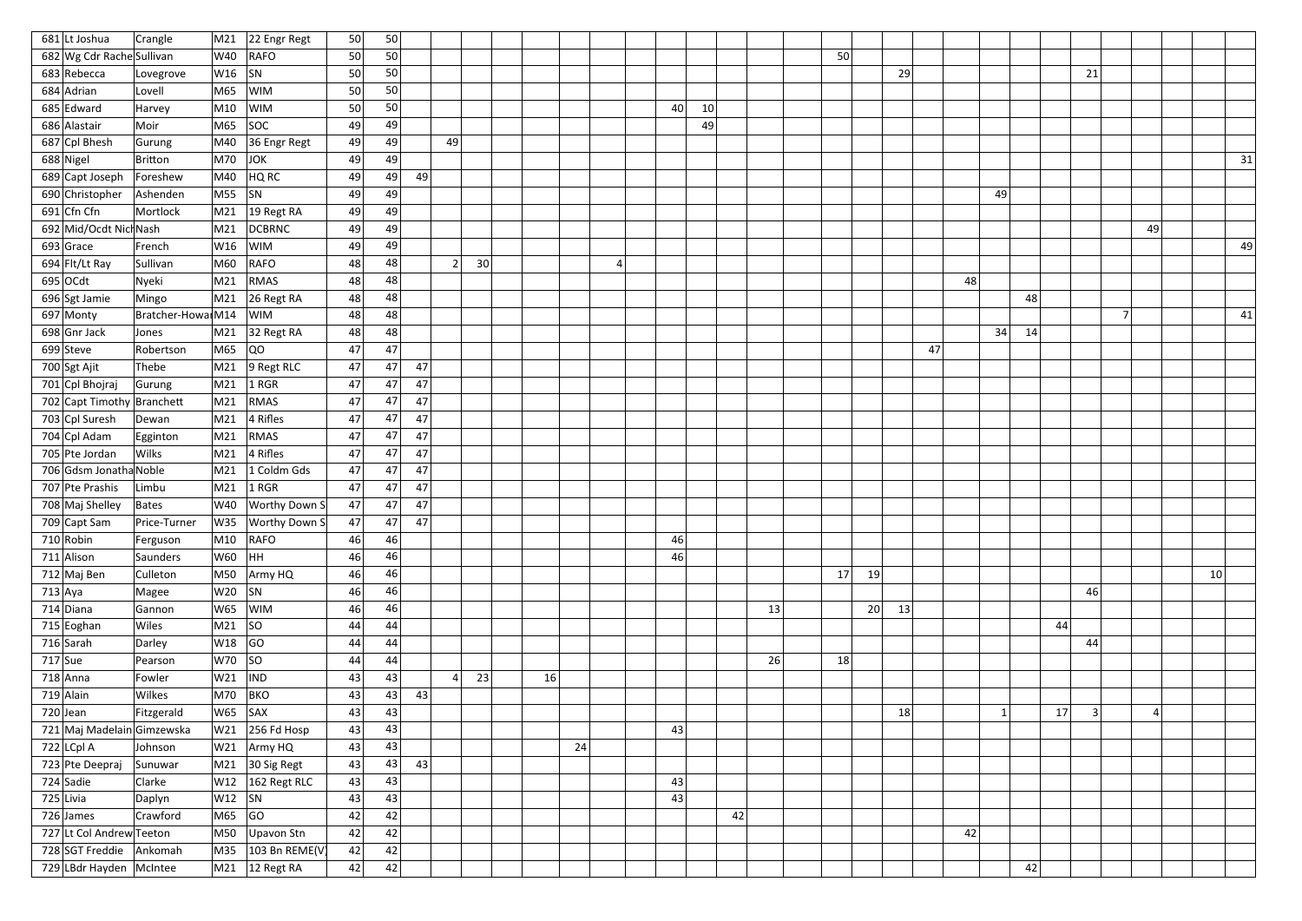| 681 Lt Joshua              | Crangle           | M21                                                      | 22 Engr Regt                    | 50 | 50 |    |                |    |    |    |    |    |    |    |          |    |    |    |    |    |                |         |    |    |
|----------------------------|-------------------|----------------------------------------------------------|---------------------------------|----|----|----|----------------|----|----|----|----|----|----|----|----------|----|----|----|----|----|----------------|---------|----|----|
| 682 Wg Cdr Rache Sullivan  |                   | W40                                                      | RAFO                            | 50 | 50 |    |                |    |    |    |    |    |    |    | 50       |    |    |    |    |    |                |         |    |    |
| 683 Rebecca                | Lovegrove         | W16                                                      | SN                              | 50 | 50 |    |                |    |    |    |    |    |    |    |          | 29 |    |    |    | 21 |                |         |    |    |
| 684 Adrian                 | Lovell            | M65                                                      | <b>WIM</b>                      | 50 | 50 |    |                |    |    |    |    |    |    |    |          |    |    |    |    |    |                |         |    |    |
| 685 Edward                 | Harvey            | M10                                                      | <b>WIM</b>                      | 50 | 50 |    |                |    |    |    | 40 | 10 |    |    |          |    |    |    |    |    |                |         |    |    |
| 686 Alastair               | Moir              | M65                                                      | SOC                             | 49 | 49 |    |                |    |    |    |    | 49 |    |    |          |    |    |    |    |    |                |         |    |    |
| 687 Cpl Bhesh              | Gurung            | M40                                                      | 36 Engr Regt                    | 49 | 49 |    | -49            |    |    |    |    |    |    |    |          |    |    |    |    |    |                |         |    |    |
| 688 Nigel                  | Britton           | M70                                                      | JOK                             | 49 | 49 |    |                |    |    |    |    |    |    |    |          |    |    |    |    |    |                |         |    | 31 |
| 689 Capt Joseph            | Foreshew          | M40                                                      | HQ RC                           | 49 | 49 | 49 |                |    |    |    |    |    |    |    |          |    |    |    |    |    |                |         |    |    |
| 690 Christopher            | Ashenden          | $MS5$ SN                                                 |                                 | 49 | 49 |    |                |    |    |    |    |    |    |    |          |    | 49 |    |    |    |                |         |    |    |
| 691 Cfn Cfn                | Mortlock          | M21                                                      | $ 19$ Regt RA                   | 49 | 49 |    |                |    |    |    |    |    |    |    |          |    |    |    |    |    |                |         |    |    |
| 692 Mid/Ocdt Nich Nash     |                   | M21                                                      | <b>DCBRNC</b>                   | 49 | 49 |    |                |    |    |    |    |    |    |    |          |    |    |    |    |    |                | 49      |    |    |
| $693$ Grace                | French            | W16                                                      | WIM                             | 49 | 49 |    |                |    |    |    |    |    |    |    |          |    |    |    |    |    |                |         |    | 49 |
| 694 Flt/Lt Ray             | Sullivan          | M60                                                      | RAFO                            | 48 | 48 |    | 2              | 30 |    | 4  |    |    |    |    |          |    |    |    |    |    |                |         |    |    |
| $695$ OCdt                 | Nyeki             | M21                                                      | RMAS                            | 48 | 48 |    |                |    |    |    |    |    |    |    |          | 48 |    |    |    |    |                |         |    |    |
| 696 Sgt Jamie              | Mingo             | M21                                                      | $26$ Regt RA                    | 48 | 48 |    |                |    |    |    |    |    |    |    |          |    |    | 48 |    |    |                |         |    |    |
| $697$ Monty                | Bratcher-Howa M14 |                                                          | <b>WIM</b>                      | 48 | 48 |    |                |    |    |    |    |    |    |    |          |    |    |    |    |    | $\overline{7}$ |         |    | 41 |
| 698 Gnr Jack               | Jones             | M21                                                      | 32 Regt RA                      | 48 | 48 |    |                |    |    |    |    |    |    |    |          |    | 34 | 14 |    |    |                |         |    |    |
| $699$ Steve                | Robertson         | M65                                                      | $ _{\rm QO}$                    | 47 | 47 |    |                |    |    |    |    |    |    |    |          | 47 |    |    |    |    |                |         |    |    |
| 700 Sgt Ajit               | Thebe             | M21                                                      | $9$ Regt RLC                    | 47 | 47 | 47 |                |    |    |    |    |    |    |    |          |    |    |    |    |    |                |         |    |    |
| 701 Cpl Bhojraj            | Gurung            | M21                                                      | $ 1$ RGR                        | 47 | 47 | 47 |                |    |    |    |    |    |    |    |          |    |    |    |    |    |                |         |    |    |
| 702 Capt Timothy Branchett |                   | M21                                                      | RMAS                            | 47 | 47 | 47 |                |    |    |    |    |    |    |    |          |    |    |    |    |    |                |         |    |    |
| 703 Cpl Suresh             | Dewan             | M21                                                      | $ 4$ Rifles                     | 47 | 47 | 47 |                |    |    |    |    |    |    |    |          |    |    |    |    |    |                |         |    |    |
| 704 Cpl Adam               | Egginton          | M21                                                      | RMAS                            | 47 | 47 | 47 |                |    |    |    |    |    |    |    |          |    |    |    |    |    |                |         |    |    |
| 705 Pte Jordan             | <b>Wilks</b>      | M21                                                      | $ 4$ Rifles                     | 47 | 47 | 47 |                |    |    |    |    |    |    |    |          |    |    |    |    |    |                |         |    |    |
| 706 Gdsm Jonatha Noble     |                   | M21                                                      | 1 Coldm Gds                     | 47 | 47 | 47 |                |    |    |    |    |    |    |    |          |    |    |    |    |    |                |         |    |    |
| 707 Pte Prashis            | Limbu             | M21                                                      | $ 1$ RGR                        | 47 | 47 | 47 |                |    |    |    |    |    |    |    |          |    |    |    |    |    |                |         |    |    |
| 708 Maj Shelley            | Bates             |                                                          | W40   Worthy Down S             | 47 | 47 | 47 |                |    |    |    |    |    |    |    |          |    |    |    |    |    |                |         |    |    |
| 709 Capt Sam               | Price-Turner      |                                                          | W35   Worthy Down S             | 47 | 47 | 47 |                |    |    |    |    |    |    |    |          |    |    |    |    |    |                |         |    |    |
| $710$ Robin                | Ferguson          | M10                                                      | RAFO                            | 46 | 46 |    |                |    |    |    | 46 |    |    |    |          |    |    |    |    |    |                |         |    |    |
| 711 Alison                 | Saunders          | $ _{\mathsf{W60}}$ $ _{\mathsf{HH}}$                     |                                 | 46 | 46 |    |                |    |    |    | 46 |    |    |    |          |    |    |    |    |    |                |         |    |    |
| 712 Maj Ben                | Culleton          |                                                          | M50 Army HQ                     | 46 | 46 |    |                |    |    |    |    |    |    |    | 19<br>17 |    |    |    |    |    |                |         | 10 |    |
| $713$ Aya                  | Magee             | $ W20 $ SN                                               |                                 | 46 | 46 |    |                |    |    |    |    |    |    |    |          |    |    |    |    | 46 |                |         |    |    |
| $714$ Diana                | Gannon            |                                                          | W65  WIM                        | 46 | 46 |    |                |    |    |    |    |    |    | 13 | 20       | 13 |    |    |    |    |                |         |    |    |
| $715$ Eoghan               | Wiles             | M21  SO                                                  |                                 | 44 | 44 |    |                |    |    |    |    |    |    |    |          |    |    |    | 44 |    |                |         |    |    |
| $716$ Sarah                | Darley            | $ W18 $ GO                                               |                                 | 44 | 44 |    |                |    |    |    |    |    |    |    |          |    |    |    |    | 44 |                |         |    |    |
| $717$ Sue                  | Pearson           | W70  SO                                                  |                                 | 44 | 44 |    |                |    |    |    |    |    |    | 26 | 18       |    |    |    |    |    |                |         |    |    |
| $718$ Anna                 | Fowler            | $ W21 $ $ ND $                                           |                                 | 43 | 43 |    | 4 <sup>1</sup> | 23 | 16 |    |    |    |    |    |          |    |    |    |    |    |                |         |    |    |
| $719$ Alain                | Wilkes            | M70  BKO                                                 |                                 | 43 | 43 | 43 |                |    |    |    |    |    |    |    |          |    |    |    |    |    |                |         |    |    |
| $720$ Jean                 | Fitzgerald        | $ W65 $ SAX                                              |                                 | 43 | 43 |    |                |    |    |    |    |    |    |    |          | 18 |    |    | 17 | 3  |                | $\vert$ |    |    |
| 721 Maj Madelain Gimzewska |                   |                                                          | $W21$ 256 Fd Hosp               | 43 | 43 |    |                |    |    |    | 43 |    |    |    |          |    |    |    |    |    |                |         |    |    |
| $722$ LCpl A               | Johnson           |                                                          | W21 Army HQ                     | 43 | 43 |    |                |    |    | 24 |    |    |    |    |          |    |    |    |    |    |                |         |    |    |
| 723 Pte Deepraj            | Sunuwar           |                                                          | $\vert$ M21 $\vert$ 30 Sig Regt | 43 | 43 | 43 |                |    |    |    |    |    |    |    |          |    |    |    |    |    |                |         |    |    |
| $724$ Sadie                | Clarke            |                                                          | $\sqrt{W12}$ 162 Regt RLC       | 43 | 43 |    |                |    |    |    | 43 |    |    |    |          |    |    |    |    |    |                |         |    |    |
| 725 Livia                  | Daplyn            | $ W12 $ SN                                               |                                 | 43 | 43 |    |                |    |    |    | 43 |    |    |    |          |    |    |    |    |    |                |         |    |    |
| $726$ James                | Crawford          | $\overline{\phantom{a}}$ M65 $\overline{\phantom{a}}$ GO |                                 | 42 | 42 |    |                |    |    |    |    |    | 42 |    |          |    |    |    |    |    |                |         |    |    |
| 727 Lt Col Andrew Teeton   |                   |                                                          | $\vert$ M50 $\vert$ Upavon Stn  | 42 | 42 |    |                |    |    |    |    |    |    |    |          | 42 |    |    |    |    |                |         |    |    |
| 728 SGT Freddie            | Ankomah           |                                                          | $ M35 $ 103 Bn REME(V)          | 42 | 42 |    |                |    |    |    |    |    |    |    |          |    |    |    |    |    |                |         |    |    |
| 729 LBdr Hayden McIntee    |                   |                                                          | $\vert$ M21 $\vert$ 12 Regt RA  | 42 | 42 |    |                |    |    |    |    |    |    |    |          |    |    | 42 |    |    |                |         |    |    |
|                            |                   |                                                          |                                 |    |    |    |                |    |    |    |    |    |    |    |          |    |    |    |    |    |                |         |    |    |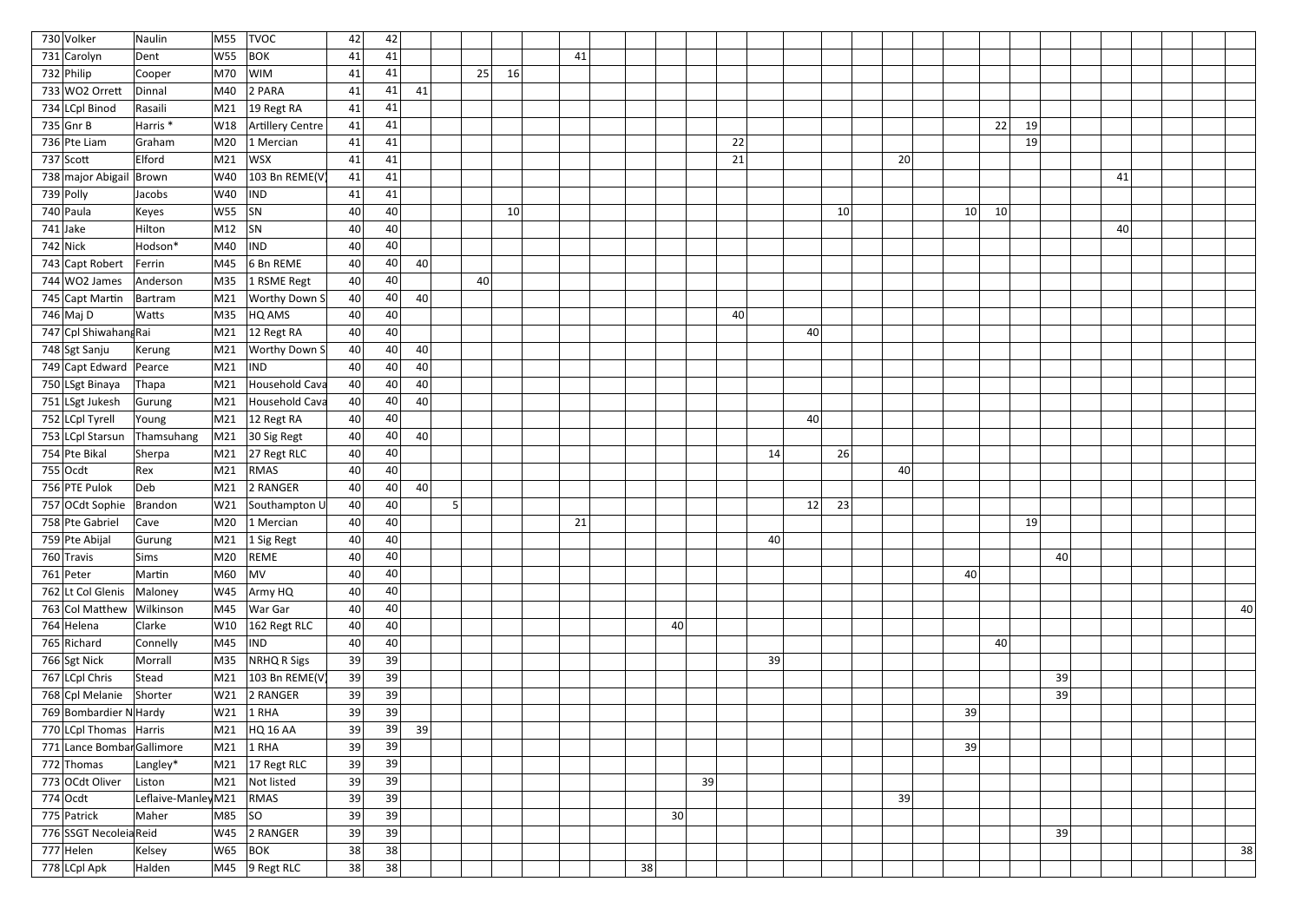| 730 Volker                 | Naulin              | M55           | <b>TVOC</b>                    | 42 | 42 |    |   |    |    |    |                 |    |    |    |          |    |    |    |
|----------------------------|---------------------|---------------|--------------------------------|----|----|----|---|----|----|----|-----------------|----|----|----|----------|----|----|----|
| 731 Carolyn                | Dent                | W55           | <b>BOK</b>                     | 41 | 41 |    |   |    |    | 41 |                 |    |    |    |          |    |    |    |
| $732$ Philip               | Cooper              | M70           | <b>WIM</b>                     | 41 | 41 |    |   | 25 | 16 |    |                 |    |    |    |          |    |    |    |
| 733 WO2 Orrett             | Dinnal              | M40           | 2 PARA                         | 41 | 41 | 41 |   |    |    |    |                 |    |    |    |          |    |    |    |
| 734 LCpl Binod             | Rasaili             | M21           | 19 Regt RA                     | 41 | 41 |    |   |    |    |    |                 |    |    |    |          |    |    |    |
| 735 Gnr B                  | Harris <sup>*</sup> | W18           | Artillery Centre               | 41 | 41 |    |   |    |    |    |                 |    |    |    | 22<br>19 |    |    |    |
| 736 Pte Liam               | Graham              | M20           | 1 Mercian                      | 41 | 41 |    |   |    |    |    | 22              |    |    |    | 19       |    |    |    |
| $737$ Scott                | Elford              | M21           | WSX                            | 41 | 41 |    |   |    |    |    | 21              |    |    | 20 |          |    |    |    |
| 738 major Abigail          | Brown               | W40           | 103 Bn REME(V                  | 41 | 41 |    |   |    |    |    |                 |    |    |    |          |    | 41 |    |
| 739 Polly                  | Jacobs              | W40           | <b>IND</b>                     | 41 | 41 |    |   |    |    |    |                 |    |    |    |          |    |    |    |
| 740 Paula                  | Keyes               | W55           | SN                             | 40 | 40 |    |   |    | 10 |    |                 |    | 10 |    | 10<br>10 |    |    |    |
| $741$ Jake                 | Hilton              | M12           | SN                             | 40 | 40 |    |   |    |    |    |                 |    |    |    |          |    | 40 |    |
| $742$ Nick                 | Hodson*             | M40           | <b>IND</b>                     | 40 | 40 |    |   |    |    |    |                 |    |    |    |          |    |    |    |
| 743 Capt Robert            | Ferrin              | M45           | 6 Bn REME                      | 40 | 40 | 40 |   |    |    |    |                 |    |    |    |          |    |    |    |
| 744 WO2 James              | Anderson            | M35           | 1 RSME Regt                    | 40 | 40 |    |   | 40 |    |    |                 |    |    |    |          |    |    |    |
| 745 Capt Martin            | Bartram             | M21           | <b>Worthy Down S</b>           | 40 | 40 | 40 |   |    |    |    |                 |    |    |    |          |    |    |    |
| 746 Maj D                  | Watts               | M35           | HQ AMS                         | 40 | 40 |    |   |    |    |    | 40              |    |    |    |          |    |    |    |
| 747 Cpl Shiwahang Rai      |                     | M21           | 12 Regt RA                     | 40 | 40 |    |   |    |    |    |                 | 40 |    |    |          |    |    |    |
| 748 Sgt Sanju              | Kerung              | M21           | <b>Worthy Down S</b>           | 40 | 40 | 40 |   |    |    |    |                 |    |    |    |          |    |    |    |
| 749 Capt Edward Pearce     |                     | M21           | <b>IND</b>                     | 40 | 40 | 40 |   |    |    |    |                 |    |    |    |          |    |    |    |
| 750 LSgt Binaya            | Thapa               | M21           | Household Cava                 | 40 | 40 | 40 |   |    |    |    |                 |    |    |    |          |    |    |    |
| 751 LSgt Jukesh            | Gurung              | M21           | Household Cava                 | 40 | 40 | 40 |   |    |    |    |                 |    |    |    |          |    |    |    |
| 752 LCpl Tyrell            | Young               | M21           | 12 Regt RA                     | 40 | 40 |    |   |    |    |    |                 | 40 |    |    |          |    |    |    |
| 753 LCpl Starsun           | Thamsuhang          | M21           | 30 Sig Regt                    | 40 | 40 | 40 |   |    |    |    |                 |    |    |    |          |    |    |    |
| 754 Pte Bikal              | Sherpa              | M21           | 27 Regt RLC                    | 40 | 40 |    |   |    |    |    | 14              |    | 26 |    |          |    |    |    |
| $755$ Ocdt                 | Rex                 | M21           | RMAS                           | 40 | 40 |    |   |    |    |    |                 |    |    | 40 |          |    |    |    |
| 756 PTE Pulok              | Deb                 | M21           | 2 RANGER                       | 40 | 40 | 40 |   |    |    |    |                 |    |    |    |          |    |    |    |
| 757 OCdt Sophie   Brandon  |                     | W21           | Southampton U                  | 40 | 40 |    | 5 |    |    |    |                 | 12 | 23 |    |          |    |    |    |
| 758 Pte Gabriel            | Cave                |               | M20 1 Mercian                  | 40 | 40 |    |   |    |    | 21 |                 |    |    |    | 19       |    |    |    |
| 759 Pte Abijal             | Gurung              |               | $\vert$ M21 $\vert$ 1 Sig Regt | 40 | 40 |    |   |    |    |    | 40              |    |    |    |          |    |    |    |
| 760 Travis                 | Sims                | M20           | <b>REME</b>                    | 40 | 40 |    |   |    |    |    |                 |    |    |    |          | 40 |    |    |
| 761 Peter                  | Martin              | M60           | MV                             | 40 | 40 |    |   |    |    |    |                 |    |    |    | 40       |    |    |    |
| 762 Lt Col Glenis Maloney  |                     | W45           | Army HQ                        | 40 | 40 |    |   |    |    |    |                 |    |    |    |          |    |    |    |
| 763 Col Matthew Wilkinson  |                     | M45           | War Gar                        | 40 | 40 |    |   |    |    |    |                 |    |    |    |          |    |    | 40 |
| 764 Helena                 | Clarke              | $ W10\rangle$ | 162 Regt RLC                   | 40 | 40 |    |   |    |    |    | 40              |    |    |    |          |    |    |    |
| 765 Richard                | Connelly            | M45           | <b>IND</b>                     | 40 | 40 |    |   |    |    |    |                 |    |    |    | 40       |    |    |    |
| 766 Sgt Nick               | Morrall             | M35           | NRHQ R Sigs                    | 39 | 39 |    |   |    |    |    | 39              |    |    |    |          |    |    |    |
| 767 LCpl Chris             | Stead               | M21           | 103 Bn REME(V                  | 39 | 39 |    |   |    |    |    |                 |    |    |    |          | 39 |    |    |
| 768 Cpl Melanie            | Shorter             | W21           | 2 RANGER                       | 39 | 39 |    |   |    |    |    |                 |    |    |    |          | 39 |    |    |
| 769 Bombardier N Hardy     |                     | W21           | $1$ RHA                        | 39 | 39 |    |   |    |    |    |                 |    |    |    | 39       |    |    |    |
| 770 LCpl Thomas Harris     |                     | M21           | $HQ$ 16 AA                     | 39 | 39 | 39 |   |    |    |    |                 |    |    |    |          |    |    |    |
| 771 Lance Bombar Gallimore |                     | M21           | $1$ RHA                        | 39 | 39 |    |   |    |    |    |                 |    |    |    | 39       |    |    |    |
| 772 Thomas                 | Langley*            | M21           | $17$ Regt RLC                  | 39 | 39 |    |   |    |    |    |                 |    |    |    |          |    |    |    |
| 773 OCdt Oliver            | Liston              | M21           | Not listed                     | 39 | 39 |    |   |    |    |    | 39              |    |    |    |          |    |    |    |
| $774$ Ocdt                 | Leflaive-Manley M21 |               | RMAS                           | 39 | 39 |    |   |    |    |    |                 |    |    | 39 |          |    |    |    |
| 775 Patrick                | Maher               | M85           | SO                             | 39 | 39 |    |   |    |    |    | 30 <sup>°</sup> |    |    |    |          |    |    |    |
| 776 SSGT Necoleia Reid     |                     | W45           | 2 RANGER                       | 39 | 39 |    |   |    |    |    |                 |    |    |    |          | 39 |    |    |
| 777 Helen                  | Kelsey              | $W65$ BOK     |                                | 38 | 38 |    |   |    |    |    |                 |    |    |    |          |    |    | 38 |
| 778 LCpl Apk               | Halden              |               | $\vert$ M45 $\vert$ 9 Regt RLC | 38 | 38 |    |   |    |    |    | 38              |    |    |    |          |    |    |    |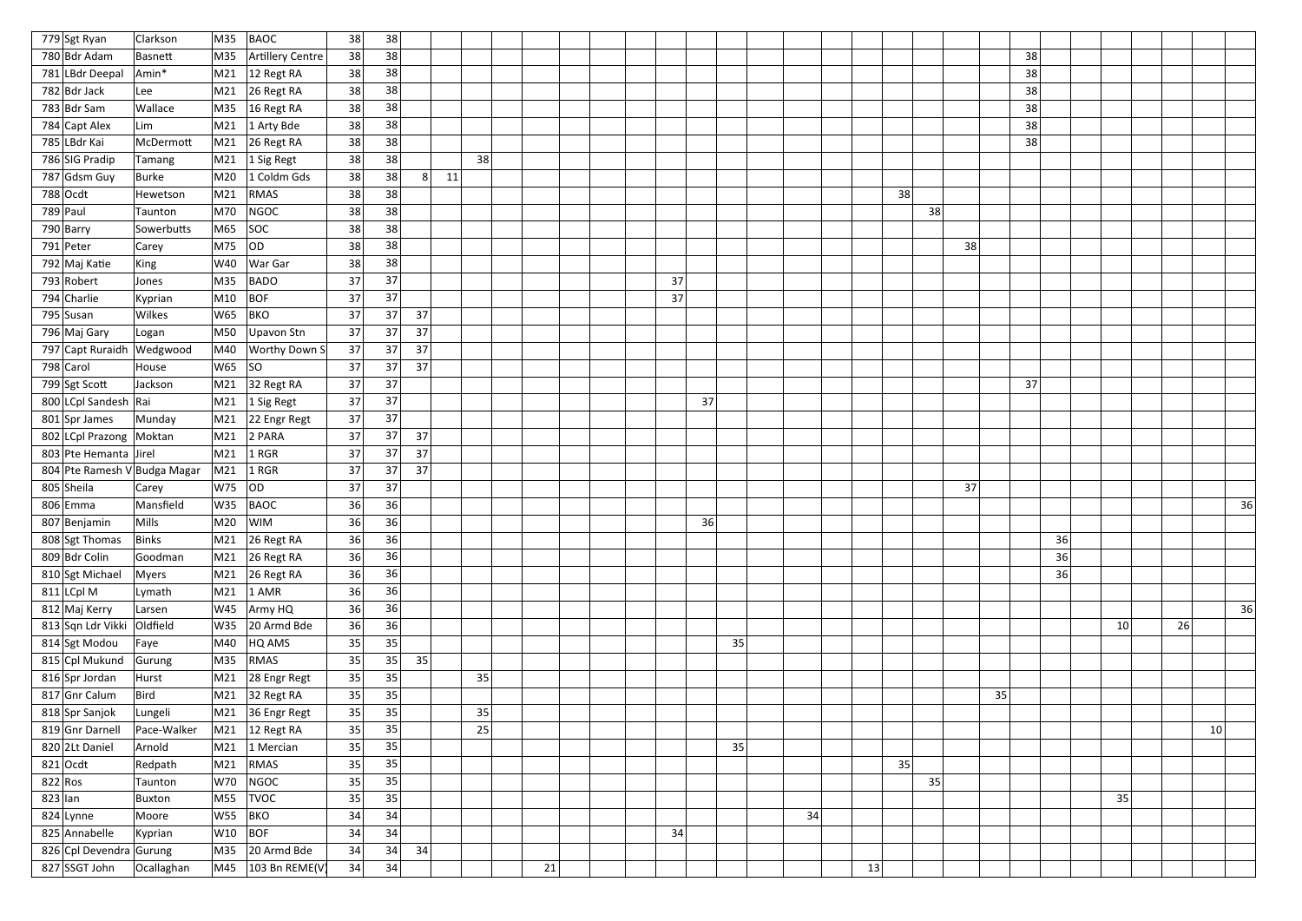| 779 Sgt Ryan                 | Clarkson     | M35             | <b>BAOC</b>                        | 38 | 38 |                      |    |    |  |    |    |    |    |    |    |    |    |    |    |    |                 |    |
|------------------------------|--------------|-----------------|------------------------------------|----|----|----------------------|----|----|--|----|----|----|----|----|----|----|----|----|----|----|-----------------|----|
| 780 Bdr Adam                 | Basnett      | M35             | Artillery Centre                   | 38 | 38 |                      |    |    |  |    |    |    |    |    |    |    | 38 |    |    |    |                 |    |
| 781 LBdr Deepal              | Amin*        | M <sub>21</sub> | $12$ Regt RA                       | 38 | 38 |                      |    |    |  |    |    |    |    |    |    |    | 38 |    |    |    |                 |    |
| 782 Bdr Jack                 | Lee          | M21             | 26 Regt RA                         | 38 | 38 |                      |    |    |  |    |    |    |    |    |    |    | 38 |    |    |    |                 |    |
| 783 Bdr Sam                  | Wallace      |                 | M35   16 Regt RA                   | 38 | 38 |                      |    |    |  |    |    |    |    |    |    |    | 38 |    |    |    |                 |    |
| 784 Capt Alex                | Lim          | M21             | $1$ Arty Bde                       | 38 | 38 |                      |    |    |  |    |    |    |    |    |    |    | 38 |    |    |    |                 |    |
| 785 LBdr Kai                 | McDermott    | M21             | $26$ Regt RA                       | 38 | 38 |                      |    |    |  |    |    |    |    |    |    |    | 38 |    |    |    |                 |    |
| 786 SIG Pradip               | Tamang       | M21             | 1 Sig Regt                         | 38 | 38 |                      | 38 |    |  |    |    |    |    |    |    |    |    |    |    |    |                 |    |
| 787 Gdsm Guy                 | <b>Burke</b> | M20             | 1 Coldm Gds                        | 38 | 38 | 8 <sup>2</sup><br>11 |    |    |  |    |    |    |    |    |    |    |    |    |    |    |                 |    |
| $788$ Ocdt                   | Hewetson     | M21             | RMAS                               | 38 | 38 |                      |    |    |  |    |    |    |    |    | 38 |    |    |    |    |    |                 |    |
| 789 Paul                     | Taunton      | M70             | NGOC                               | 38 | 38 |                      |    |    |  |    |    |    |    |    | 38 |    |    |    |    |    |                 |    |
| 790 Barry                    | Sowerbutts   | M65             | <b>SOC</b>                         | 38 | 38 |                      |    |    |  |    |    |    |    |    |    |    |    |    |    |    |                 |    |
| 791 Peter                    | Carey        | M75             | OD                                 | 38 | 38 |                      |    |    |  |    |    |    |    |    | 38 |    |    |    |    |    |                 |    |
| 792 Maj Katie                | King         | W40             | War Gar                            | 38 | 38 |                      |    |    |  |    |    |    |    |    |    |    |    |    |    |    |                 |    |
| 793 Robert                   | Jones        | M35             | <b>BADO</b>                        | 37 | 37 |                      |    |    |  | 37 |    |    |    |    |    |    |    |    |    |    |                 |    |
| 794 Charlie                  | Kyprian      | M10             | <b>BOF</b>                         | 37 | 37 |                      |    |    |  | 37 |    |    |    |    |    |    |    |    |    |    |                 |    |
| 795 Susan                    | Wilkes       | W65             | <b>BKO</b>                         | 37 | 37 | 37                   |    |    |  |    |    |    |    |    |    |    |    |    |    |    |                 |    |
| 796 Maj Gary                 | Logan        | M50             | Upavon Stn                         | 37 | 37 | 37                   |    |    |  |    |    |    |    |    |    |    |    |    |    |    |                 |    |
| 797 Capt Ruraidh Wedgwood    |              |                 | $ M40 $ Worthy Down S              | 37 | 37 | 37                   |    |    |  |    |    |    |    |    |    |    |    |    |    |    |                 |    |
| 798 Carol                    | House        | W65             | SO                                 | 37 | 37 | 37                   |    |    |  |    |    |    |    |    |    |    |    |    |    |    |                 |    |
| 799 Sgt Scott                | Jackson      |                 | M21 32 Regt RA                     | 37 | 37 |                      |    |    |  |    |    |    |    |    |    |    | 37 |    |    |    |                 |    |
| 800 LCpl Sandesh Rai         |              | M21             | 1 Sig Regt                         | 37 | 37 |                      |    |    |  |    | 37 |    |    |    |    |    |    |    |    |    |                 |    |
| 801 Spr James                | Munday       |                 | M21 22 Engr Regt                   | 37 | 37 |                      |    |    |  |    |    |    |    |    |    |    |    |    |    |    |                 |    |
| 802 LCpl Prazong Moktan      |              | M21             | 2 PARA                             | 37 | 37 | 37                   |    |    |  |    |    |    |    |    |    |    |    |    |    |    |                 |    |
| 803 Pte Hemanta Jirel        |              | M21             | $1$ RGR                            | 37 | 37 | 37                   |    |    |  |    |    |    |    |    |    |    |    |    |    |    |                 |    |
| 804 Pte Ramesh V Budga Magar |              | M21             | $ 1$ RGR                           | 37 | 37 | 37                   |    |    |  |    |    |    |    |    |    |    |    |    |    |    |                 |    |
| 805 Sheila                   | Carey        | W75             | OD                                 | 37 | 37 |                      |    |    |  |    |    |    |    |    | 37 |    |    |    |    |    |                 |    |
| $806$ Emma                   | Mansfield    | W35             | <b>BAOC</b>                        | 36 | 36 |                      |    |    |  |    |    |    |    |    |    |    |    |    |    |    |                 | 36 |
| 807 Benjamin                 | Mills        |                 | M20 WIM                            | 36 | 36 |                      |    |    |  |    | 36 |    |    |    |    |    |    |    |    |    |                 |    |
| 808 Sgt Thomas               | <b>Binks</b> | M21             | $26$ Regt RA                       | 36 | 36 |                      |    |    |  |    |    |    |    |    |    |    |    | 36 |    |    |                 |    |
| 809 Bdr Colin                | Goodman      |                 | M21 26 Regt RA                     | 36 | 36 |                      |    |    |  |    |    |    |    |    |    |    |    | 36 |    |    |                 |    |
| 810 Sgt Michael              | <b>Myers</b> |                 | M21 26 Regt RA                     | 36 | 36 |                      |    |    |  |    |    |    |    |    |    |    |    | 36 |    |    |                 |    |
| $811$ LCpl M                 | Lymath       |                 | $M21$ 1 AMR                        | 36 | 36 |                      |    |    |  |    |    |    |    |    |    |    |    |    |    |    |                 |    |
| 812 Maj Kerry                | Larsen       |                 | W45 $\vert$ Army HQ                | 36 | 36 |                      |    |    |  |    |    |    |    |    |    |    |    |    |    |    |                 | 36 |
| 813 Sqn Ldr Vikki Oldfield   |              |                 | W35 20 Armd Bde                    | 36 | 36 |                      |    |    |  |    |    |    |    |    |    |    |    |    | 10 | 26 |                 |    |
| 814 Sgt Modou                | Faye         | M40             | HQ AMS                             | 35 | 35 |                      |    |    |  |    |    | 35 |    |    |    |    |    |    |    |    |                 |    |
| 815 Cpl Mukund               | Gurung       | M35             | RMAS                               | 35 | 35 | 35                   |    |    |  |    |    |    |    |    |    |    |    |    |    |    |                 |    |
| 816 Spr Jordan               | Hurst        | M21             | 28 Engr Regt                       | 35 | 35 |                      | 35 |    |  |    |    |    |    |    |    |    |    |    |    |    |                 |    |
| 817 Gnr Calum                | Bird         |                 | M21 32 Regt RA                     | 35 | 35 |                      |    |    |  |    |    |    |    |    |    | 35 |    |    |    |    |                 |    |
| 818 Spr Sanjok               | Lungeli      |                 | M21 36 Engr Regt                   | 35 | 35 |                      | 35 |    |  |    |    |    |    |    |    |    |    |    |    |    |                 |    |
| 819 Gnr Darnell              | Pace-Walker  |                 | $\vert$ M21 $\vert$ 12 Regt RA     | 35 | 35 |                      | 25 |    |  |    |    |    |    |    |    |    |    |    |    |    | 10 <sup>2</sup> |    |
| 820 2Lt Daniel               | Arnold       |                 | M21 $ 1$ Mercian                   | 35 | 35 |                      |    |    |  |    |    | 35 |    |    |    |    |    |    |    |    |                 |    |
| $821$ Ocdt                   | Redpath      | M21             | RMAS                               | 35 | 35 |                      |    |    |  |    |    |    |    |    | 35 |    |    |    |    |    |                 |    |
| $822$ Ros                    | Taunton      | <b>W70</b>      | NGOC                               | 35 | 35 |                      |    |    |  |    |    |    |    |    | 35 |    |    |    |    |    |                 |    |
| $823$ lan                    | Buxton       |                 | M55   TVOC                         | 35 | 35 |                      |    |    |  |    |    |    |    |    |    |    |    |    | 35 |    |                 |    |
| $824$ Lynne                  | Moore        | $W55$ BKO       |                                    | 34 | 34 |                      |    |    |  |    |    |    | 34 |    |    |    |    |    |    |    |                 |    |
| 825 Annabelle                | Kyprian      | W10             | BOF                                | 34 | 34 |                      |    |    |  | 34 |    |    |    |    |    |    |    |    |    |    |                 |    |
| 826 Cpl Devendra Gurung      |              |                 | M35 $ 20$ Armd Bde                 | 34 | 34 | 34                   |    |    |  |    |    |    |    |    |    |    |    |    |    |    |                 |    |
| 827 SSGT John                | Ocallaghan   |                 | $\vert$ M45 $\vert$ 103 Bn REME(V) | 34 | 34 |                      |    | 21 |  |    |    |    |    | 13 |    |    |    |    |    |    |                 |    |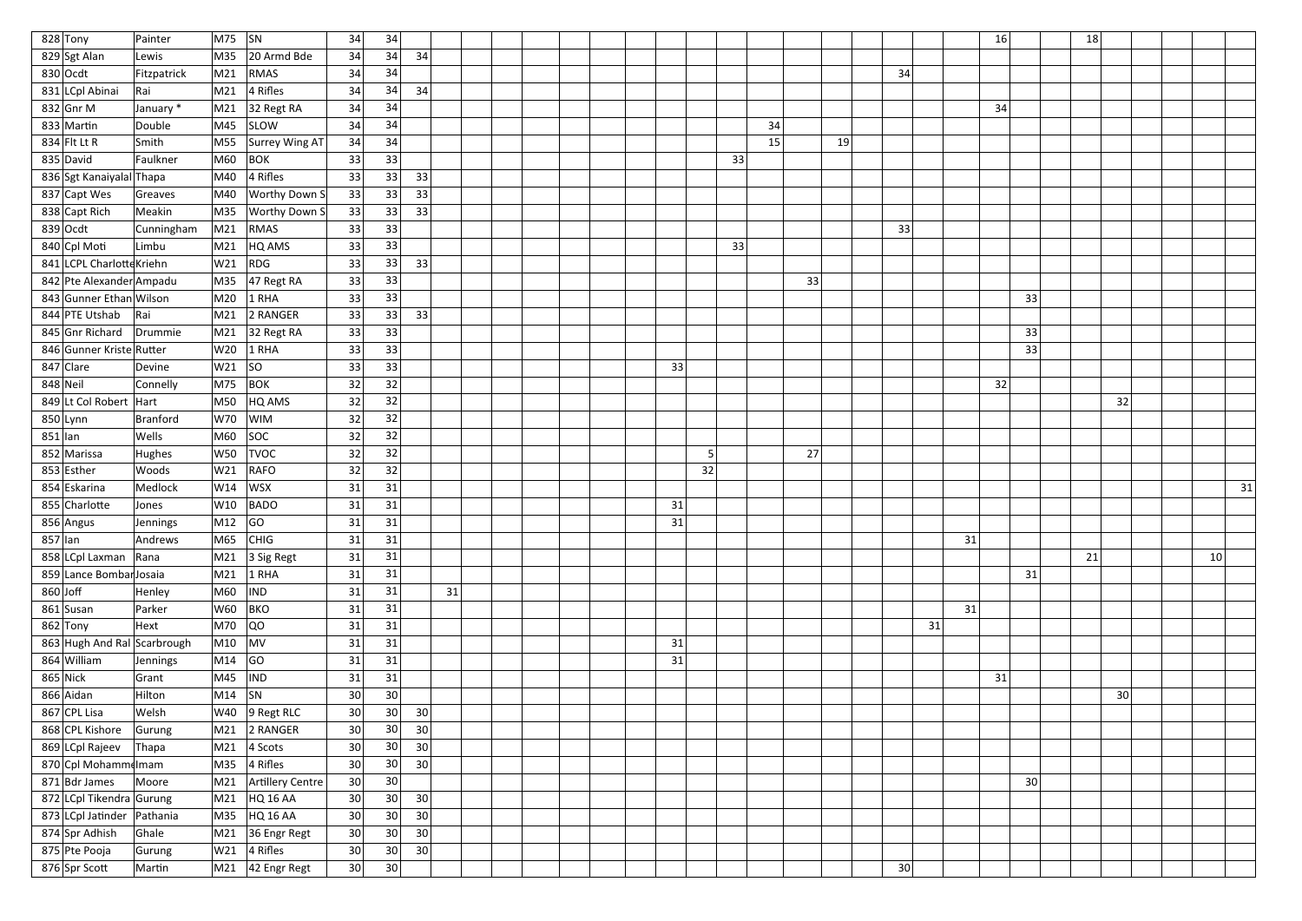| 828 Tony                    | Painter     | $ M75 $ SN                                                                                                                                                                                                                                                                                                                                                                                                      |                                  | 34              | 34              |                 |    |  |  |  |    |    |    |    |    |    |    | 16              | 18 |                 |                 |    |
|-----------------------------|-------------|-----------------------------------------------------------------------------------------------------------------------------------------------------------------------------------------------------------------------------------------------------------------------------------------------------------------------------------------------------------------------------------------------------------------|----------------------------------|-----------------|-----------------|-----------------|----|--|--|--|----|----|----|----|----|----|----|-----------------|----|-----------------|-----------------|----|
| 829 Sgt Alan                | Lewis       | M35                                                                                                                                                                                                                                                                                                                                                                                                             | 20 Armd Bde                      | 34              | 34              | 34              |    |  |  |  |    |    |    |    |    |    |    |                 |    |                 |                 |    |
| $830$ Ocdt                  | Fitzpatrick | M21                                                                                                                                                                                                                                                                                                                                                                                                             | RMAS                             | 34              | 34              |                 |    |  |  |  |    |    |    |    |    | 34 |    |                 |    |                 |                 |    |
| 831 LCpl Abinai             | Rai         | M21                                                                                                                                                                                                                                                                                                                                                                                                             | $ 4$ Rifles                      | 34              | 34              | 34              |    |  |  |  |    |    |    |    |    |    |    |                 |    |                 |                 |    |
| $832$ Gnr M                 | January *   |                                                                                                                                                                                                                                                                                                                                                                                                                 | $\vert$ M21 $\vert$ 32 Regt RA   | 34              | 34              |                 |    |  |  |  |    |    |    |    |    |    |    | 34              |    |                 |                 |    |
| 833 Martin                  | Double      | M45                                                                                                                                                                                                                                                                                                                                                                                                             | SLOW                             | 34              | 34              |                 |    |  |  |  |    |    | 34 |    |    |    |    |                 |    |                 |                 |    |
| 834 Flt Lt R                | Smith       | M55                                                                                                                                                                                                                                                                                                                                                                                                             | Surrey Wing AT                   | 34              | 34              |                 |    |  |  |  |    |    | 15 |    | 19 |    |    |                 |    |                 |                 |    |
| 835 David                   | Faulkner    | M60                                                                                                                                                                                                                                                                                                                                                                                                             | $ $ BOK                          | 33              | 33              |                 |    |  |  |  |    | 33 |    |    |    |    |    |                 |    |                 |                 |    |
| 836 Sgt Kanaiyalal Thapa    |             | M40                                                                                                                                                                                                                                                                                                                                                                                                             | $ 4$ Rifles                      | 33              | 33              | 33              |    |  |  |  |    |    |    |    |    |    |    |                 |    |                 |                 |    |
| 837 Capt Wes                | Greaves     | M40                                                                                                                                                                                                                                                                                                                                                                                                             | <b>Worthy Down S</b>             | 33              | 33              | 33              |    |  |  |  |    |    |    |    |    |    |    |                 |    |                 |                 |    |
| 838 Capt Rich               | Meakin      | M35                                                                                                                                                                                                                                                                                                                                                                                                             | <b>Worthy Down S</b>             | 33              | 33              | 33              |    |  |  |  |    |    |    |    |    |    |    |                 |    |                 |                 |    |
| $839$ Ocdt                  | Cunningham  | M <sub>21</sub>                                                                                                                                                                                                                                                                                                                                                                                                 | RMAS                             | 33              | 33              |                 |    |  |  |  |    |    |    |    |    | 33 |    |                 |    |                 |                 |    |
| 840 Cpl Moti                | Limbu       | M21                                                                                                                                                                                                                                                                                                                                                                                                             | HQ AMS                           | 33              | 33              |                 |    |  |  |  |    | 33 |    |    |    |    |    |                 |    |                 |                 |    |
| 841 LCPL Charlotte Kriehn   |             | W21                                                                                                                                                                                                                                                                                                                                                                                                             | RDG                              | 33              | 33              | 33              |    |  |  |  |    |    |    |    |    |    |    |                 |    |                 |                 |    |
| 842 Pte Alexander Ampadu    |             |                                                                                                                                                                                                                                                                                                                                                                                                                 | $\vert$ M35 $\vert$ 47 Regt RA   | 33              | 33              |                 |    |  |  |  |    |    |    | 33 |    |    |    |                 |    |                 |                 |    |
| 843 Gunner Ethan Wilson     |             | M20                                                                                                                                                                                                                                                                                                                                                                                                             | $1$ RHA                          | 33              | 33              |                 |    |  |  |  |    |    |    |    |    |    |    | 33              |    |                 |                 |    |
| 844 PTE Utshab              | Rai         |                                                                                                                                                                                                                                                                                                                                                                                                                 | $\mid$ M21 2 RANGER              | 33              | 33              | 33              |    |  |  |  |    |    |    |    |    |    |    |                 |    |                 |                 |    |
| 845 Gnr Richard             | Drummie     |                                                                                                                                                                                                                                                                                                                                                                                                                 | $\vert$ M21 32 Regt RA           | 33              | 33              |                 |    |  |  |  |    |    |    |    |    |    |    | 33              |    |                 |                 |    |
| 846 Gunner Kriste Rutter    |             | W20                                                                                                                                                                                                                                                                                                                                                                                                             | $1$ RHA                          | 33              | 33              |                 |    |  |  |  |    |    |    |    |    |    |    | 33              |    |                 |                 |    |
| 847 Clare                   | Devine      | W21                                                                                                                                                                                                                                                                                                                                                                                                             | SO                               | 33              | 33              |                 |    |  |  |  | 33 |    |    |    |    |    |    |                 |    |                 |                 |    |
| 848 Neil                    | Connelly    |                                                                                                                                                                                                                                                                                                                                                                                                                 | $ M75 $ BOK                      | 32              | 32              |                 |    |  |  |  |    |    |    |    |    |    |    | 32              |    |                 |                 |    |
| 849 Lt Col Robert   Hart    |             | M50                                                                                                                                                                                                                                                                                                                                                                                                             | $HQ$ AMS                         | 32              | 32              |                 |    |  |  |  |    |    |    |    |    |    |    |                 |    | 32              |                 |    |
| $850$ Lynn                  | Branford    | W70                                                                                                                                                                                                                                                                                                                                                                                                             | <b>WIM</b>                       | 32              | 32              |                 |    |  |  |  |    |    |    |    |    |    |    |                 |    |                 |                 |    |
| $851$  lan                  | Wells       | M60                                                                                                                                                                                                                                                                                                                                                                                                             | SOC                              | 32              | 32              |                 |    |  |  |  |    |    |    |    |    |    |    |                 |    |                 |                 |    |
| 852 Marissa                 | Hughes      | W50                                                                                                                                                                                                                                                                                                                                                                                                             | <b>TVOC</b>                      | 32              | 32              |                 |    |  |  |  | 5  |    |    | 27 |    |    |    |                 |    |                 |                 |    |
| 853 Esther                  | Woods       | W21                                                                                                                                                                                                                                                                                                                                                                                                             | RAFO                             | 32              | 32              |                 |    |  |  |  | 32 |    |    |    |    |    |    |                 |    |                 |                 |    |
| 854 Eskarina                | Medlock     | W14                                                                                                                                                                                                                                                                                                                                                                                                             | WSX                              | 31              | 31              |                 |    |  |  |  |    |    |    |    |    |    |    |                 |    |                 |                 | 31 |
| 855 Charlotte               | Jones       | W10                                                                                                                                                                                                                                                                                                                                                                                                             | BADO                             | 31              | 31              |                 |    |  |  |  | 31 |    |    |    |    |    |    |                 |    |                 |                 |    |
| 856 Angus                   | Jennings    | $ M12 $ GO                                                                                                                                                                                                                                                                                                                                                                                                      |                                  | 31              | 31              |                 |    |  |  |  | 31 |    |    |    |    |    |    |                 |    |                 |                 |    |
| $857$ lan                   | Andrews     |                                                                                                                                                                                                                                                                                                                                                                                                                 | $MS$ CHIG                        | 31              | 31              |                 |    |  |  |  |    |    |    |    |    |    |    | 31              |    |                 |                 |    |
| 858 LCpl Laxman Rana        |             |                                                                                                                                                                                                                                                                                                                                                                                                                 | $\vert$ M21 $\vert$ 3 Sig Regt   | 31              | 31              |                 |    |  |  |  |    |    |    |    |    |    |    |                 | 21 |                 | 10 <sup>1</sup> |    |
| 859 Lance Bombar Josaia     |             |                                                                                                                                                                                                                                                                                                                                                                                                                 | $M21$ 1 RHA                      | 31              | 31              |                 |    |  |  |  |    |    |    |    |    |    |    | 31              |    |                 |                 |    |
| $860$ Joff                  | Henley      | M60                                                                                                                                                                                                                                                                                                                                                                                                             | <b>IND</b>                       | 31              | 31              |                 | 31 |  |  |  |    |    |    |    |    |    |    |                 |    |                 |                 |    |
| 861 Susan                   | Parker      |                                                                                                                                                                                                                                                                                                                                                                                                                 | W60 BKO                          | 31              | 31              |                 |    |  |  |  |    |    |    |    |    |    |    | 31              |    |                 |                 |    |
| $862$ Tony                  | Hext        | M70                                                                                                                                                                                                                                                                                                                                                                                                             | QO                               | 31              | 31              |                 |    |  |  |  |    |    |    |    |    |    | 31 |                 |    |                 |                 |    |
| 863 Hugh And Ral Scarbrough |             | $ M10 $ MV                                                                                                                                                                                                                                                                                                                                                                                                      |                                  | 31              | 31              |                 |    |  |  |  | 31 |    |    |    |    |    |    |                 |    |                 |                 |    |
| 864 William                 | Jennings    | $\vert$ M14 $\vert$ GO                                                                                                                                                                                                                                                                                                                                                                                          |                                  | 31              | 31              |                 |    |  |  |  | 31 |    |    |    |    |    |    |                 |    |                 |                 |    |
| $865$ Nick                  | Grant       | $\overline{\hspace{0.08cm}\text{M45}}\hspace{0.08cm}$ $\overline{\hspace{0.08cm}\text{N1}}\hspace{0.08cm}\overline{\hspace{0.08cm}1}\hspace{0.08cm}\overline{\hspace{0.08cm}1}\hspace{0.08cm}\overline{\hspace{0.08cm}1}\hspace{0.08cm}\overline{\hspace{0.08cm}1}\hspace{0.08cm}\overline{\hspace{0.08cm}1}\hspace{0.08cm}\overline{\hspace{0.08cm}1}\hspace{0.08cm}\overline{\hspace{0.08cm}1}\hspace{0.08cm$ |                                  | 31              | $31\,$          |                 |    |  |  |  |    |    |    |    |    |    |    | 31              |    |                 |                 |    |
| 866 Aidan                   | Hilton      | $\vert$ M14 $\vert$ SN                                                                                                                                                                                                                                                                                                                                                                                          |                                  | 30 <sup>°</sup> | 30 <sup>°</sup> |                 |    |  |  |  |    |    |    |    |    |    |    |                 |    | 30 <sup>1</sup> |                 |    |
| 867 CPL Lisa                | Welsh       |                                                                                                                                                                                                                                                                                                                                                                                                                 | $ W40 $ 9 Regt RLC               | 30 <sup>°</sup> | 30 <sup>°</sup> | 30              |    |  |  |  |    |    |    |    |    |    |    |                 |    |                 |                 |    |
| 868 CPL Kishore             | Gurung      |                                                                                                                                                                                                                                                                                                                                                                                                                 | M21 2 RANGER                     | 30              | 30 <sup>°</sup> | 30              |    |  |  |  |    |    |    |    |    |    |    |                 |    |                 |                 |    |
| 869 LCpl Rajeev             | Thapa       |                                                                                                                                                                                                                                                                                                                                                                                                                 | $\vert$ M21 $\vert$ 4 Scots      | 30 <sup>°</sup> | 30 <sup>°</sup> | 30              |    |  |  |  |    |    |    |    |    |    |    |                 |    |                 |                 |    |
| 870 Cpl Mohammelmam         |             |                                                                                                                                                                                                                                                                                                                                                                                                                 | $MS5$ 4 Rifles                   | 30 <sup>2</sup> | 30 <sup>°</sup> | 30 <sup>2</sup> |    |  |  |  |    |    |    |    |    |    |    |                 |    |                 |                 |    |
| $871$ Bdr James             | Moore       |                                                                                                                                                                                                                                                                                                                                                                                                                 | M21 Artillery Centre             | 30              | 30 <sup>°</sup> |                 |    |  |  |  |    |    |    |    |    |    |    | 30 <sup>°</sup> |    |                 |                 |    |
| 872 LCpl Tikendra Gurung    |             |                                                                                                                                                                                                                                                                                                                                                                                                                 | M21 HQ 16 AA                     | 30 <sup>°</sup> | 30 <sup>°</sup> | 30 <sup>2</sup> |    |  |  |  |    |    |    |    |    |    |    |                 |    |                 |                 |    |
| 873 LCpl Jatinder Pathania  |             |                                                                                                                                                                                                                                                                                                                                                                                                                 | M35 HQ 16 AA                     | 30 <sup>2</sup> | 30              | 30              |    |  |  |  |    |    |    |    |    |    |    |                 |    |                 |                 |    |
| 874 Spr Adhish              | Ghale       |                                                                                                                                                                                                                                                                                                                                                                                                                 | $\vert$ M21 $\vert$ 36 Engr Regt | 30              | 30 <sup>°</sup> | 30              |    |  |  |  |    |    |    |    |    |    |    |                 |    |                 |                 |    |
| 875 Pte Pooja               | Gurung      |                                                                                                                                                                                                                                                                                                                                                                                                                 | $W21$ 4 Rifles                   | 30 <sup>°</sup> | 30 <sup>°</sup> | 30 <sup>2</sup> |    |  |  |  |    |    |    |    |    |    |    |                 |    |                 |                 |    |
| 876 Spr Scott               | Martin      |                                                                                                                                                                                                                                                                                                                                                                                                                 | $\vert$ M21 $\vert$ 42 Engr Regt | 30              | 30 <sup>°</sup> |                 |    |  |  |  |    |    |    |    |    | 30 |    |                 |    |                 |                 |    |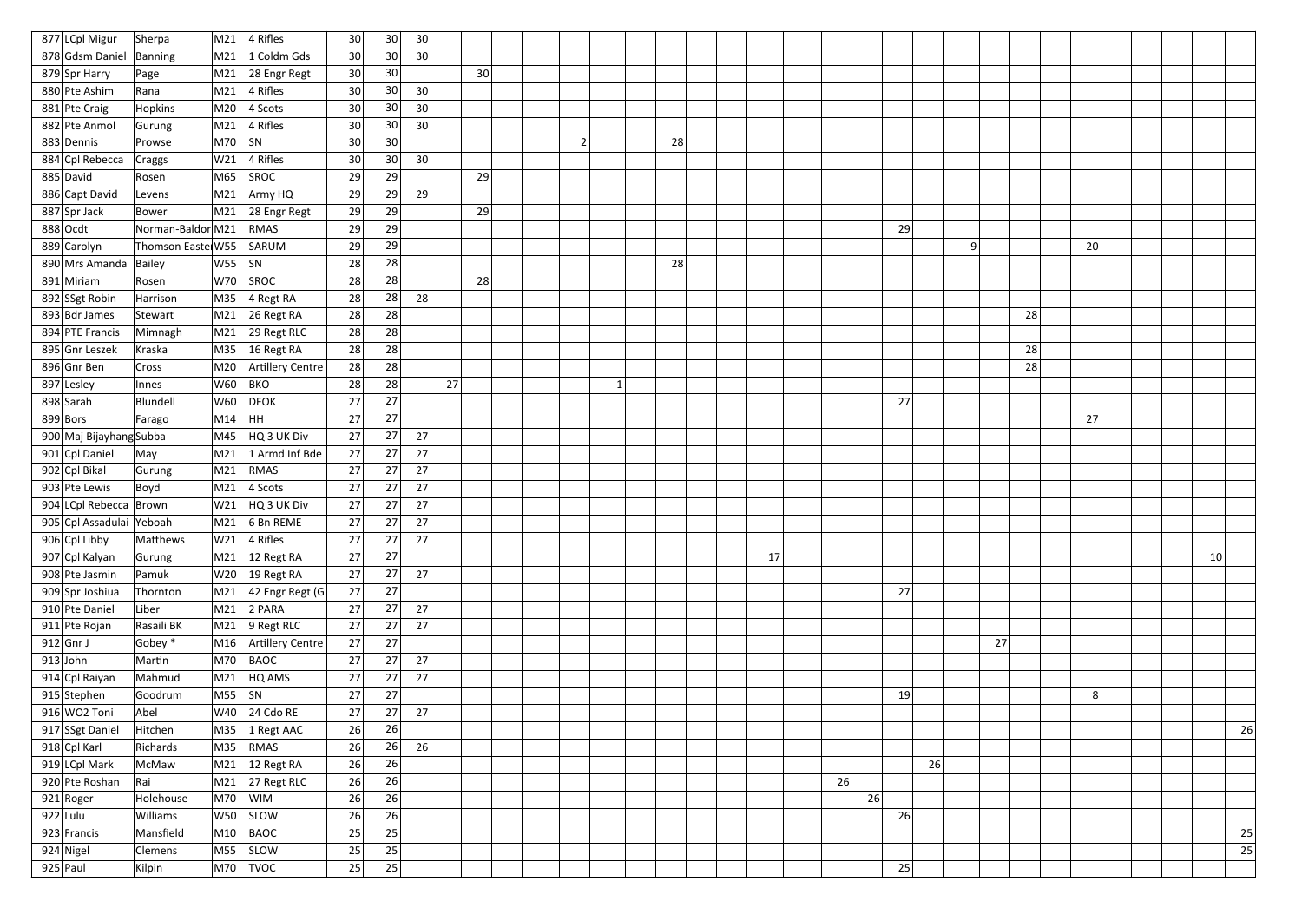| 877 LCpl Migur           | Sherpa            | M21             | 4 Rifles                      | 30              | 30 | 30              |    |                |    |    |    |    |    |    |    |    |  |                 |    |
|--------------------------|-------------------|-----------------|-------------------------------|-----------------|----|-----------------|----|----------------|----|----|----|----|----|----|----|----|--|-----------------|----|
| 878 Gdsm Daniel Banning  |                   | M21             | 1 Coldm Gds                   | 30 <sup>2</sup> | 30 | 30              |    |                |    |    |    |    |    |    |    |    |  |                 |    |
| 879 Spr Harry            | Page              | M21             | 28 Engr Regt                  | 30              | 30 |                 | 30 |                |    |    |    |    |    |    |    |    |  |                 |    |
| 880 Pte Ashim            | Rana              | M21             | $ 4$ Rifles                   | 30              | 30 | 30 <sup>2</sup> |    |                |    |    |    |    |    |    |    |    |  |                 |    |
| 881 Pte Craig            | <b>Hopkins</b>    |                 | $M20$ 4 Scots                 | 30 <sup>2</sup> | 30 | 30              |    |                |    |    |    |    |    |    |    |    |  |                 |    |
| 882 Pte Anmol            | Gurung            | M21             | $ 4$ Rifles                   | 30 <sup>2</sup> | 30 | 30              |    |                |    |    |    |    |    |    |    |    |  |                 |    |
| 883 Dennis               | Prowse            | $M70$ SN        |                               | 30 <sup>°</sup> | 30 |                 |    | $\overline{2}$ | 28 |    |    |    |    |    |    |    |  |                 |    |
| 884 Cpl Rebecca          | <b>Craggs</b>     | W21             | $ 4$ Rifles                   | 30 <sup>2</sup> | 30 | 30              |    |                |    |    |    |    |    |    |    |    |  |                 |    |
| 885 David                | Rosen             | M65             | SROC                          | 29              | 29 |                 | 29 |                |    |    |    |    |    |    |    |    |  |                 |    |
| 886 Capt David           | Levens            |                 | $M21$   Army HQ               | 29              | 29 | 29              |    |                |    |    |    |    |    |    |    |    |  |                 |    |
| 887 Spr Jack             | <b>Bower</b>      | M21             | 28 Engr Regt                  | 29              | 29 |                 | 29 |                |    |    |    |    |    |    |    |    |  |                 |    |
| $888$ Ocdt               | Norman-Baldor M21 |                 | <b>RMAS</b>                   | 29              | 29 |                 |    |                |    |    |    |    | 29 |    |    |    |  |                 |    |
| 889 Carolyn              | Thomson Easte W55 |                 | SARUM                         | 29              | 29 |                 |    |                |    |    |    |    | 9  |    |    | 20 |  |                 |    |
| 890 Mrs Amanda Bailey    |                   | $W55$ SN        |                               | 28              | 28 |                 |    |                | 28 |    |    |    |    |    |    |    |  |                 |    |
| 891 Miriam               | Rosen             | W70             | SROC                          | 28              | 28 |                 | 28 |                |    |    |    |    |    |    |    |    |  |                 |    |
| 892 SSgt Robin           | Harrison          |                 | M35 4 Regt RA                 | 28              | 28 | 28              |    |                |    |    |    |    |    |    |    |    |  |                 |    |
| 893 Bdr James            | Stewart           | M21             | $26$ Regt RA                  | 28              | 28 |                 |    |                |    |    |    |    |    |    | 28 |    |  |                 |    |
| 894 PTE Francis          | Mimnagh           |                 | M21 29 Regt RLC               | 28              | 28 |                 |    |                |    |    |    |    |    |    |    |    |  |                 |    |
| 895 Gnr Leszek           | Kraska            |                 | M35   16 Regt RA              | 28              | 28 |                 |    |                |    |    |    |    |    |    | 28 |    |  |                 |    |
| 896 Gnr Ben              | <b>Cross</b>      | M20             | Artillery Centre              | 28              | 28 |                 |    |                |    |    |    |    |    |    | 28 |    |  |                 |    |
| 897 Lesley               | Innes             | W60             | <b>BKO</b>                    | 28              | 28 | 27              |    |                |    |    |    |    |    |    |    |    |  |                 |    |
| 898 Sarah                | Blundell          | W60             | <b>DFOK</b>                   | 27              | 27 |                 |    |                |    |    |    |    | 27 |    |    |    |  |                 |    |
| $899$ Bors               | Farago            | M14             | HH                            | 27              | 27 |                 |    |                |    |    |    |    |    |    |    | 27 |  |                 |    |
| 900 Maj Bijayhang Subba  |                   | M45             | HQ 3 UK Div                   | 27              | 27 | 27              |    |                |    |    |    |    |    |    |    |    |  |                 |    |
| 901 Cpl Daniel           | May               | M21             | 1 Armd Inf Bde                | 27              | 27 | 27              |    |                |    |    |    |    |    |    |    |    |  |                 |    |
| 902 Cpl Bikal            | Gurung            | M <sub>21</sub> | RMAS                          | 27              | 27 | 27              |    |                |    |    |    |    |    |    |    |    |  |                 |    |
| 903 Pte Lewis            | Boyd              | M21             | $ 4$ Scots                    | 27              | 27 | 27              |    |                |    |    |    |    |    |    |    |    |  |                 |    |
| 904 LCpl Rebecca   Brown |                   | W21             | HQ 3 UK Div                   | 27              | 27 | 27              |    |                |    |    |    |    |    |    |    |    |  |                 |    |
| 905 Cpl Assadulai Yeboah |                   |                 | $\vert$ M21 $\vert$ 6 Bn REME | 27              | 27 | 27              |    |                |    |    |    |    |    |    |    |    |  |                 |    |
| 906 Cpl Libby            | Matthews          |                 | W21 $ 4$ Rifles               | 27              | 27 | 27              |    |                |    |    |    |    |    |    |    |    |  |                 |    |
| 907 Cpl Kalyan           | Gurung            |                 | M21 $ 12$ Regt RA             | 27              | 27 |                 |    |                |    | 17 |    |    |    |    |    |    |  | 10 <sup>2</sup> |    |
| 908 Pte Jasmin           | Pamuk             |                 | W20 $ 19$ Regt RA             | 27              | 27 | 27              |    |                |    |    |    |    |    |    |    |    |  |                 |    |
| 909 Spr Joshiua          | Thornton          |                 | $M21$ 42 Engr Regt (G)        | 27              | 27 |                 |    |                |    |    |    |    | 27 |    |    |    |  |                 |    |
| 910 Pte Daniel           | Liber             |                 | $M21$ 2 PARA                  | 27              | 27 | 27              |    |                |    |    |    |    |    |    |    |    |  |                 |    |
| 911 Pte Rojan            | Rasaili BK        |                 | M21 $\vert$ 9 Regt RLC        | 27              | 27 | 27              |    |                |    |    |    |    |    |    |    |    |  |                 |    |
| $912$ Gnr J              | Gobey *           |                 | M16   Artillery Centre        | 27              | 27 |                 |    |                |    |    |    |    |    | 27 |    |    |  |                 |    |
| $913$ John               | Martin            |                 | $M70$ BAOC                    | 27              | 27 | 27              |    |                |    |    |    |    |    |    |    |    |  |                 |    |
| 914 Cpl Raiyan           | Mahmud            |                 | $M21$ HQ AMS                  | 27              | 27 | 27              |    |                |    |    |    |    |    |    |    |    |  |                 |    |
| 915 Stephen              | Goodrum           | $MS5$ SN        |                               | 27              | 27 |                 |    |                |    |    |    |    | 19 |    |    | 8  |  |                 |    |
| 916 WO2 Toni             | Abel              |                 | W40 24 Cdo RE                 | 27              | 27 | 27              |    |                |    |    |    |    |    |    |    |    |  |                 |    |
| 917 SSgt Daniel          | Hitchen           |                 | M35 $\vert$ 1 Regt AAC        | 26              | 26 |                 |    |                |    |    |    |    |    |    |    |    |  |                 | 26 |
| 918 Cpl Karl             | Richards          | M35             | RMAS                          | 26              | 26 | 26              |    |                |    |    |    |    |    |    |    |    |  |                 |    |
| 919 LCpl Mark            | McMaw             |                 | M21 $ 12$ Regt RA             | 26              | 26 |                 |    |                |    |    |    |    | 26 |    |    |    |  |                 |    |
| 920 Pte Roshan           | Rai               |                 | M21 27 Regt RLC               | 26              | 26 |                 |    |                |    |    | 26 |    |    |    |    |    |  |                 |    |
| $921$ Roger              | Holehouse         |                 | $M70$ WIM                     | 26              | 26 |                 |    |                |    |    |    | 26 |    |    |    |    |  |                 |    |
| $922$ Lulu               | Williams          |                 | $W50$ SLOW                    | 26              | 26 |                 |    |                |    |    |    |    | 26 |    |    |    |  |                 |    |
| 923 Francis              | Mansfield         | M10             | BAOC                          | 25              | 25 |                 |    |                |    |    |    |    |    |    |    |    |  |                 | 25 |
| $924$ Nigel              | Clemens           |                 | $M55$ SLOW                    | 25              | 25 |                 |    |                |    |    |    |    |    |    |    |    |  |                 | 25 |
| $925$ Paul               | Kilpin            |                 | M70   TVOC                    | 25              | 25 |                 |    |                |    |    |    |    | 25 |    |    |    |  |                 |    |
|                          |                   |                 |                               |                 |    |                 |    |                |    |    |    |    |    |    |    |    |  |                 |    |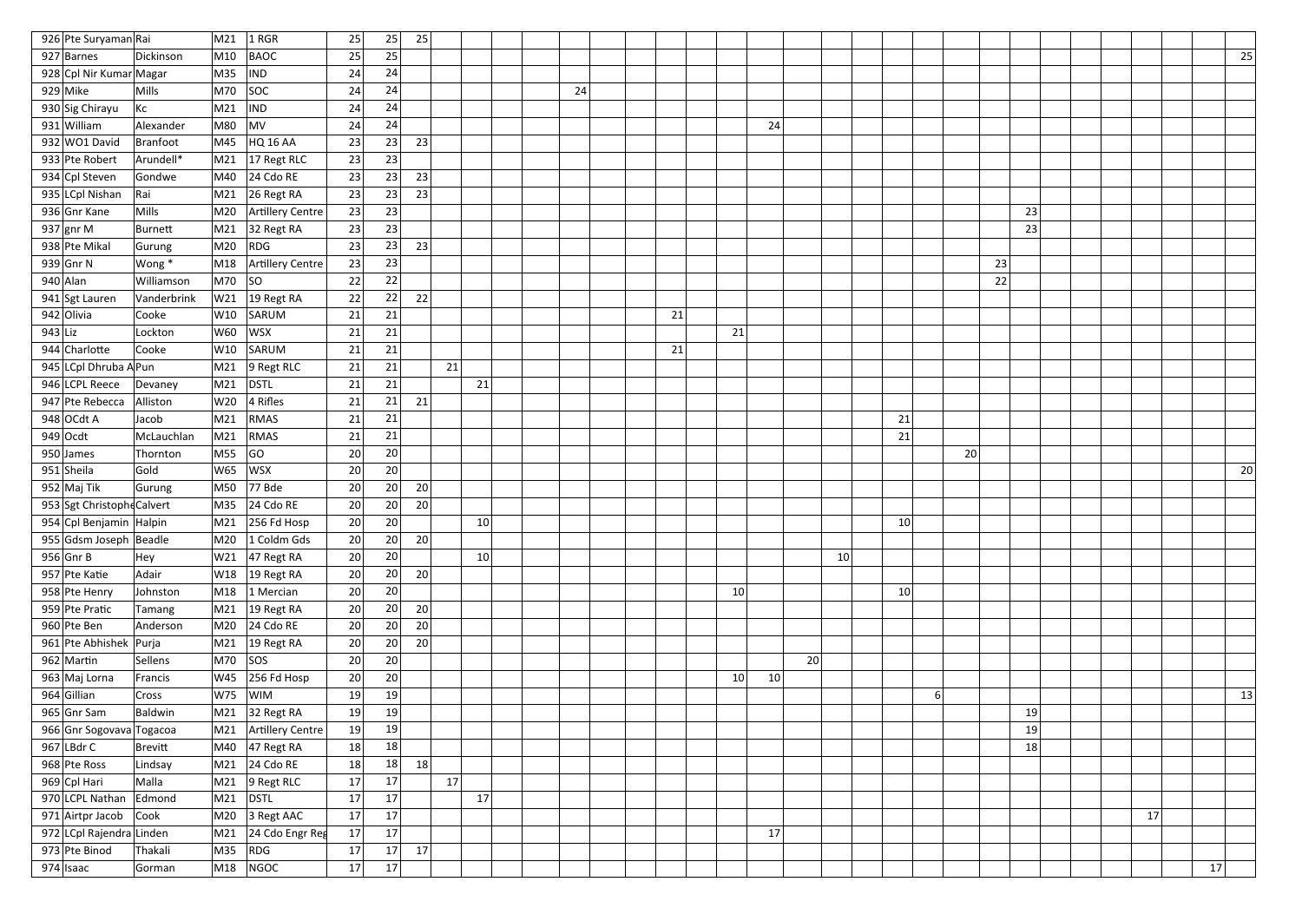| 926 Pte Suryaman Rai         |                   | M21             | $1$ RGR                | 25       | 25              | 25 |                 |    |    |                 |                 |    |    |                 |    |    |  |    |    |    |
|------------------------------|-------------------|-----------------|------------------------|----------|-----------------|----|-----------------|----|----|-----------------|-----------------|----|----|-----------------|----|----|--|----|----|----|
| 927 Barnes                   | Dickinson         | M10             | <b>BAOC</b>            | 25       | 25              |    |                 |    |    |                 |                 |    |    |                 |    |    |  |    |    | 25 |
| 928 Cpl Nir Kumar Magar      |                   | M35             | <b>IND</b>             | 24       | 24              |    |                 |    |    |                 |                 |    |    |                 |    |    |  |    |    |    |
| $929$ Mike                   | Mills             | M70             | SOC                    | 24       | 24              |    |                 | 24 |    |                 |                 |    |    |                 |    |    |  |    |    |    |
| 930 Sig Chirayu              | $ $ Kc            | M21             | <b>IND</b>             | 24       | 24              |    |                 |    |    |                 |                 |    |    |                 |    |    |  |    |    |    |
| 931 William                  | Alexander         | M80             | MV                     | 24       | 24              |    |                 |    |    |                 | 24              |    |    |                 |    |    |  |    |    |    |
| 932 WO1 David                | Branfoot          | M45             | HQ 16 AA               | 23       | 23              | 23 |                 |    |    |                 |                 |    |    |                 |    |    |  |    |    |    |
| 933 Pte Robert               | Arundell*         |                 | M21 17 Regt RLC        | 23       | 23              |    |                 |    |    |                 |                 |    |    |                 |    |    |  |    |    |    |
| 934 Cpl Steven               | Gondwe            | M40             | $24$ Cdo RE            | 23       | 23              | 23 |                 |    |    |                 |                 |    |    |                 |    |    |  |    |    |    |
| 935 LCpl Nishan              | Rai               | M21             | 26 Regt RA             | 23       | 23              | 23 |                 |    |    |                 |                 |    |    |                 |    |    |  |    |    |    |
| 936 Gnr Kane                 | Mills             | M20             | Artillery Centre       | 23       | 23              |    |                 |    |    |                 |                 |    |    |                 |    | 23 |  |    |    |    |
| 937 gnr M                    | Burnett           | M21             | 32 Regt RA             | 23       | 23              |    |                 |    |    |                 |                 |    |    |                 |    | 23 |  |    |    |    |
| 938 Pte Mikal                | Gurung            | M20             | RDG                    | 23       | 23              | 23 |                 |    |    |                 |                 |    |    |                 |    |    |  |    |    |    |
| 939 Gnr N                    | Wong *            | M18             | Artillery Centre       | 23       | 23              |    |                 |    |    |                 |                 |    |    |                 | 23 |    |  |    |    |    |
| $940$ Alan                   | Williamson        | M70  SO         |                        | 22       | 22              |    |                 |    |    |                 |                 |    |    |                 | 22 |    |  |    |    |    |
| 941 Sgt Lauren               | Vanderbrink       |                 | W21 19 Regt RA         | 22       | 22              | 22 |                 |    |    |                 |                 |    |    |                 |    |    |  |    |    |    |
| 942 Olivia                   | Cooke             | W10             | SARUM                  | 21       | 21              |    |                 |    | 21 |                 |                 |    |    |                 |    |    |  |    |    |    |
| $943$ Liz                    | Lockton           | W60             | <b>WSX</b>             | 21       | 21              |    |                 |    |    | 21              |                 |    |    |                 |    |    |  |    |    |    |
| 944 Charlotte                | Cooke             | W10             | SARUM                  | 21       | 21              |    |                 |    | 21 |                 |                 |    |    |                 |    |    |  |    |    |    |
| 945 LCpl Dhruba A Pun        |                   | M <sub>21</sub> | $ 9$ Regt RLC          | 21       | 21              | 21 |                 |    |    |                 |                 |    |    |                 |    |    |  |    |    |    |
| 946 LCPL Reece               | Devaney           | M21             | DSTL                   | 21       | 21              |    | 21              |    |    |                 |                 |    |    |                 |    |    |  |    |    |    |
| 947 Pte Rebecca              | Alliston          | W20             | $ 4$ Rifles            | 21       | 21              | 21 |                 |    |    |                 |                 |    |    |                 |    |    |  |    |    |    |
| $948$ OCdt A                 | Jacob             | M21             | RMAS                   | 21       | 21              |    |                 |    |    |                 |                 |    |    | 21              |    |    |  |    |    |    |
| $949$ Ocdt                   | McLauchlan        | M21             | RMAS                   | 21       | 21              |    |                 |    |    |                 |                 |    |    | 21              |    |    |  |    |    |    |
| 950 James                    | Thornton          | M55             | GO                     | 20       | 20              |    |                 |    |    |                 |                 |    |    | 20              |    |    |  |    |    |    |
| 951 Sheila                   | Gold              | W65             | <b>WSX</b>             | 20       | 20              |    |                 |    |    |                 |                 |    |    |                 |    |    |  |    |    | 20 |
| 952 Maj Tik                  | Gurung            | M50             | 77 Bde                 | 20       | 20              | 20 |                 |    |    |                 |                 |    |    |                 |    |    |  |    |    |    |
| 953 Sgt Christophe Calvert   |                   | M35             | $ 24 \text{ Cdo RE}$   | 20       | 20              | 20 |                 |    |    |                 |                 |    |    |                 |    |    |  |    |    |    |
| 954 Cpl Benjamin Halpin      |                   |                 | M21 256 Fd Hosp        | 20       | 20              |    | 10 <sup>1</sup> |    |    |                 |                 |    |    | 10 <sup>1</sup> |    |    |  |    |    |    |
| 955 Gdsm Joseph Beadle       |                   |                 | M20 $ 1$ Coldm Gds     | 20       | 20              | 20 |                 |    |    |                 |                 |    |    |                 |    |    |  |    |    |    |
| $956$ Gnr B                  | Hey               |                 | W21 $ 47$ Regt RA      | 20       | 20              |    | 10 <sup>1</sup> |    |    |                 |                 |    | 10 |                 |    |    |  |    |    |    |
| $957$ Pte Katie              | Adair             |                 | W18   19 Regt RA       | 20       | 20              | 20 |                 |    |    |                 |                 |    |    |                 |    |    |  |    |    |    |
| 958 Pte Henry                | Johnston          |                 | M18 $ 1$ Mercian       | 20       | 20              |    |                 |    |    | 10 <sup>1</sup> |                 |    |    | 10              |    |    |  |    |    |    |
| 959 Pte Pratic               | Tamang            |                 | M21   19 Regt RA       | 20       | 20              | 20 |                 |    |    |                 |                 |    |    |                 |    |    |  |    |    |    |
| 960 Pte Ben                  | Anderson          |                 | $ M20 $ 24 Cdo RE      | 20       | 20              | 20 |                 |    |    |                 |                 |    |    |                 |    |    |  |    |    |    |
| 961 Pte Abhishek Purja       |                   |                 | M21 $ 19$ Regt RA      | 20       | 20 <sup>°</sup> | 20 |                 |    |    |                 |                 |    |    |                 |    |    |  |    |    |    |
| $962$ Martin                 | Sellens           | $M70$ SOS       |                        | 20       | 20              |    |                 |    |    |                 |                 | 20 |    |                 |    |    |  |    |    |    |
| 963 Maj Lorna                | Francis           |                 | W45 256 Fd Hosp        | 20       | 20              |    |                 |    |    | 10              | 10 <sup>°</sup> |    |    |                 |    |    |  |    |    |    |
| $964$ Gillian                | Cross             | $ W75 $ $ WIM$  |                        | 19       | 19              |    |                 |    |    |                 |                 |    |    | 6               |    |    |  |    |    | 13 |
| $965$ Gnr Sam                | Baldwin           |                 | M21 32 Regt RA         | 19       | 19              |    |                 |    |    |                 |                 |    |    |                 |    | 19 |  |    |    |    |
| 966 Gnr Sogovava Togacoa     |                   |                 | M21   Artillery Centre | 19       | 19              |    |                 |    |    |                 |                 |    |    |                 |    | 19 |  |    |    |    |
| 967 LBdr C                   | <b>Brevitt</b>    |                 | M40 $ 47$ Regt RA      | 18       | 18              |    |                 |    |    |                 |                 |    |    |                 |    | 18 |  |    |    |    |
| 968 Pte Ross                 | Lindsay           |                 | M21 24 Cdo RE          | 18       | 18              | 18 |                 |    |    |                 |                 |    |    |                 |    |    |  |    |    |    |
| 969 Cpl Hari                 | Malla             |                 | M21 9 Regt RLC         | 17       | 17              | 17 |                 |    |    |                 |                 |    |    |                 |    |    |  |    |    |    |
| 970 LCPL Nathan Edmond       |                   | $M21$ DSTL      |                        | 17       | 17              |    | 17              |    |    |                 |                 |    |    |                 |    |    |  |    |    |    |
| 971 Airtpr Jacob Cook        |                   |                 | M20 $ 3$ Regt AAC      | 17       | 17              |    |                 |    |    |                 |                 |    |    |                 |    |    |  | 17 |    |    |
| 972 LCpl Rajendra Linden     |                   |                 | M21 24 Cdo Engr Reg    | 17       | 17              |    |                 |    |    |                 | 17              |    |    |                 |    |    |  |    |    |    |
|                              |                   |                 |                        |          |                 |    |                 |    |    |                 |                 |    |    |                 |    |    |  |    |    |    |
| 973 Pte Binod<br>$974$ Isaac | Thakali<br>Gorman | $M35$ RDG       | $M18$ NGOC             | 17<br>17 | 17<br>17        | 17 |                 |    |    |                 |                 |    |    |                 |    |    |  |    | 17 |    |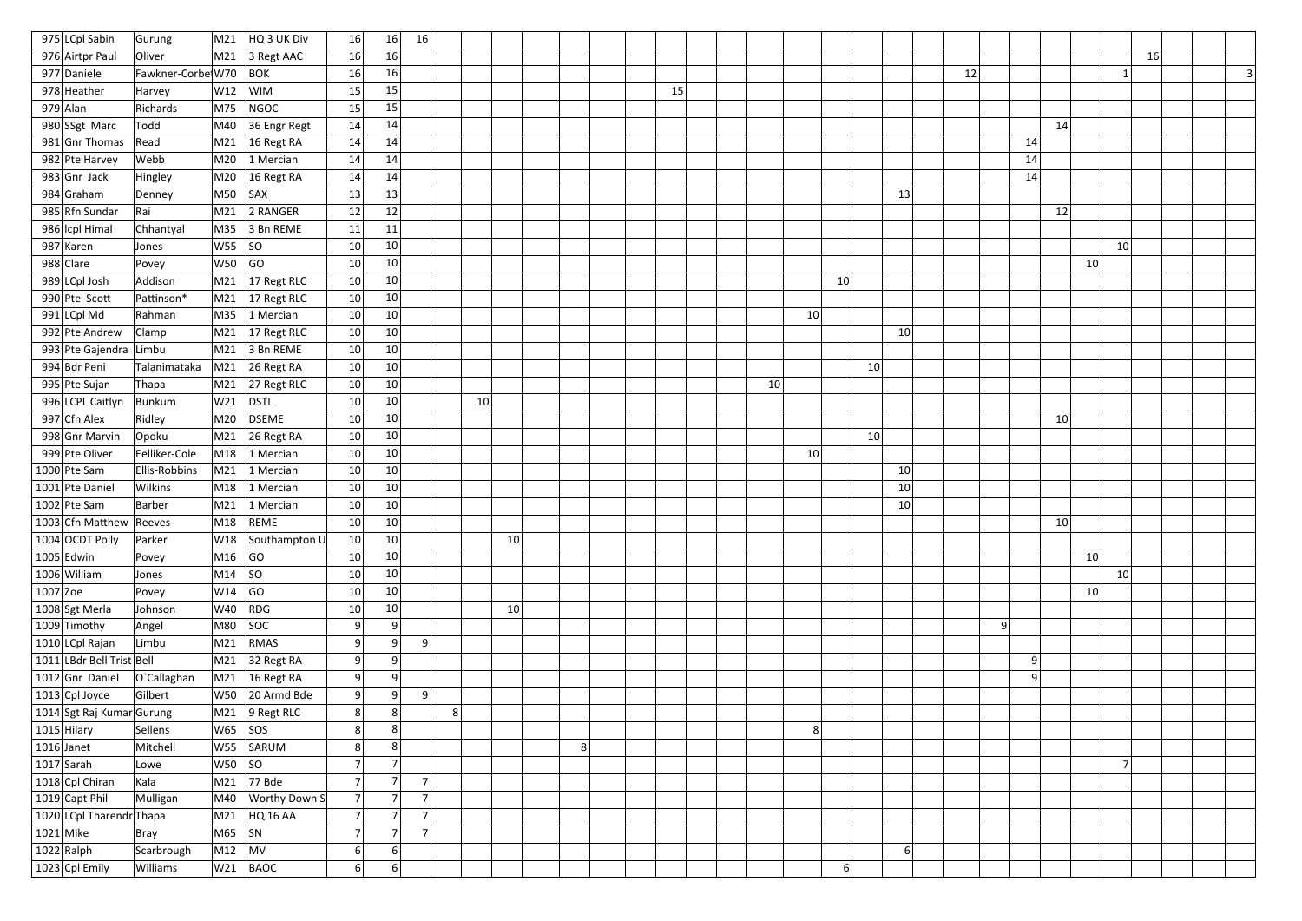| 975 LCpl Sabin                   | Gurung                 | M21                    | HQ 3 UK Div                     | 16                    | 16             | 16             |   |    |    |                |    |    |    |           |    |                 |    |            |                 |                |  |
|----------------------------------|------------------------|------------------------|---------------------------------|-----------------------|----------------|----------------|---|----|----|----------------|----|----|----|-----------|----|-----------------|----|------------|-----------------|----------------|--|
| 976 Airtpr Paul                  | Oliver                 |                        | $\vert$ M21 $\vert$ 3 Regt AAC  | 16                    | 16             |                |   |    |    |                |    |    |    |           |    |                 |    |            |                 | 16             |  |
| 977 Daniele                      | Fawkner-Corbe W70      |                        | $ $ BOK                         | 16                    | 16             |                |   |    |    |                |    |    |    |           |    |                 | 12 |            |                 |                |  |
| 978 Heather                      | Harvey                 | W12                    | <b>WIM</b>                      | 15                    | 15             |                |   |    |    |                | 15 |    |    |           |    |                 |    |            |                 |                |  |
| $979$ Alan                       | Richards               | M75                    | NGOC                            | 15                    | 15             |                |   |    |    |                |    |    |    |           |    |                 |    |            |                 |                |  |
| 980 SSgt Marc                    | Todd                   | M40                    | $36$ Engr Regt                  | 14                    | 14             |                |   |    |    |                |    |    |    |           |    |                 |    | 14         |                 |                |  |
| $981$ Gnr Thomas                 | Read                   |                        | $\vert$ M21 $\vert$ 16 Regt RA  | 14                    | 14             |                |   |    |    |                |    |    |    |           |    |                 | 14 |            |                 |                |  |
| 982 Pte Harvey                   | Webb                   | M20                    | 1 Mercian                       | 14                    | 14             |                |   |    |    |                |    |    |    |           |    |                 | 14 |            |                 |                |  |
| $983$ Gnr Jack                   | Hingley                | M20                    | 16 Regt RA                      | 14                    | 14             |                |   |    |    |                |    |    |    |           |    |                 | 14 |            |                 |                |  |
| $984$ Graham                     | Denney                 | $MSO$ SAX              |                                 | 13                    | 13             |                |   |    |    |                |    |    |    |           |    | 13              |    |            |                 |                |  |
| 985 Rfn Sundar                   | Rai                    | M21                    | 2 RANGER                        | 12                    | 12             |                |   |    |    |                |    |    |    |           |    |                 |    | 12         |                 |                |  |
| 986   Icpl Himal                 | Chhantyal              | M35                    | 3 Bn REME                       | 11                    | 11             |                |   |    |    |                |    |    |    |           |    |                 |    |            |                 |                |  |
| 987 Karen                        | Jones                  | W55  SO                |                                 | 10                    | 10             |                |   |    |    |                |    |    |    |           |    |                 |    |            |                 | 10             |  |
| 988 Clare                        | Povey                  | W50                    | GO                              | 10                    | 10             |                |   |    |    |                |    |    |    |           |    |                 |    |            | 10              |                |  |
| 989 LCpl Josh                    | Addison                | M21                    | $17$ Regt RLC                   | 10                    | 10             |                |   |    |    |                |    |    |    | 10        |    |                 |    |            |                 |                |  |
| 990 Pte Scott                    | Pattinson*             |                        | $\vert$ M21 $\vert$ 17 Regt RLC | 10 <sup>°</sup>       | 10             |                |   |    |    |                |    |    |    |           |    |                 |    |            |                 |                |  |
| $991$ LCpl Md                    | Rahman                 |                        | M35 1 Mercian                   | 10                    | 10             |                |   |    |    |                |    |    | 10 |           |    |                 |    |            |                 |                |  |
| 992 Pte Andrew                   | Clamp                  | M21                    | $ 17$ Regt RLC                  | 10 <sup>°</sup>       | 10             |                |   |    |    |                |    |    |    |           |    | 10 <sup>1</sup> |    |            |                 |                |  |
| 993 Pte Gajendra Limbu           |                        |                        | $\vert$ M21 3 Bn REME           | 10 <sup>°</sup>       | 10             |                |   |    |    |                |    |    |    |           |    |                 |    |            |                 |                |  |
| 994 Bdr Peni                     | Talanimataka           |                        | $\vert$ M21 26 Regt RA          | 10 <sup>°</sup>       | 10             |                |   |    |    |                |    |    |    |           | 10 |                 |    |            |                 |                |  |
| 995 Pte Sujan                    | Thapa                  | M21                    | 27 Regt RLC                     | 10 <sup>°</sup>       | 10             |                |   |    |    |                |    | 10 |    |           |    |                 |    |            |                 |                |  |
| 996 LCPL Caitlyn                 | Bunkum                 | W21                    | DSTL                            | 10                    | 10             |                |   | 10 |    |                |    |    |    |           |    |                 |    |            |                 |                |  |
| 997 Cfn Alex                     | Ridley                 | M20                    | DSEME                           | 10                    | 10             |                |   |    |    |                |    |    |    |           |    |                 |    | 10         |                 |                |  |
| 998 Gnr Marvin<br>999 Pte Oliver | Opoku<br>Eelliker-Cole | M21                    | $26$ Regt RA<br>M18 1 Mercian   | 10 <sup>°</sup>       | 10<br>10       |                |   |    |    |                |    |    | 10 |           | 10 |                 |    |            |                 |                |  |
| $1000$ Pte Sam                   | <b>Ellis-Robbins</b>   | M21                    | 1 Mercian                       | 10 <sup>°</sup><br>10 | 10             |                |   |    |    |                |    |    |    |           |    | 10 <sup>1</sup> |    |            |                 |                |  |
| 1001 Pte Daniel                  | Wilkins                | M18                    | 1 Mercian                       | 10                    | 10             |                |   |    |    |                |    |    |    |           |    | 10              |    |            |                 |                |  |
| $1002$ Pte Sam                   | Barber                 | M21                    | $ 1$ Mercian                    | 10 <sup>1</sup>       | 10             |                |   |    |    |                |    |    |    |           |    | 10              |    |            |                 |                |  |
| 1003 Cfn Matthew Reeves          |                        |                        | M18 REME                        | 10 <sub>1</sub>       | 10             |                |   |    |    |                |    |    |    |           |    |                 |    | $10 \vert$ |                 |                |  |
| 1004 OCDT Polly                  | Parker                 |                        | W18 Southampton U               | 10                    | $10\,$         |                |   |    | 10 |                |    |    |    |           |    |                 |    |            |                 |                |  |
| $1005$ Edwin                     | Povey                  | M16  GO                |                                 | 10                    | 10             |                |   |    |    |                |    |    |    |           |    |                 |    |            | 10 <sup>1</sup> |                |  |
| 1006 William                     | Jones                  | M14  SO                |                                 | 10 <sup>°</sup>       | 10             |                |   |    |    |                |    |    |    |           |    |                 |    |            |                 | 10             |  |
| $1007$ Zoe                       | Povey                  | $ W14 $ GO             |                                 | 10 <sup>°</sup>       | 10             |                |   |    |    |                |    |    |    |           |    |                 |    |            | 10 <sup>1</sup> |                |  |
| 1008 Sgt Merla                   | Johnson                | W40 RDG                |                                 | 10                    | $10\,$         |                |   |    | 10 |                |    |    |    |           |    |                 |    |            |                 |                |  |
| 1009 Timothy                     | Angel                  | M80                    | SOC                             | 9                     | 9              |                |   |    |    |                |    |    |    |           |    |                 | 9  |            |                 |                |  |
| 1010 LCpl Rajan                  | Limbu                  | M21                    | RMAS                            | 9                     | 9              | 9              |   |    |    |                |    |    |    |           |    |                 |    |            |                 |                |  |
| 1011 LBdr Bell Trist Bell        |                        |                        | $\vert$ M21 32 Regt RA          | 9                     | 9              |                |   |    |    |                |    |    |    |           |    |                 | 9  |            |                 |                |  |
| $1012$ Gnr Daniel                | O'Callaghan            |                        | $\vert$ M21 $\vert$ 16 Regt RA  | 9                     | 9              |                |   |    |    |                |    |    |    |           |    |                 | 9  |            |                 |                |  |
| $1013$ Cpl Joyce                 | Gilbert                |                        | W50 20 Armd Bde                 | 9                     | 9              | 9              |   |    |    |                |    |    |    |           |    |                 |    |            |                 |                |  |
| 1014 Sgt Raj Kumar Gurung        |                        |                        | $\vert$ M21 $\vert$ 9 Regt RLC  | 8                     | 8              |                | 8 |    |    |                |    |    |    |           |    |                 |    |            |                 |                |  |
| $1015$ Hilary                    | Sellens                | $ W65 $ SOS            |                                 | 8                     | 8              |                |   |    |    |                |    |    | 8  |           |    |                 |    |            |                 |                |  |
| $1016$ Janet                     | Mitchell               | W55                    | SARUM                           | 8                     | 8              |                |   |    |    | 8 <sup>2</sup> |    |    |    |           |    |                 |    |            |                 |                |  |
| $1017$ Sarah                     | Lowe                   | W50  SO                |                                 |                       |                |                |   |    |    |                |    |    |    |           |    |                 |    |            |                 | $\overline{7}$ |  |
| 1018 Cpl Chiran                  | Kala                   |                        | $\vert$ M21 $\vert$ 77 Bde      | 7 <sup>1</sup>        | $\overline{7}$ | 7 <sup>1</sup> |   |    |    |                |    |    |    |           |    |                 |    |            |                 |                |  |
| $1019$ Capt Phil                 | Mulligan               | M40                    | Worthy Down S                   | 7 <sup>1</sup>        | $\overline{7}$ | 7 <sup>1</sup> |   |    |    |                |    |    |    |           |    |                 |    |            |                 |                |  |
| 1020 LCpl Tharendr Thapa         |                        |                        | M21 HQ 16 AA                    | 7 <sup>1</sup>        | $\overline{7}$ | 7 <sup>1</sup> |   |    |    |                |    |    |    |           |    |                 |    |            |                 |                |  |
| $1021$ Mike                      | Bray                   | $ M65 $ SN             |                                 | 7 <sup>1</sup>        | $\overline{7}$ | 7 <sup>1</sup> |   |    |    |                |    |    |    |           |    |                 |    |            |                 |                |  |
| $1022$ Ralph                     | Scarbrough             | $\vert$ M12 $\vert$ MV |                                 | 6                     | 6              |                |   |    |    |                |    |    |    |           |    | 6               |    |            |                 |                |  |
| 1023 Cpl Emily                   | Williams               |                        | $W21$ BAOC                      | 6                     | 6              |                |   |    |    |                |    |    |    | $6 \vert$ |    |                 |    |            |                 |                |  |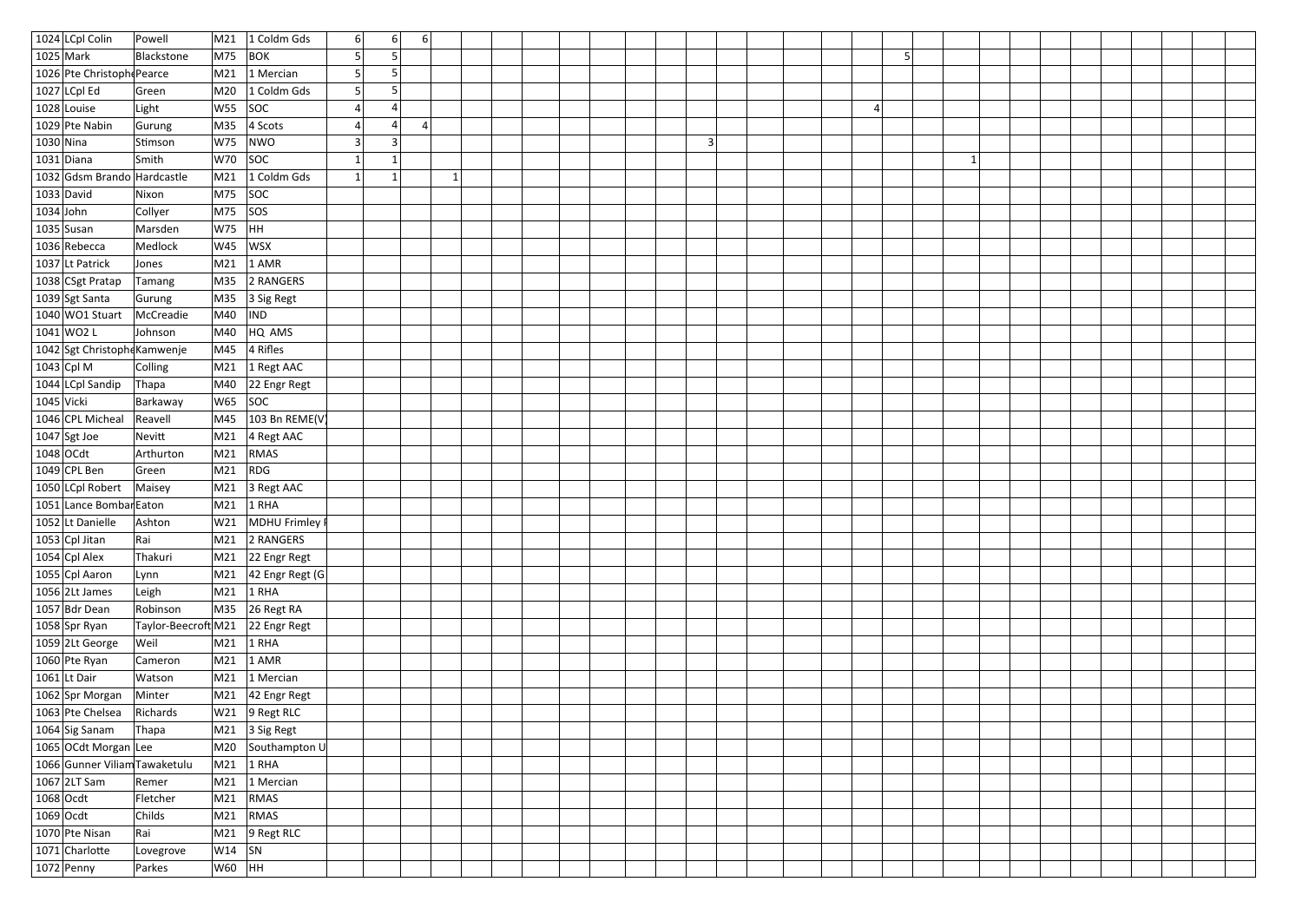|              | 1024 LCpl Colin                     | Powell                           |            | M21 $\vert$ 1 Coldm Gds                           | 6         |              | $6 \mid$                | $6 \mid$       |  |  |           |   |  |  |  |  |  |
|--------------|-------------------------------------|----------------------------------|------------|---------------------------------------------------|-----------|--------------|-------------------------|----------------|--|--|-----------|---|--|--|--|--|--|
|              | $1025$ Mark                         | Blackstone                       | $M75$ BOK  |                                                   | 5         | 5            |                         |                |  |  |           | 5 |  |  |  |  |  |
|              | 1026 Pte Christoph Pearce           |                                  |            | M21 $ 1$ Mercian                                  | 5         | 5            |                         |                |  |  |           |   |  |  |  |  |  |
|              | $1027$ LCpl Ed                      | Green                            | M20        | 1 Coldm Gds                                       | 5         | 5            |                         |                |  |  |           |   |  |  |  |  |  |
|              | 1028 Louise                         | Light                            | $W55$ SOC  |                                                   | 4         | 4            |                         |                |  |  |           | 4 |  |  |  |  |  |
|              | 1029 Pte Nabin                      | Gurung                           |            | M35 $ 4$ Scots                                    |           | 4            |                         | $\overline{4}$ |  |  |           |   |  |  |  |  |  |
| $1030$ Nina  |                                     | Stimson                          | W75        | NWO                                               | 3         |              | $\overline{\mathbf{3}}$ |                |  |  | $\vert$ 3 |   |  |  |  |  |  |
|              | $1031$ Diana                        | Smith                            | $W70$ SOC  |                                                   | 1         | $\mathbf{1}$ |                         |                |  |  |           | 1 |  |  |  |  |  |
|              | 1032 Gdsm Brando Hardcastle         |                                  |            | M21 1 Coldm Gds                                   | $\vert$ 1 | $\mathbf{1}$ |                         |                |  |  |           |   |  |  |  |  |  |
|              | $1033$ David                        | Nixon                            | $M75$ SOC  |                                                   |           |              |                         |                |  |  |           |   |  |  |  |  |  |
| $1034$ John  |                                     | Collyer                          | $M75$ SOS  |                                                   |           |              |                         |                |  |  |           |   |  |  |  |  |  |
|              | $1035$ Susan                        | Marsden                          | W75        | HH                                                |           |              |                         |                |  |  |           |   |  |  |  |  |  |
|              | 1036 Rebecca                        | Medlock                          | $W45$  WSX |                                                   |           |              |                         |                |  |  |           |   |  |  |  |  |  |
|              | 1037 Lt Patrick                     | Jones                            |            | $M21$ 1 AMR                                       |           |              |                         |                |  |  |           |   |  |  |  |  |  |
|              | 1038 CSgt Pratap                    | Tamang                           |            | M35 2 RANGERS                                     |           |              |                         |                |  |  |           |   |  |  |  |  |  |
|              | 1039 Sgt Santa                      | Gurung                           |            | M35 3 Sig Regt                                    |           |              |                         |                |  |  |           |   |  |  |  |  |  |
|              | $1040$ WO1 Stuart                   | McCreadie                        | M40        | IND                                               |           |              |                         |                |  |  |           |   |  |  |  |  |  |
|              | $1041$ WO2 L                        | Johnson                          | M40        | HQ AMS                                            |           |              |                         |                |  |  |           |   |  |  |  |  |  |
|              | 1042 Sgt Christophe Kamwenje        |                                  | M45        | $ 4$ Rifles                                       |           |              |                         |                |  |  |           |   |  |  |  |  |  |
|              | $1043$ Cpl M                        | Colling                          |            | M21 $\vert$ 1 Regt AAC                            |           |              |                         |                |  |  |           |   |  |  |  |  |  |
|              | 1044 LCpl Sandip                    | Thapa                            |            | M40 22 Engr Regt                                  |           |              |                         |                |  |  |           |   |  |  |  |  |  |
| $1045$ Vicki |                                     | Barkaway                         | $W65$ SOC  |                                                   |           |              |                         |                |  |  |           |   |  |  |  |  |  |
|              | 1046 CPL Micheal                    | Reavell                          |            | M45 $ 103 Bn$ REME(V)                             |           |              |                         |                |  |  |           |   |  |  |  |  |  |
|              | $1047$ Sgt Joe                      | Nevitt                           |            | M21 $ 4$ Regt AAC                                 |           |              |                         |                |  |  |           |   |  |  |  |  |  |
|              | $1048$ OCdt                         | Arthurton                        | M21        | RMAS                                              |           |              |                         |                |  |  |           |   |  |  |  |  |  |
|              | $1049$ CPL Ben                      | Green                            | $M21$ RDG  |                                                   |           |              |                         |                |  |  |           |   |  |  |  |  |  |
|              | 1050 LCpl Robert                    | Maisey                           |            | $\vert$ M21 $\vert$ 3 Regt AAC                    |           |              |                         |                |  |  |           |   |  |  |  |  |  |
|              | 1051 Lance Bombar Eaton             |                                  |            | $\mid$ M21 $\mid$ 1 RHA                           |           |              |                         |                |  |  |           |   |  |  |  |  |  |
|              | 1052 Lt Danielle                    | Ashton                           |            | W21 MDHU Frimley I                                |           |              |                         |                |  |  |           |   |  |  |  |  |  |
|              | $1053$ Cpl Jitan                    | Rai                              |            | $M21$ 2 RANGERS                                   |           |              |                         |                |  |  |           |   |  |  |  |  |  |
|              | $1054$ Cpl Alex                     | Thakuri                          |            | $\vert$ M21 $\vert$ 22 Engr Regt                  |           |              |                         |                |  |  |           |   |  |  |  |  |  |
|              | 1055 Cpl Aaron                      | Lynn                             |            | $ M21 $ 42 Engr Regt (G)                          |           |              |                         |                |  |  |           |   |  |  |  |  |  |
|              | $1056$ 2Lt James                    | Leigh                            |            | $M21$ 1 RHA                                       |           |              |                         |                |  |  |           |   |  |  |  |  |  |
|              | 1057 Bdr Dean                       | Robinson                         |            | $\vert$ M35 $\vert$ 26 Regt RA                    |           |              |                         |                |  |  |           |   |  |  |  |  |  |
|              | 1058 Spr Ryan                       | Taylor-Beecroft M21 22 Engr Regt |            |                                                   |           |              |                         |                |  |  |           |   |  |  |  |  |  |
|              | $1059$ 2Lt George                   | Weil                             |            | M21 $ 1$ RHA                                      |           |              |                         |                |  |  |           |   |  |  |  |  |  |
|              | $1060$ Pte Ryan                     | Cameron                          |            | $M21$ 1 AMR                                       |           |              |                         |                |  |  |           |   |  |  |  |  |  |
|              | $1061$ Lt Dair                      | Watson                           |            | M21 $ 1$ Mercian                                  |           |              |                         |                |  |  |           |   |  |  |  |  |  |
|              | 1062 Spr Morgan<br>1063 Pte Chelsea | Minter<br>Richards               |            | M21 $ 42$ Engr Regt<br>$W21$ 9 Regt RLC           |           |              |                         |                |  |  |           |   |  |  |  |  |  |
|              | $1064$ Sig Sanam                    | Thapa                            |            | M21 3 Sig Regt                                    |           |              |                         |                |  |  |           |   |  |  |  |  |  |
|              | 1065 OCdt Morgan Lee                |                                  |            | M20 Southampton U                                 |           |              |                         |                |  |  |           |   |  |  |  |  |  |
|              | 1066 Gunner Viliam Tawaketulu       |                                  |            | $\overline{\text{M21}}$ $\overline{\text{1 RHA}}$ |           |              |                         |                |  |  |           |   |  |  |  |  |  |
|              | $1067$ 2LT Sam                      | Remer                            |            | M21 $ 1$ Mercian                                  |           |              |                         |                |  |  |           |   |  |  |  |  |  |
|              | $1068$ Ocdt                         | Fletcher                         | M21        | RMAS                                              |           |              |                         |                |  |  |           |   |  |  |  |  |  |
|              | $1069$ Ocdt                         | Childs                           |            | $M21$ RMAS                                        |           |              |                         |                |  |  |           |   |  |  |  |  |  |
|              | 1070 Pte Nisan                      | Rai                              |            | M21 9 Regt RLC                                    |           |              |                         |                |  |  |           |   |  |  |  |  |  |
|              | 1071 Charlotte                      | Lovegrove                        | $W14$ SN   |                                                   |           |              |                         |                |  |  |           |   |  |  |  |  |  |
|              | $1072$ Penny                        | Parkes                           | $W60$  HH  |                                                   |           |              |                         |                |  |  |           |   |  |  |  |  |  |
|              |                                     |                                  |            |                                                   |           |              |                         |                |  |  |           |   |  |  |  |  |  |